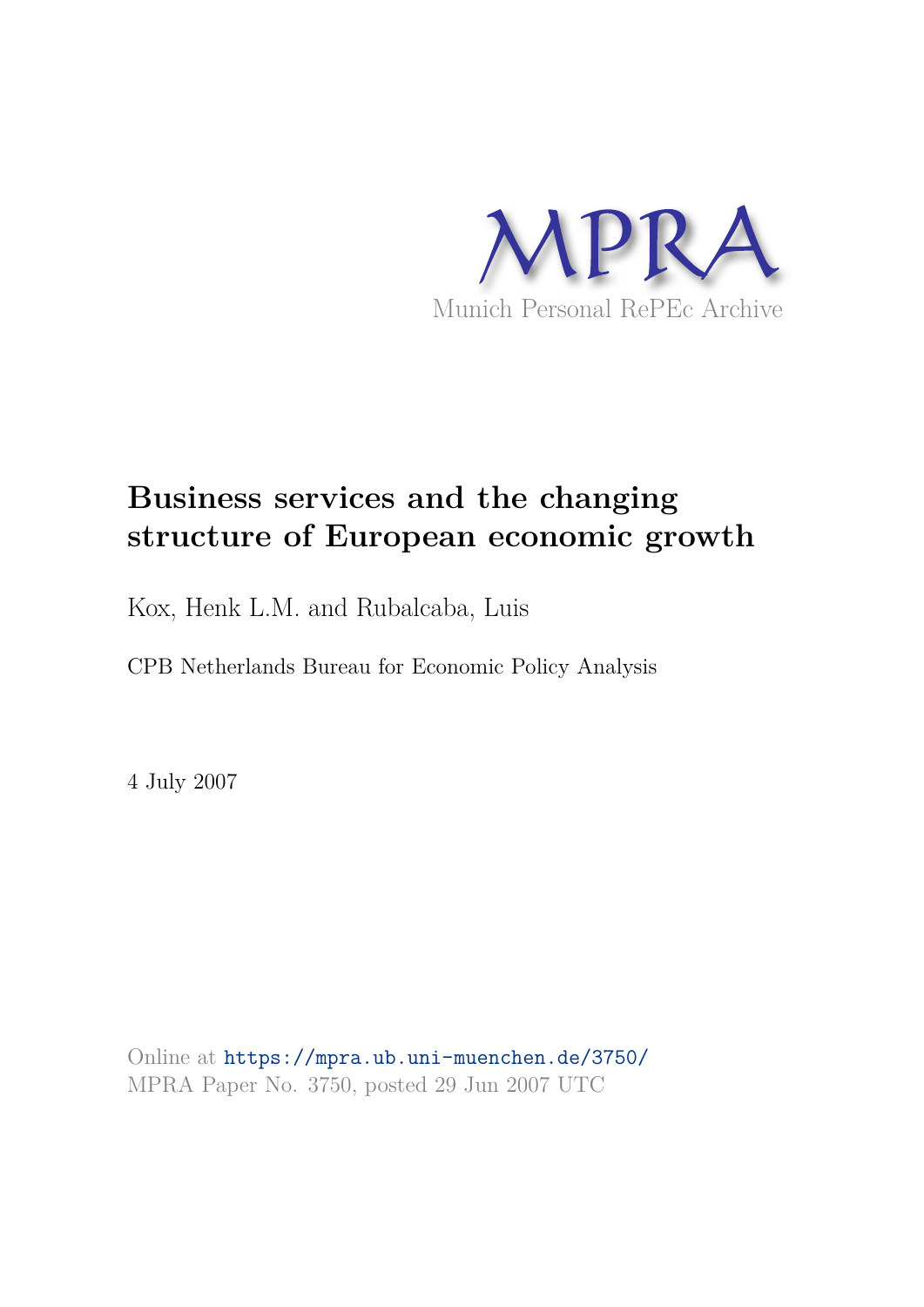

# **Business services and the changing structure of European economic growth**

Kox, Henk L.M. and Rubalcaba, Luis

CPB Netherlands Bureau for Economic Policy Analysis

4 July 2007

Online at https://mpra.ub.uni-muenchen.de/3750/ MPRA Paper No. 3750, posted 29 Jun 2007 UTC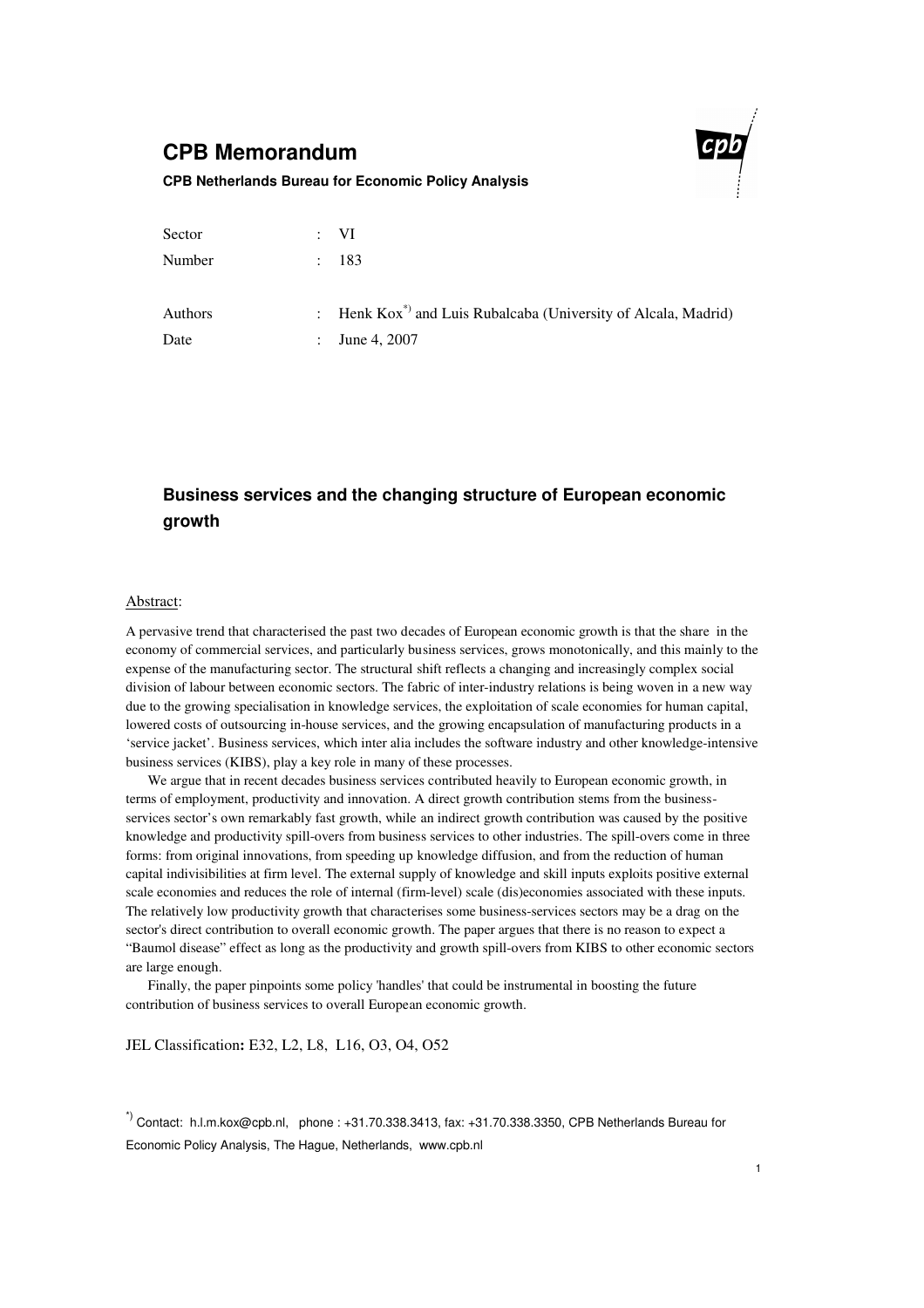## **CPB Memorandum**



#### **CPB Netherlands Bureau for Economic Policy Analysis**

| Sector  | : V <sub>I</sub>                                                            |
|---------|-----------------------------------------------------------------------------|
| Number  | : 183                                                                       |
| Authors | : Henk Kox <sup>*</sup> ) and Luis Rubalcaba (University of Alcala, Madrid) |
| Date    | : June 4, 2007                                                              |

## **Business services and the changing structure of European economic growth**

#### Abstract:

A pervasive trend that characterised the past two decades of European economic growth is that the share in the economy of commercial services, and particularly business services, grows monotonically, and this mainly to the expense of the manufacturing sector. The structural shift reflects a changing and increasingly complex social division of labour between economic sectors. The fabric of inter-industry relations is being woven in a new way due to the growing specialisation in knowledge services, the exploitation of scale economies for human capital, lowered costs of outsourcing in-house services, and the growing encapsulation of manufacturing products in a 'service jacket'. Business services, which inter alia includes the software industry and other knowledge-intensive business services (KIBS), play a key role in many of these processes.

We argue that in recent decades business services contributed heavily to European economic growth, in terms of employment, productivity and innovation. A direct growth contribution stems from the businessservices sector's own remarkably fast growth, while an indirect growth contribution was caused by the positive knowledge and productivity spill-overs from business services to other industries. The spill-overs come in three forms: from original innovations, from speeding up knowledge diffusion, and from the reduction of human capital indivisibilities at firm level. The external supply of knowledge and skill inputs exploits positive external scale economies and reduces the role of internal (firm-level) scale (dis)economies associated with these inputs. The relatively low productivity growth that characterises some business-services sectors may be a drag on the sector's direct contribution to overall economic growth. The paper argues that there is no reason to expect a "Baumol disease" effect as long as the productivity and growth spill-overs from KIBS to other economic sectors are large enough.

Finally, the paper pinpoints some policy 'handles' that could be instrumental in boosting the future contribution of business services to overall European economic growth.

JEL Classification**:** E32, L2, L8, L16, O3, O4, O52

\*) Contact: h.l.m.kox@cpb.nl, phone : +31.70.338.3413, fax: +31.70.338.3350, CPB Netherlands Bureau for Economic Policy Analysis, The Hague, Netherlands, www.cpb.nl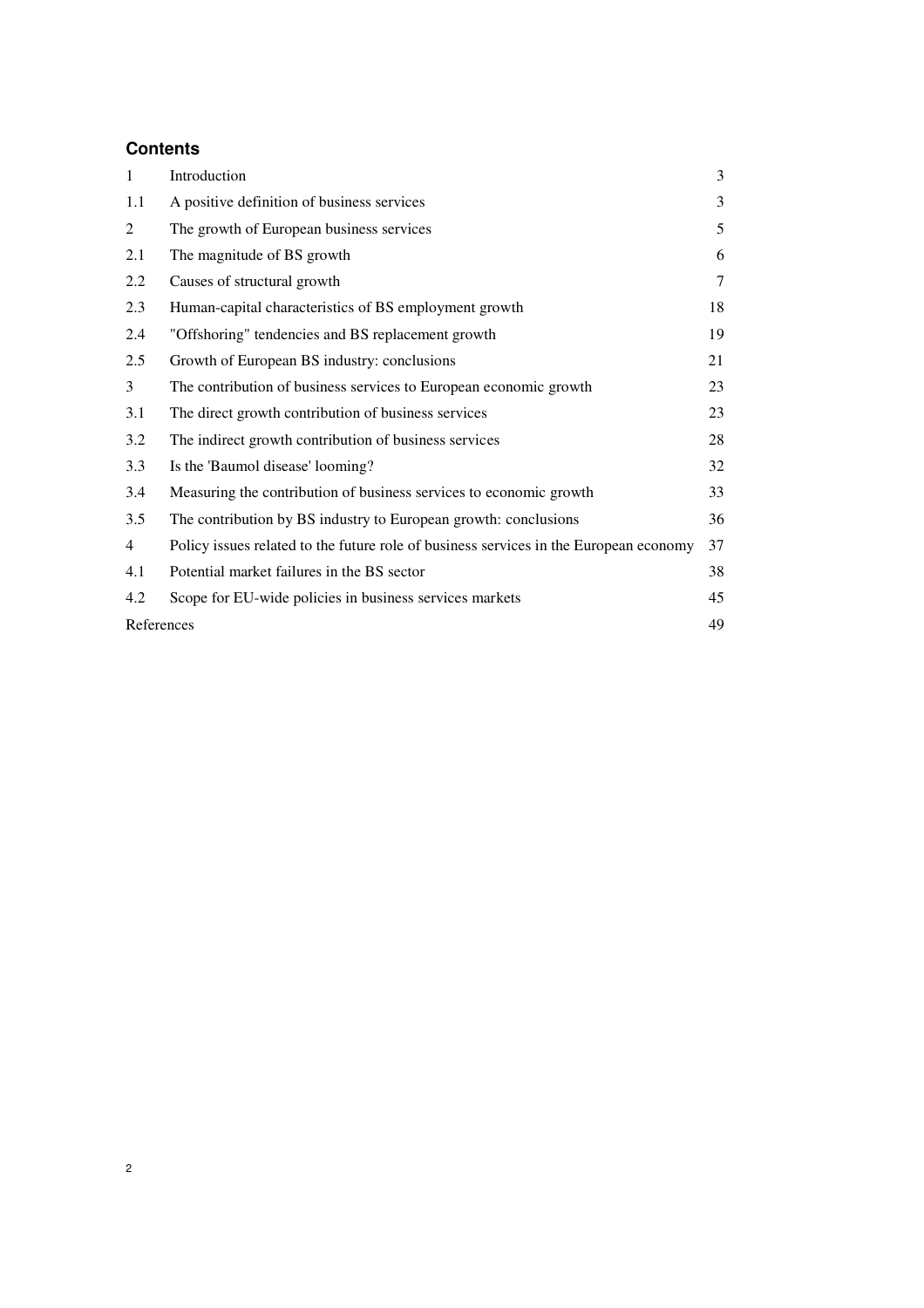## **Contents**

| $\mathbf{1}$ | Introduction                                                                          | 3      |
|--------------|---------------------------------------------------------------------------------------|--------|
| 1.1          | A positive definition of business services                                            | 3      |
| 2            | The growth of European business services                                              | 5      |
| 2.1          | The magnitude of BS growth                                                            | 6      |
| 2.2          | Causes of structural growth                                                           | $\tau$ |
| 2.3          | Human-capital characteristics of BS employment growth                                 | 18     |
| 2.4          | "Offshoring" tendencies and BS replacement growth                                     | 19     |
| 2.5          | Growth of European BS industry: conclusions                                           | 21     |
| 3            | The contribution of business services to European economic growth                     | 23     |
| 3.1          | The direct growth contribution of business services                                   | 23     |
| 3.2          | The indirect growth contribution of business services                                 | 28     |
| 3.3          | Is the 'Baumol disease' looming?                                                      | 32     |
| 3.4          | Measuring the contribution of business services to economic growth                    | 33     |
| 3.5          | The contribution by BS industry to European growth: conclusions                       | 36     |
| 4            | Policy issues related to the future role of business services in the European economy | 37     |
| 4.1          | Potential market failures in the BS sector                                            | 38     |
| 4.2          | Scope for EU-wide policies in business services markets                               | 45     |
| References   |                                                                                       | 49     |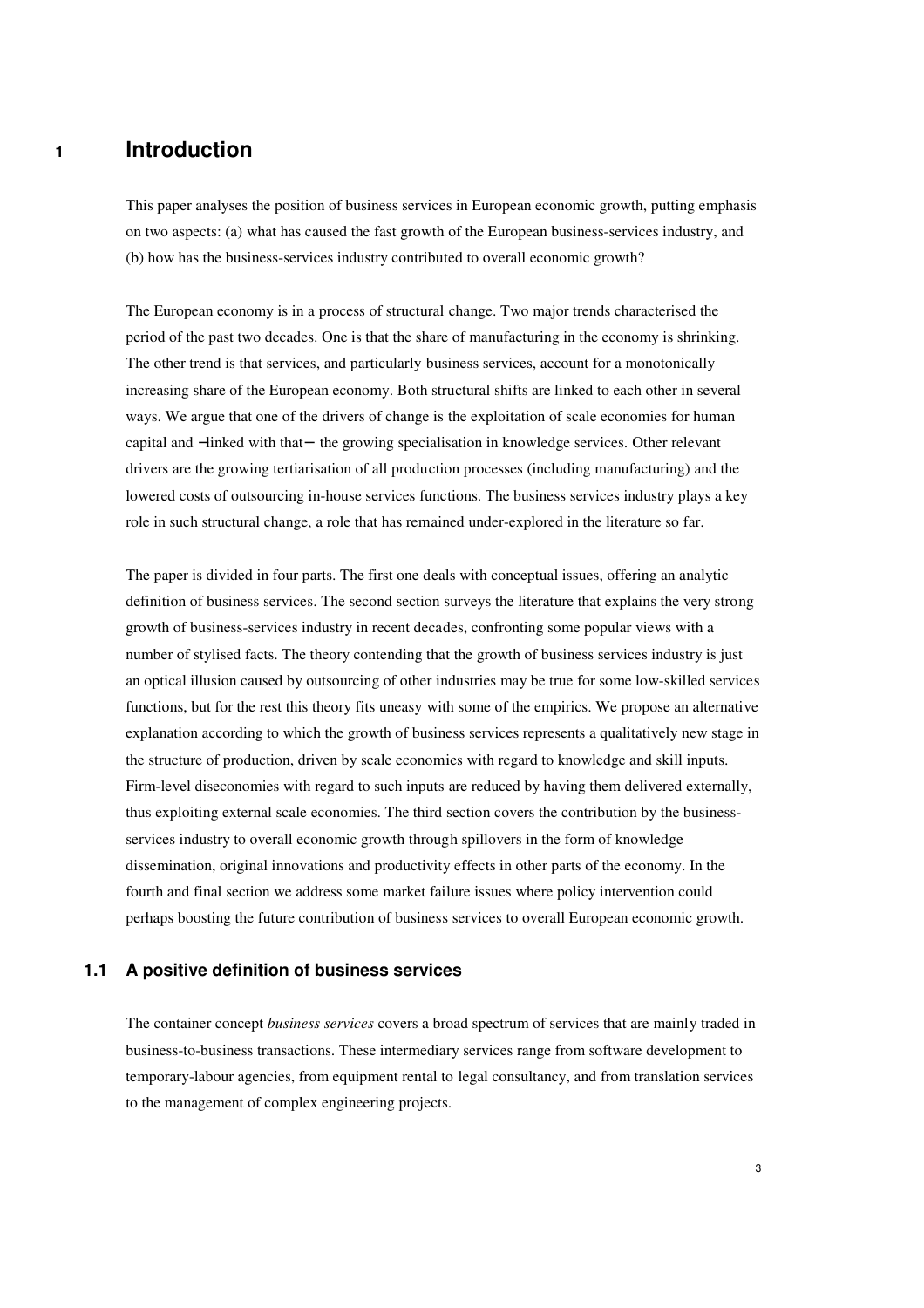## **1 Introduction**

This paper analyses the position of business services in European economic growth, putting emphasis on two aspects: (a) what has caused the fast growth of the European business-services industry, and (b) how has the business-services industry contributed to overall economic growth?

The European economy is in a process of structural change. Two major trends characterised the period of the past two decades. One is that the share of manufacturing in the economy is shrinking. The other trend is that services, and particularly business services, account for a monotonically increasing share of the European economy. Both structural shifts are linked to each other in several ways. We argue that one of the drivers of change is the exploitation of scale economies for human capital and −linked with that− the growing specialisation in knowledge services. Other relevant drivers are the growing tertiarisation of all production processes (including manufacturing) and the lowered costs of outsourcing in-house services functions. The business services industry plays a key role in such structural change, a role that has remained under-explored in the literature so far.

The paper is divided in four parts. The first one deals with conceptual issues, offering an analytic definition of business services. The second section surveys the literature that explains the very strong growth of business-services industry in recent decades, confronting some popular views with a number of stylised facts. The theory contending that the growth of business services industry is just an optical illusion caused by outsourcing of other industries may be true for some low-skilled services functions, but for the rest this theory fits uneasy with some of the empirics. We propose an alternative explanation according to which the growth of business services represents a qualitatively new stage in the structure of production, driven by scale economies with regard to knowledge and skill inputs. Firm-level diseconomies with regard to such inputs are reduced by having them delivered externally, thus exploiting external scale economies. The third section covers the contribution by the businessservices industry to overall economic growth through spillovers in the form of knowledge dissemination, original innovations and productivity effects in other parts of the economy. In the fourth and final section we address some market failure issues where policy intervention could perhaps boosting the future contribution of business services to overall European economic growth.

### **1.1 A positive definition of business services**

The container concept *business services* covers a broad spectrum of services that are mainly traded in business-to-business transactions. These intermediary services range from software development to temporary-labour agencies, from equipment rental to legal consultancy, and from translation services to the management of complex engineering projects.

3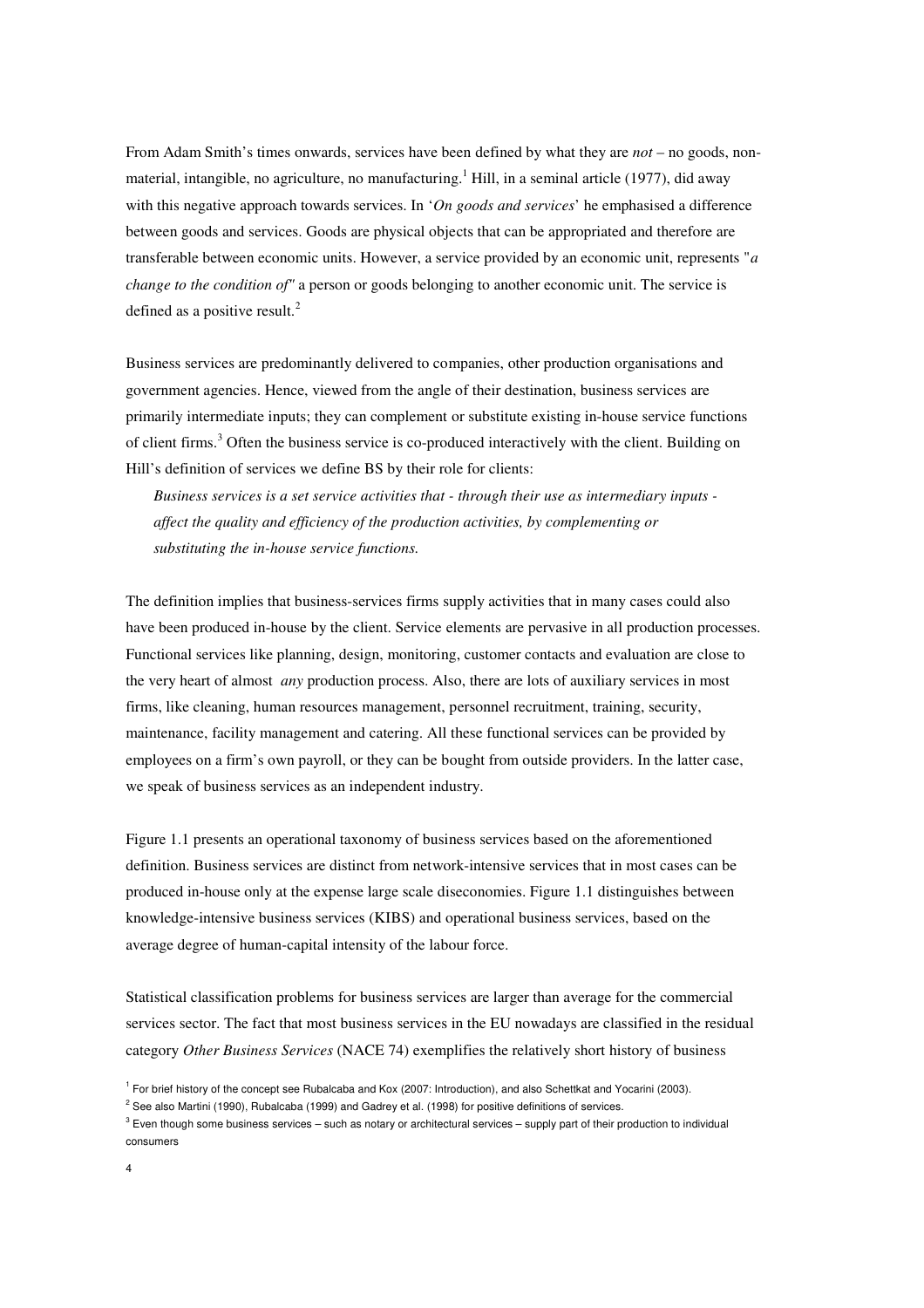From Adam Smith's times onwards, services have been defined by what they are *not* – no goods, nonmaterial, intangible, no agriculture, no manufacturing.<sup>1</sup> Hill, in a seminal article (1977), did away with this negative approach towards services. In '*On goods and services*' he emphasised a difference between goods and services. Goods are physical objects that can be appropriated and therefore are transferable between economic units. However, a service provided by an economic unit, represents "*a change to the condition of"* a person or goods belonging to another economic unit. The service is defined as a positive result. $^{2}$ 

Business services are predominantly delivered to companies, other production organisations and government agencies. Hence, viewed from the angle of their destination, business services are primarily intermediate inputs; they can complement or substitute existing in-house service functions of client firms.<sup>3</sup> Often the business service is co-produced interactively with the client. Building on Hill's definition of services we define BS by their role for clients:

*Business services is a set service activities that - through their use as intermediary inputs affect the quality and efficiency of the production activities, by complementing or substituting the in-house service functions.* 

The definition implies that business-services firms supply activities that in many cases could also have been produced in-house by the client. Service elements are pervasive in all production processes. Functional services like planning, design, monitoring, customer contacts and evaluation are close to the very heart of almost *any* production process. Also, there are lots of auxiliary services in most firms, like cleaning, human resources management, personnel recruitment, training, security, maintenance, facility management and catering. All these functional services can be provided by employees on a firm's own payroll, or they can be bought from outside providers. In the latter case, we speak of business services as an independent industry.

Figure 1.1 presents an operational taxonomy of business services based on the aforementioned definition. Business services are distinct from network-intensive services that in most cases can be produced in-house only at the expense large scale diseconomies. Figure 1.1 distinguishes between knowledge-intensive business services (KIBS) and operational business services, based on the average degree of human-capital intensity of the labour force.

Statistical classification problems for business services are larger than average for the commercial services sector. The fact that most business services in the EU nowadays are classified in the residual category *Other Business Services* (NACE 74) exemplifies the relatively short history of business

<sup>&</sup>lt;sup>1</sup> For brief history of the concept see Rubalcaba and Kox (2007: Introduction), and also Schettkat and Yocarini (2003).

 $^2$  See also Martini (1990), Rubalcaba (1999) and Gadrey et al. (1998) for positive definitions of services.

 $^3$  Even though some business services – such as notary or architectural services – supply part of their production to individual consumers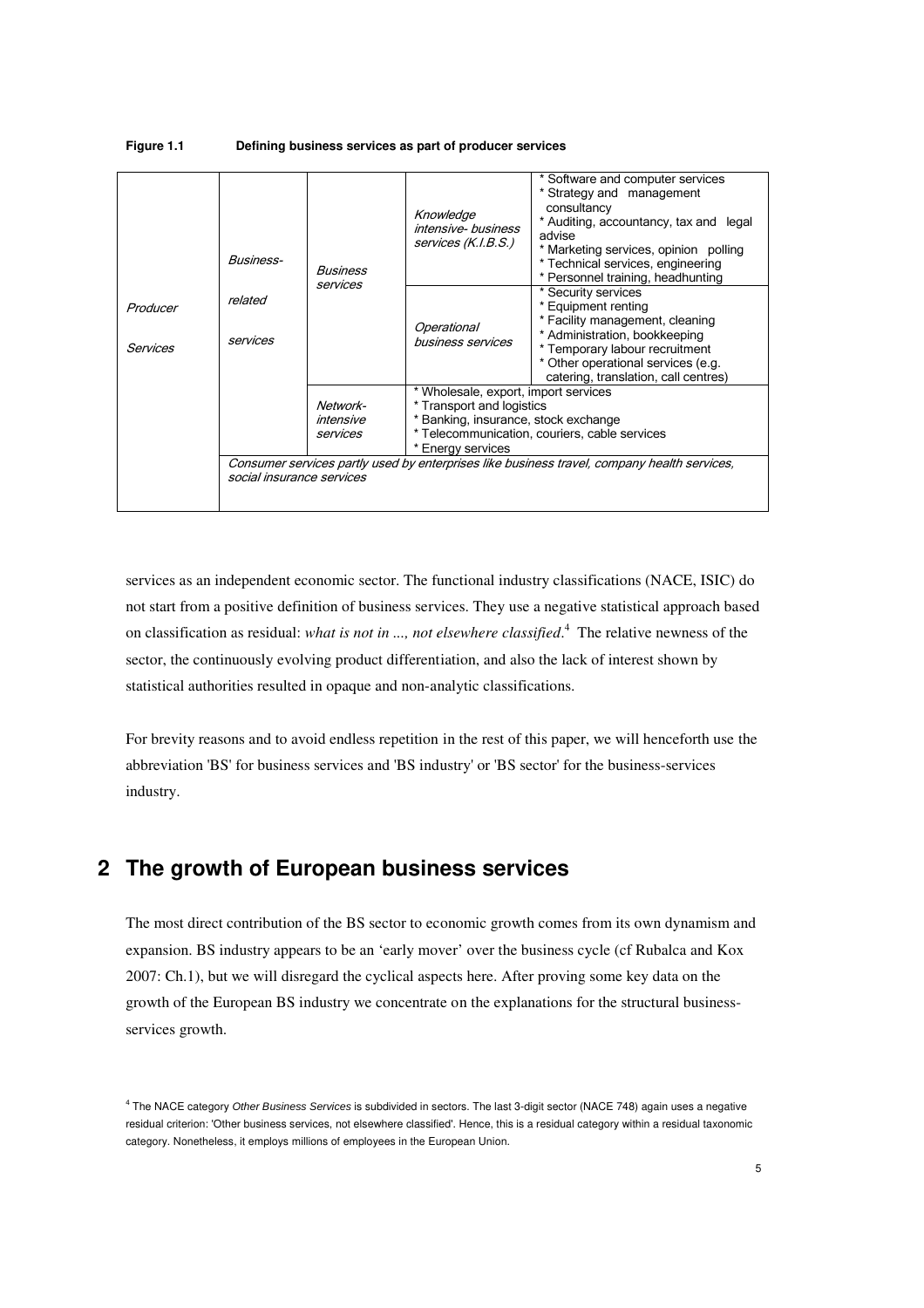#### **Figure 1.1 Defining business services as part of producer services**

| Producer<br>Services | <b>Business-</b>          | Business                          | Knowledge<br>intensive-business<br>services (K.I.B.S.)                                                                       | Software and computer services<br>Strategy and management<br>consultancy<br>* Auditing, accountancy, tax and legal<br>advise<br>* Marketing services, opinion polling<br>* Technical services, engineering<br>* Personnel training, headhunting |
|----------------------|---------------------------|-----------------------------------|------------------------------------------------------------------------------------------------------------------------------|-------------------------------------------------------------------------------------------------------------------------------------------------------------------------------------------------------------------------------------------------|
|                      | related<br>services       | services                          | Operational<br>business services                                                                                             | * Security services<br>* Equipment renting<br>* Facility management, cleaning<br>* Administration, bookkeeping<br>* Temporary labour recruitment<br>* Other operational services (e.g.<br>catering, translation, call centres)                  |
|                      | social insurance services | Network-<br>intensive<br>services | * Wholesale, export, import services<br>* Transport and logistics<br>Banking, insurance, stock exchange<br>* Energy services | * Telecommunication, couriers, cable services<br>Consumer services partly used by enterprises like business travel, company health services,                                                                                                    |

services as an independent economic sector. The functional industry classifications (NACE, ISIC) do not start from a positive definition of business services. They use a negative statistical approach based on classification as residual: *what is not in ..., not elsewhere classified*. 4 The relative newness of the sector, the continuously evolving product differentiation, and also the lack of interest shown by statistical authorities resulted in opaque and non-analytic classifications.

For brevity reasons and to avoid endless repetition in the rest of this paper, we will henceforth use the abbreviation 'BS' for business services and 'BS industry' or 'BS sector' for the business-services industry.

## **2 The growth of European business services**

The most direct contribution of the BS sector to economic growth comes from its own dynamism and expansion. BS industry appears to be an 'early mover' over the business cycle (cf Rubalca and Kox 2007: Ch.1), but we will disregard the cyclical aspects here. After proving some key data on the growth of the European BS industry we concentrate on the explanations for the structural businessservices growth.

<sup>&</sup>lt;sup>4</sup> The NACE category Other Business Services is subdivided in sectors. The last 3-digit sector (NACE 748) again uses a negative residual criterion: 'Other business services, not elsewhere classified'. Hence, this is a residual category within a residual taxonomic category. Nonetheless, it employs millions of employees in the European Union.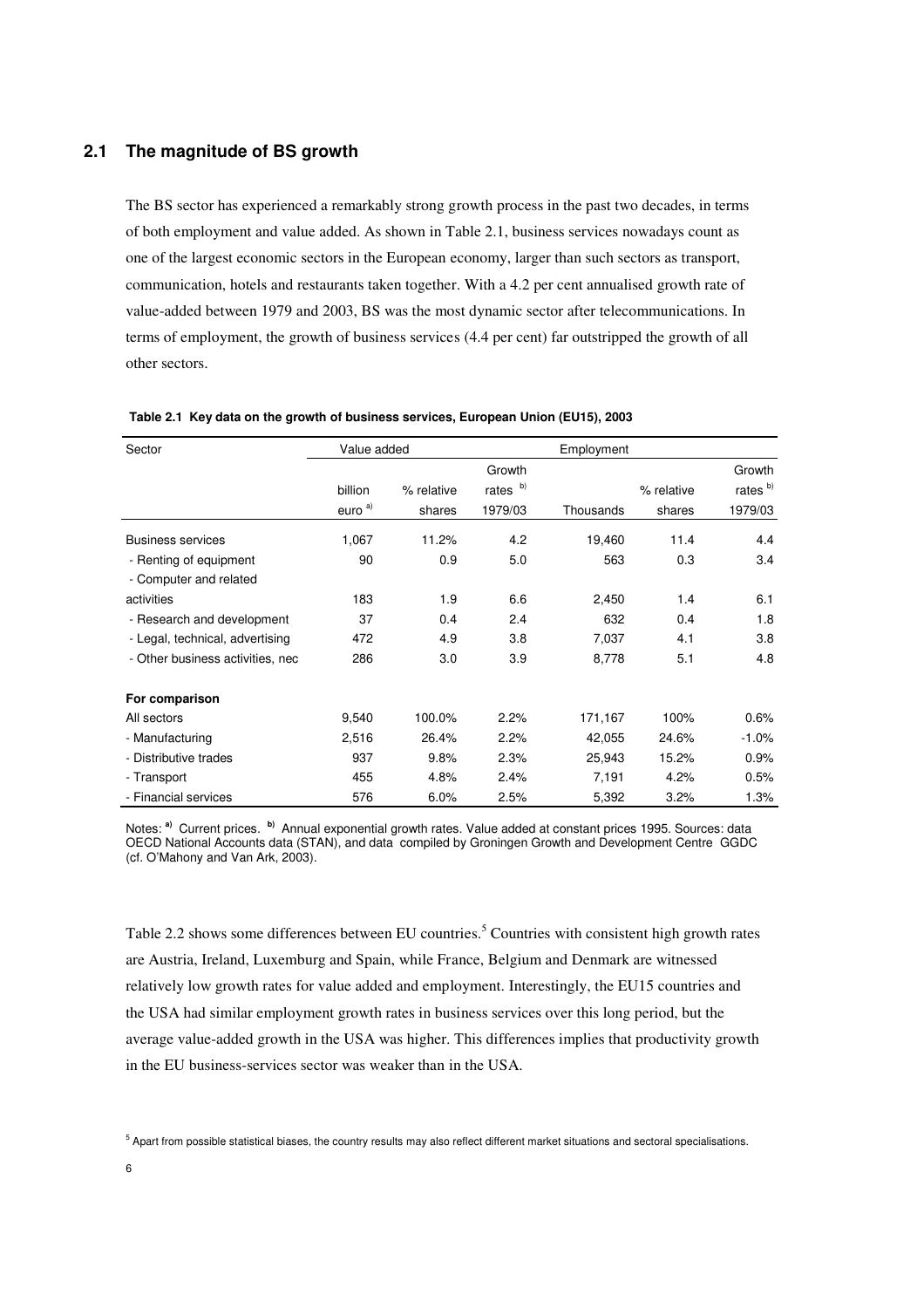#### **2.1 The magnitude of BS growth**

The BS sector has experienced a remarkably strong growth process in the past two decades, in terms of both employment and value added. As shown in Table 2.1, business services nowadays count as one of the largest economic sectors in the European economy, larger than such sectors as transport, communication, hotels and restaurants taken together. With a 4.2 per cent annualised growth rate of value-added between 1979 and 2003, BS was the most dynamic sector after telecommunications. In terms of employment, the growth of business services (4.4 per cent) far outstripped the growth of all other sectors.

| Sector                           | Value added        |            |          | Employment |            |                     |
|----------------------------------|--------------------|------------|----------|------------|------------|---------------------|
|                                  |                    |            | Growth   |            |            | Growth              |
|                                  | billion            | % relative | rates b) |            | % relative | rates <sup>b)</sup> |
|                                  | euro <sup>a)</sup> | shares     | 1979/03  | Thousands  | shares     | 1979/03             |
| <b>Business services</b>         | 1,067              | 11.2%      | 4.2      | 19,460     | 11.4       | 4.4                 |
| - Renting of equipment           | 90                 | 0.9        | 5.0      | 563        | 0.3        | 3.4                 |
| - Computer and related           |                    |            |          |            |            |                     |
| activities                       | 183                | 1.9        | 6.6      | 2,450      | 1.4        | 6.1                 |
| - Research and development       | 37                 | 0.4        | 2.4      | 632        | 0.4        | 1.8                 |
| - Legal, technical, advertising  | 472                | 4.9        | 3.8      | 7,037      | 4.1        | 3.8                 |
| - Other business activities, nec | 286                | 3.0        | 3.9      | 8,778      | 5.1        | 4.8                 |
| For comparison                   |                    |            |          |            |            |                     |
| All sectors                      | 9,540              | 100.0%     | 2.2%     | 171,167    | 100%       | 0.6%                |
| - Manufacturing                  | 2,516              | 26.4%      | 2.2%     | 42,055     | 24.6%      | $-1.0%$             |
| - Distributive trades            | 937                | 9.8%       | 2.3%     | 25,943     | 15.2%      | 0.9%                |
| - Transport                      | 455                | 4.8%       | 2.4%     | 7,191      | 4.2%       | 0.5%                |
| - Financial services             | 576                | 6.0%       | 2.5%     | 5,392      | 3.2%       | 1.3%                |

 **Table 2.1 Key data on the growth of business services, European Union (EU15), 2003** 

 Notes: **a)** Current prices. **b)** Annual exponential growth rates. Value added at constant prices 1995. Sources: data OECD National Accounts data (STAN), and data compiled by Groningen Growth and Development Centre GGDC (cf. O'Mahony and Van Ark, 2003).

Table 2.2 shows some differences between EU countries.<sup>5</sup> Countries with consistent high growth rates are Austria, Ireland, Luxemburg and Spain, while France, Belgium and Denmark are witnessed relatively low growth rates for value added and employment. Interestingly, the EU15 countries and the USA had similar employment growth rates in business services over this long period, but the average value-added growth in the USA was higher. This differences implies that productivity growth in the EU business-services sector was weaker than in the USA.

<sup>&</sup>lt;sup>5</sup> Apart from possible statistical biases, the country results may also reflect different market situations and sectoral specialisations.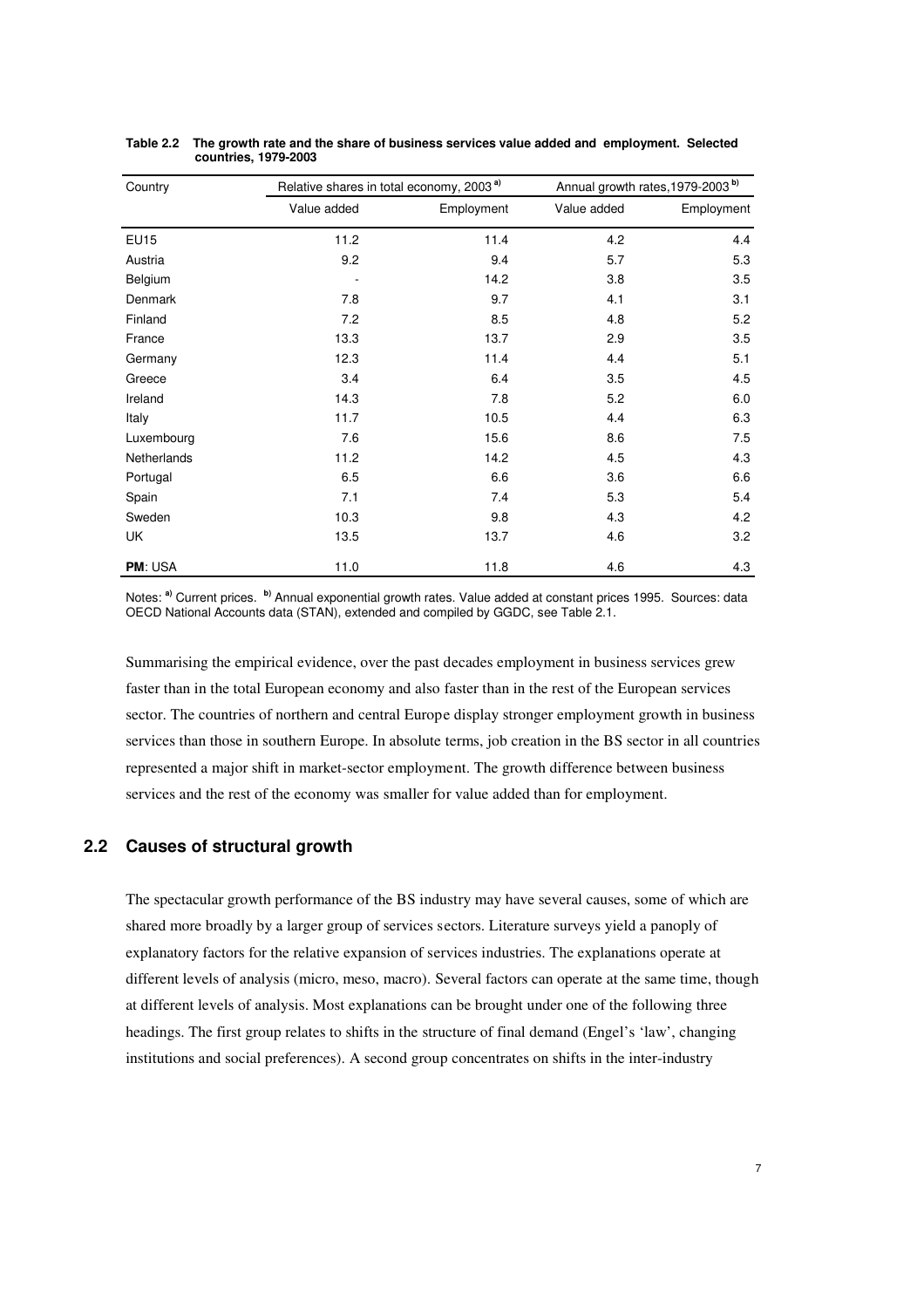| Country        | Relative shares in total economy, 2003 <sup>a)</sup> |            | Annual growth rates, 1979-2003 <sup>b)</sup> |            |
|----------------|------------------------------------------------------|------------|----------------------------------------------|------------|
|                | Value added                                          | Employment | Value added                                  | Employment |
| <b>EU15</b>    | 11.2                                                 | 11.4       | 4.2                                          | 4.4        |
| Austria        | 9.2                                                  | 9.4        | 5.7                                          | 5.3        |
| Belgium        |                                                      | 14.2       | 3.8                                          | 3.5        |
| Denmark        | 7.8                                                  | 9.7        | 4.1                                          | 3.1        |
| Finland        | 7.2                                                  | 8.5        | 4.8                                          | 5.2        |
| France         | 13.3                                                 | 13.7       | 2.9                                          | 3.5        |
| Germany        | 12.3                                                 | 11.4       | 4.4                                          | 5.1        |
| Greece         | 3.4                                                  | 6.4        | 3.5                                          | 4.5        |
| Ireland        | 14.3                                                 | 7.8        | 5.2                                          | 6.0        |
| Italy          | 11.7                                                 | 10.5       | 4.4                                          | 6.3        |
| Luxembourg     | 7.6                                                  | 15.6       | 8.6                                          | 7.5        |
| Netherlands    | 11.2                                                 | 14.2       | 4.5                                          | 4.3        |
| Portugal       | 6.5                                                  | 6.6        | 3.6                                          | 6.6        |
| Spain          | 7.1                                                  | 7.4        | 5.3                                          | 5.4        |
| Sweden         | 10.3                                                 | 9.8        | 4.3                                          | 4.2        |
| UK             | 13.5                                                 | 13.7       | 4.6                                          | 3.2        |
| <b>PM: USA</b> | 11.0                                                 | 11.8       | 4.6                                          | 4.3        |

**Table 2.2 The growth rate and the share of business services value added and employment. Selected countries, 1979-2003** 

Notes: **a)** Current prices. **b)** Annual exponential growth rates. Value added at constant prices 1995. Sources: data OECD National Accounts data (STAN), extended and compiled by GGDC, see Table 2.1.

Summarising the empirical evidence, over the past decades employment in business services grew faster than in the total European economy and also faster than in the rest of the European services sector. The countries of northern and central Europe display stronger employment growth in business services than those in southern Europe. In absolute terms, job creation in the BS sector in all countries represented a major shift in market-sector employment. The growth difference between business services and the rest of the economy was smaller for value added than for employment.

## **2.2 Causes of structural growth**

The spectacular growth performance of the BS industry may have several causes, some of which are shared more broadly by a larger group of services sectors. Literature surveys yield a panoply of explanatory factors for the relative expansion of services industries. The explanations operate at different levels of analysis (micro, meso, macro). Several factors can operate at the same time, though at different levels of analysis. Most explanations can be brought under one of the following three headings. The first group relates to shifts in the structure of final demand (Engel's 'law', changing institutions and social preferences). A second group concentrates on shifts in the inter-industry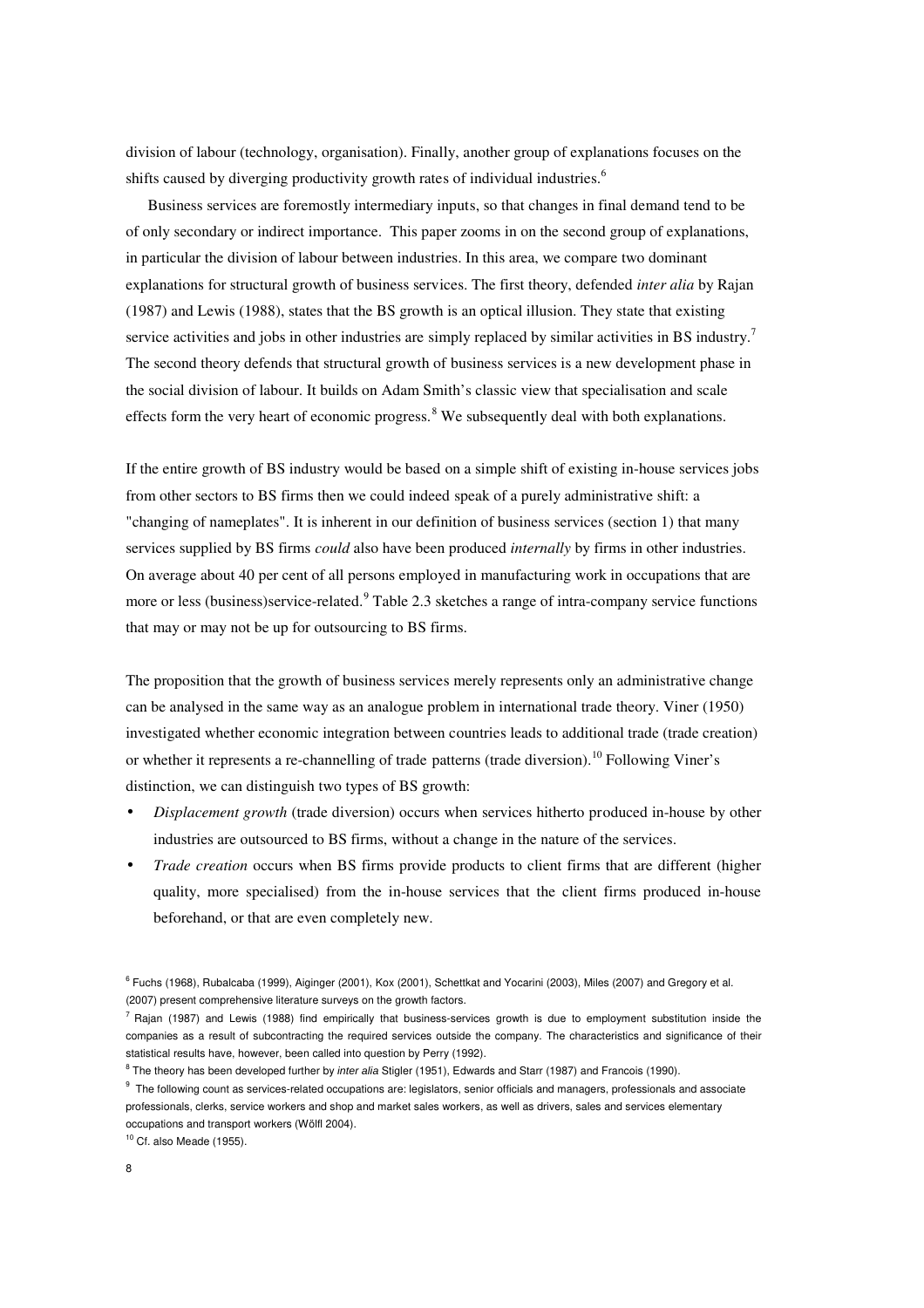division of labour (technology, organisation). Finally, another group of explanations focuses on the shifts caused by diverging productivity growth rates of individual industries.<sup>6</sup>

Business services are foremostly intermediary inputs, so that changes in final demand tend to be of only secondary or indirect importance. This paper zooms in on the second group of explanations, in particular the division of labour between industries. In this area, we compare two dominant explanations for structural growth of business services. The first theory, defended *inter alia* by Rajan (1987) and Lewis (1988), states that the BS growth is an optical illusion. They state that existing service activities and jobs in other industries are simply replaced by similar activities in BS industry.<sup>7</sup> The second theory defends that structural growth of business services is a new development phase in the social division of labour. It builds on Adam Smith's classic view that specialisation and scale effects form the very heart of economic progress.<sup>8</sup> We subsequently deal with both explanations.

If the entire growth of BS industry would be based on a simple shift of existing in-house services jobs from other sectors to BS firms then we could indeed speak of a purely administrative shift: a "changing of nameplates". It is inherent in our definition of business services (section 1) that many services supplied by BS firms *could* also have been produced *internally* by firms in other industries. On average about 40 per cent of all persons employed in manufacturing work in occupations that are more or less (business)service-related.<sup>9</sup> Table 2.3 sketches a range of intra-company service functions that may or may not be up for outsourcing to BS firms.

The proposition that the growth of business services merely represents only an administrative change can be analysed in the same way as an analogue problem in international trade theory. Viner (1950) investigated whether economic integration between countries leads to additional trade (trade creation) or whether it represents a re-channelling of trade patterns (trade diversion).<sup>10</sup> Following Viner's distinction, we can distinguish two types of BS growth:

- *Displacement growth* (trade diversion) occurs when services hitherto produced in-house by other industries are outsourced to BS firms, without a change in the nature of the services.
- *Trade creation* occurs when BS firms provide products to client firms that are different (higher quality, more specialised) from the in-house services that the client firms produced in-house beforehand, or that are even completely new.

 $10$  Cf. also Meade (1955).

<sup>6</sup> Fuchs (1968), Rubalcaba (1999), Aiginger (2001), Kox (2001), Schettkat and Yocarini (2003), Miles (2007) and Gregory et al. (2007) present comprehensive literature surveys on the growth factors.

 $^7$  Rajan (1987) and Lewis (1988) find empirically that business-services growth is due to employment substitution inside the companies as a result of subcontracting the required services outside the company. The characteristics and significance of their statistical results have, however, been called into question by Perry (1992).

<sup>&</sup>lt;sup>8</sup> The theory has been developed further by *inter alia* Stigler (1951), Edwards and Starr (1987) and Francois (1990).

 $^9$  The following count as services-related occupations are: legislators, senior officials and managers, professionals and associate professionals, clerks, service workers and shop and market sales workers, as well as drivers, sales and services elementary occupations and transport workers (Wölfl 2004).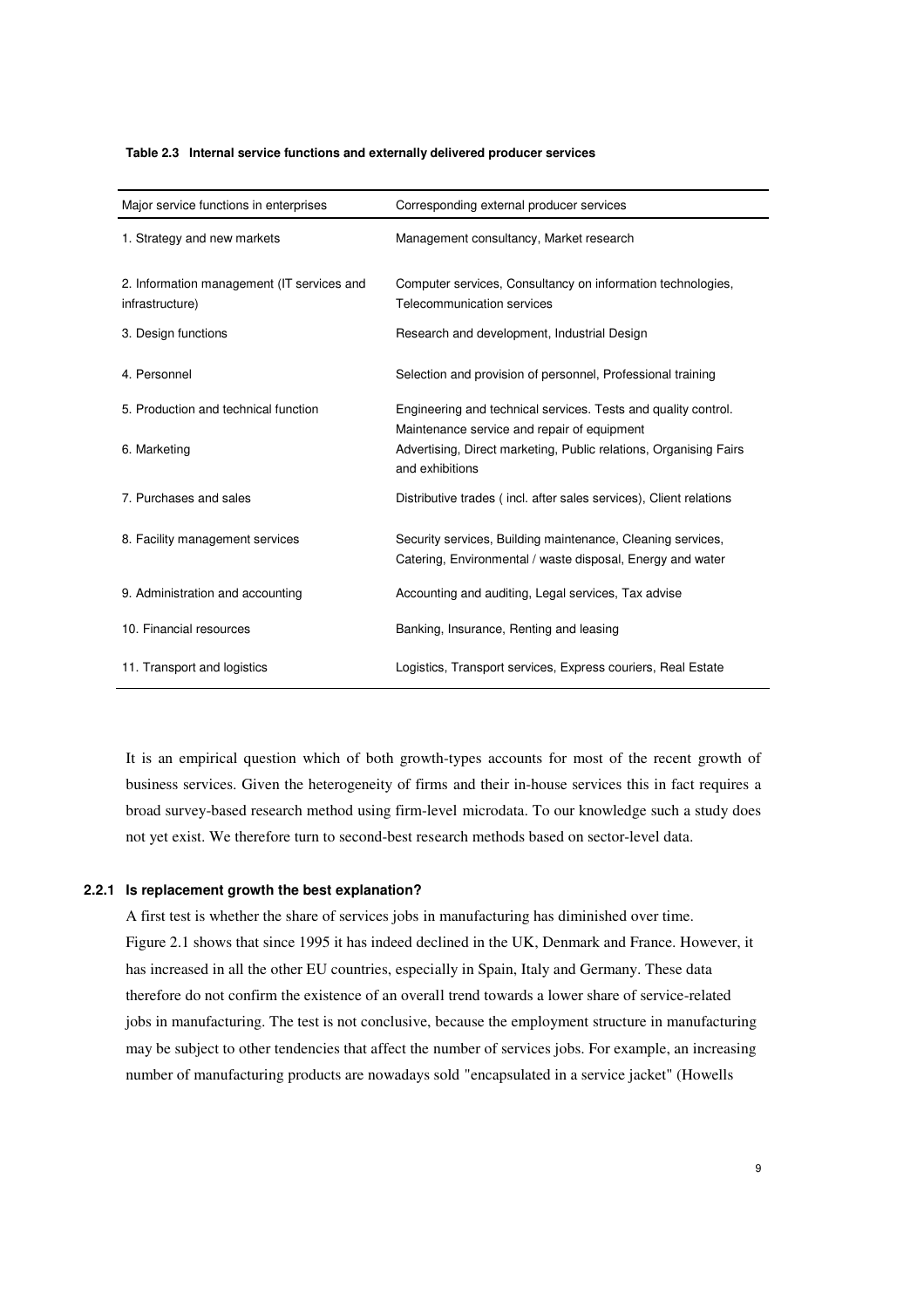|  | Table 2.3 Internal service functions and externally delivered producer services |  |  |  |  |
|--|---------------------------------------------------------------------------------|--|--|--|--|
|--|---------------------------------------------------------------------------------|--|--|--|--|

| Major service functions in enterprises                        | Corresponding external producer services                                                                                  |
|---------------------------------------------------------------|---------------------------------------------------------------------------------------------------------------------------|
| 1. Strategy and new markets                                   | Management consultancy, Market research                                                                                   |
| 2. Information management (IT services and<br>infrastructure) | Computer services, Consultancy on information technologies,<br>Telecommunication services                                 |
| 3. Design functions                                           | Research and development, Industrial Design                                                                               |
| 4. Personnel                                                  | Selection and provision of personnel, Professional training                                                               |
| 5. Production and technical function                          | Engineering and technical services. Tests and quality control.<br>Maintenance service and repair of equipment             |
| 6. Marketing                                                  | Advertising, Direct marketing, Public relations, Organising Fairs<br>and exhibitions                                      |
| 7. Purchases and sales                                        | Distributive trades (incl. after sales services), Client relations                                                        |
| 8. Facility management services                               | Security services, Building maintenance, Cleaning services,<br>Catering, Environmental / waste disposal, Energy and water |
| 9. Administration and accounting                              | Accounting and auditing, Legal services, Tax advise                                                                       |
| 10. Financial resources                                       | Banking, Insurance, Renting and leasing                                                                                   |
| 11. Transport and logistics                                   | Logistics, Transport services, Express couriers, Real Estate                                                              |

It is an empirical question which of both growth-types accounts for most of the recent growth of business services. Given the heterogeneity of firms and their in-house services this in fact requires a broad survey-based research method using firm-level microdata. To our knowledge such a study does not yet exist. We therefore turn to second-best research methods based on sector-level data.

#### **2.2.1 Is replacement growth the best explanation?**

A first test is whether the share of services jobs in manufacturing has diminished over time. Figure 2.1 shows that since 1995 it has indeed declined in the UK, Denmark and France. However, it has increased in all the other EU countries, especially in Spain, Italy and Germany. These data therefore do not confirm the existence of an overall trend towards a lower share of service-related jobs in manufacturing. The test is not conclusive, because the employment structure in manufacturing may be subject to other tendencies that affect the number of services jobs. For example, an increasing number of manufacturing products are nowadays sold "encapsulated in a service jacket" (Howells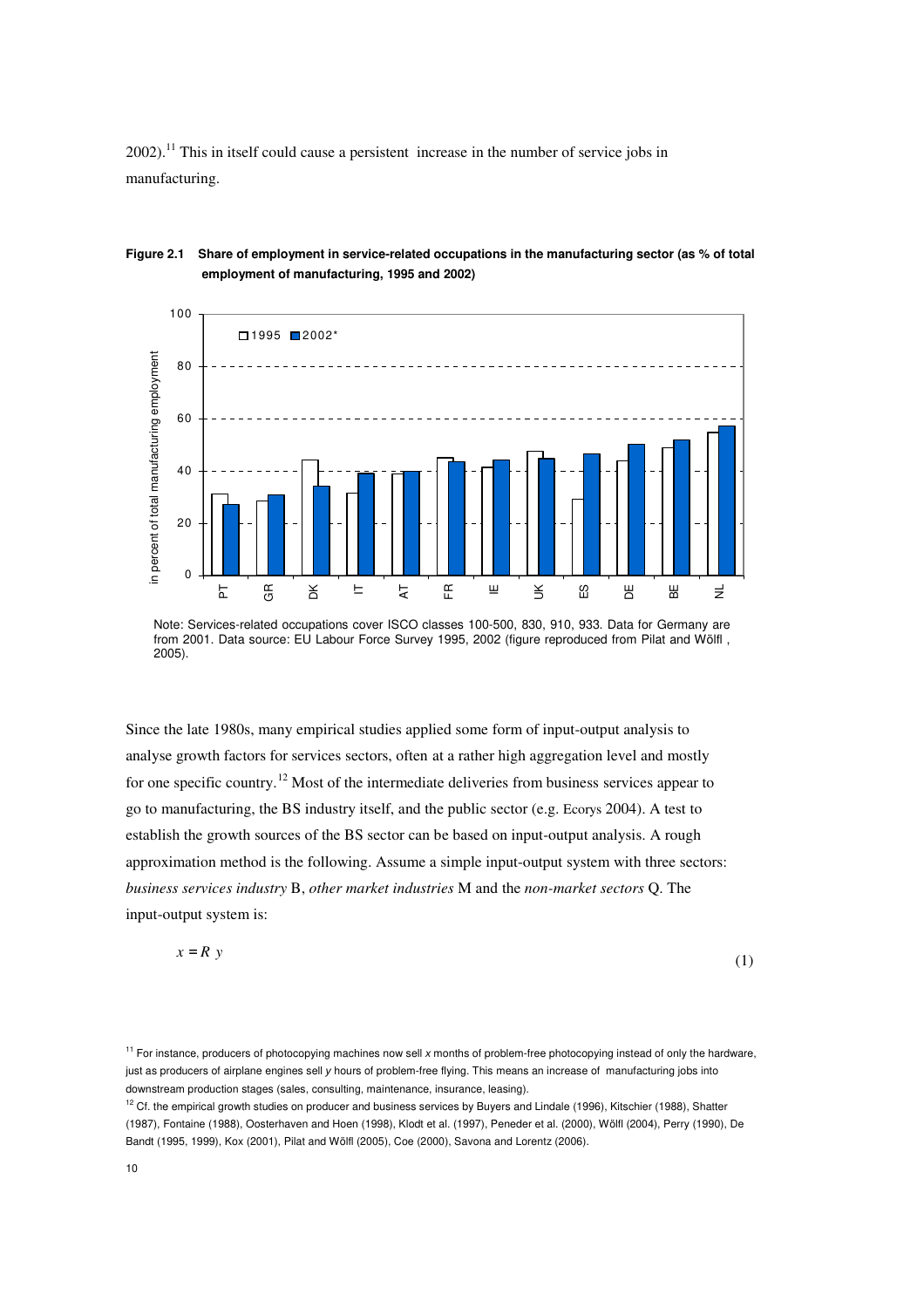$2002$ ).<sup>11</sup> This in itself could cause a persistent increase in the number of service jobs in manufacturing.



### **Figure 2.1 Share of employment in service-related occupations in the manufacturing sector (as % of total employment of manufacturing, 1995 and 2002)**

Since the late 1980s, many empirical studies applied some form of input-output analysis to analyse growth factors for services sectors, often at a rather high aggregation level and mostly for one specific country.<sup>12</sup> Most of the intermediate deliveries from business services appear to go to manufacturing, the BS industry itself, and the public sector (e.g. Ecorys 2004). A test to establish the growth sources of the BS sector can be based on input-output analysis. A rough approximation method is the following. Assume a simple input-output system with three sectors: *business services industry* B, *other market industries* M and the *non-market sectors* Q. The input-output system is:

$$
x = R y \tag{1}
$$

Note: Services-related occupations cover ISCO classes 100-500, 830, 910, 933. Data for Germany are from 2001. Data source: EU Labour Force Survey 1995, 2002 (figure reproduced from Pilat and Wölfl , 2005).

<sup>&</sup>lt;sup>11</sup> For instance, producers of photocopying machines now sell x months of problem-free photocopying instead of only the hardware, just as producers of airplane engines sell y hours of problem-free flying. This means an increase of manufacturing jobs into downstream production stages (sales, consulting, maintenance, insurance, leasing).

 $12$  Cf. the empirical growth studies on producer and business services by Buyers and Lindale (1996), Kitschier (1988), Shatter (1987), Fontaine (1988), Oosterhaven and Hoen (1998), Klodt et al. (1997), Peneder et al. (2000), Wölfl (2004), Perry (1990), De Bandt (1995, 1999), Kox (2001), Pilat and Wölfl (2005), Coe (2000), Savona and Lorentz (2006).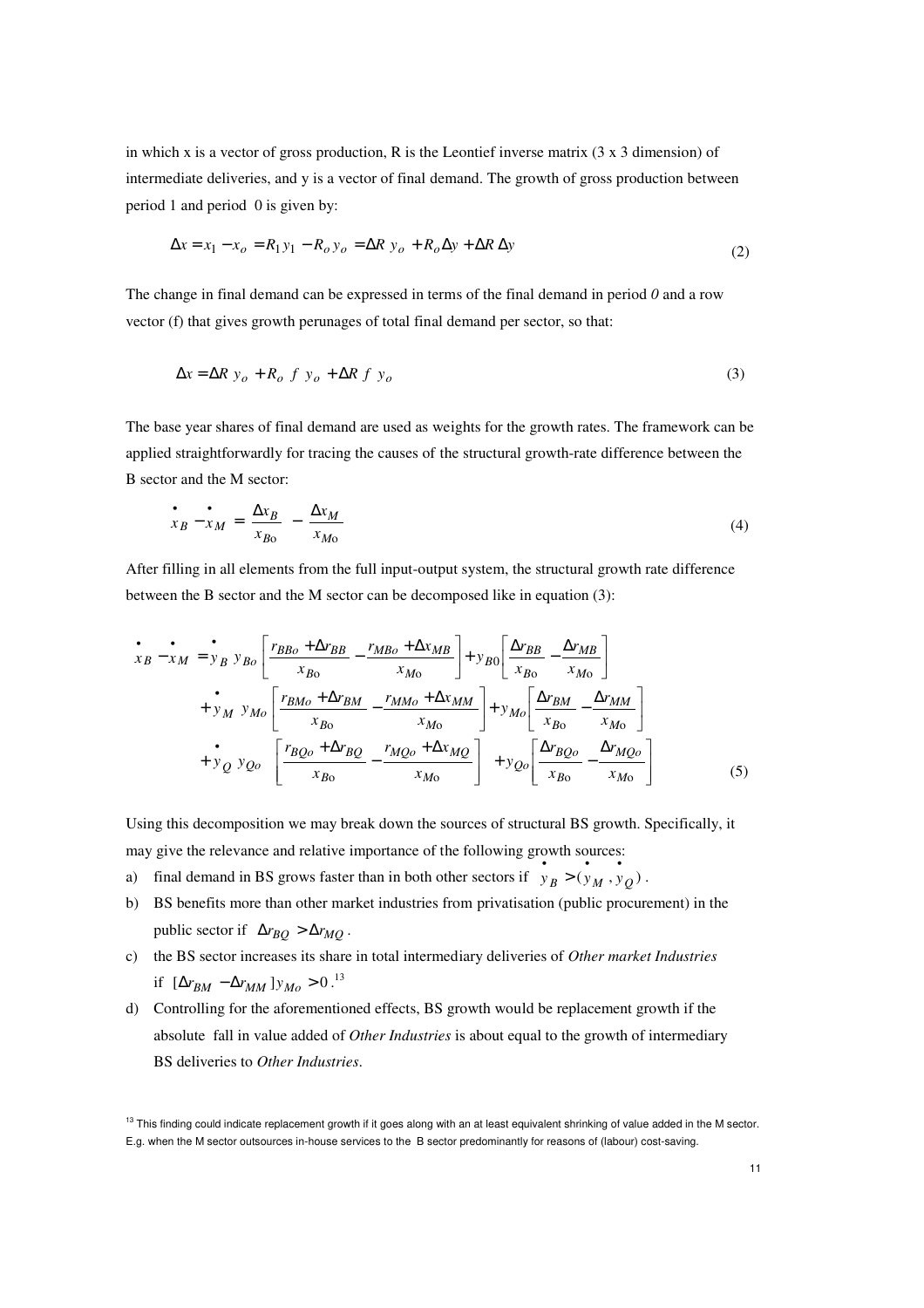in which x is a vector of gross production, R is the Leontief inverse matrix  $(3 \times 3$  dimension) of intermediate deliveries, and y is a vector of final demand. The growth of gross production between period 1 and period 0 is given by:

$$
\Delta x = x_1 - x_o = R_1 y_1 - R_o y_o = \Delta R y_o + R_o \Delta y + \Delta R \Delta y
$$
\n(2)

The change in final demand can be expressed in terms of the final demand in period *0* and a row vector (f) that gives growth perunages of total final demand per sector, so that:

$$
\Delta x = \Delta R \ y_o + R_o \ f \ y_o + \Delta R \ f \ y_o \tag{3}
$$

The base year shares of final demand are used as weights for the growth rates. The framework can be applied straightforwardly for tracing the causes of the structural growth-rate difference between the B sector and the M sector:

$$
\frac{\bullet}{x_B - x_M} = \frac{\Delta x_B}{x_{B0}} - \frac{\Delta x_M}{x_{M0}}
$$
(4)

After filling in all elements from the full input-output system, the structural growth rate difference between the B sector and the M sector can be decomposed like in equation (3):

$$
\begin{aligned}\n\dot{x}_{B} - x_{M} &= y_{B} y_{Bo} \left[ \frac{r_{BBo} + \Delta r_{BB}}{x_{Bo}} - \frac{r_{MBo} + \Delta x_{MB}}{x_{Mo}} \right] + y_{B0} \left[ \frac{\Delta r_{BB}}{x_{Bo}} - \frac{\Delta r_{MB}}{x_{Mo}} \right] \\
&+ y_{M} y_{Mo} \left[ \frac{r_{BMo} + \Delta r_{BM}}{x_{Bo}} - \frac{r_{MMo} + \Delta x_{MM}}{x_{Mo}} \right] + y_{Mo} \left[ \frac{\Delta r_{BM}}{x_{Bo}} - \frac{\Delta r_{MM}}{x_{Mo}} \right] \\
&+ y_{Q} y_{Qo} \left[ \frac{r_{BQo} + \Delta r_{BQ}}{x_{Bo}} - \frac{r_{MQo} + \Delta x_{MQ}}{x_{Mo}} \right] + y_{Qo} \left[ \frac{\Delta r_{BQo}}{x_{Bo}} - \frac{\Delta r_{MQo}}{x_{Mo}} \right]\n\end{aligned}
$$
\n(5)

Using this decomposition we may break down the sources of structural BS growth. Specifically, it may give the relevance and relative importance of the following growth sources:

- a) final demand in BS grows faster than in both other sectors if  $y_B > (y_M, y_Q)$  $y_R > (y_M, y_O).$
- b) BS benefits more than other market industries from privatisation (public procurement) in the public sector if  $\Delta r_{BO} > \Delta r_{MO}$ .
- c) the BS sector increases its share in total intermediary deliveries of *Other market Industries* if  $[Δr_{BM} −Δr_{MM} ] y_{Mo} > 0.^{13}$
- d) Controlling for the aforementioned effects, BS growth would be replacement growth if the absolute fall in value added of *Other Industries* is about equal to the growth of intermediary BS deliveries to *Other Industries*.

 $13$  This finding could indicate replacement growth if it goes along with an at least equivalent shrinking of value added in the M sector. E.g. when the M sector outsources in-house services to the B sector predominantly for reasons of (labour) cost-saving.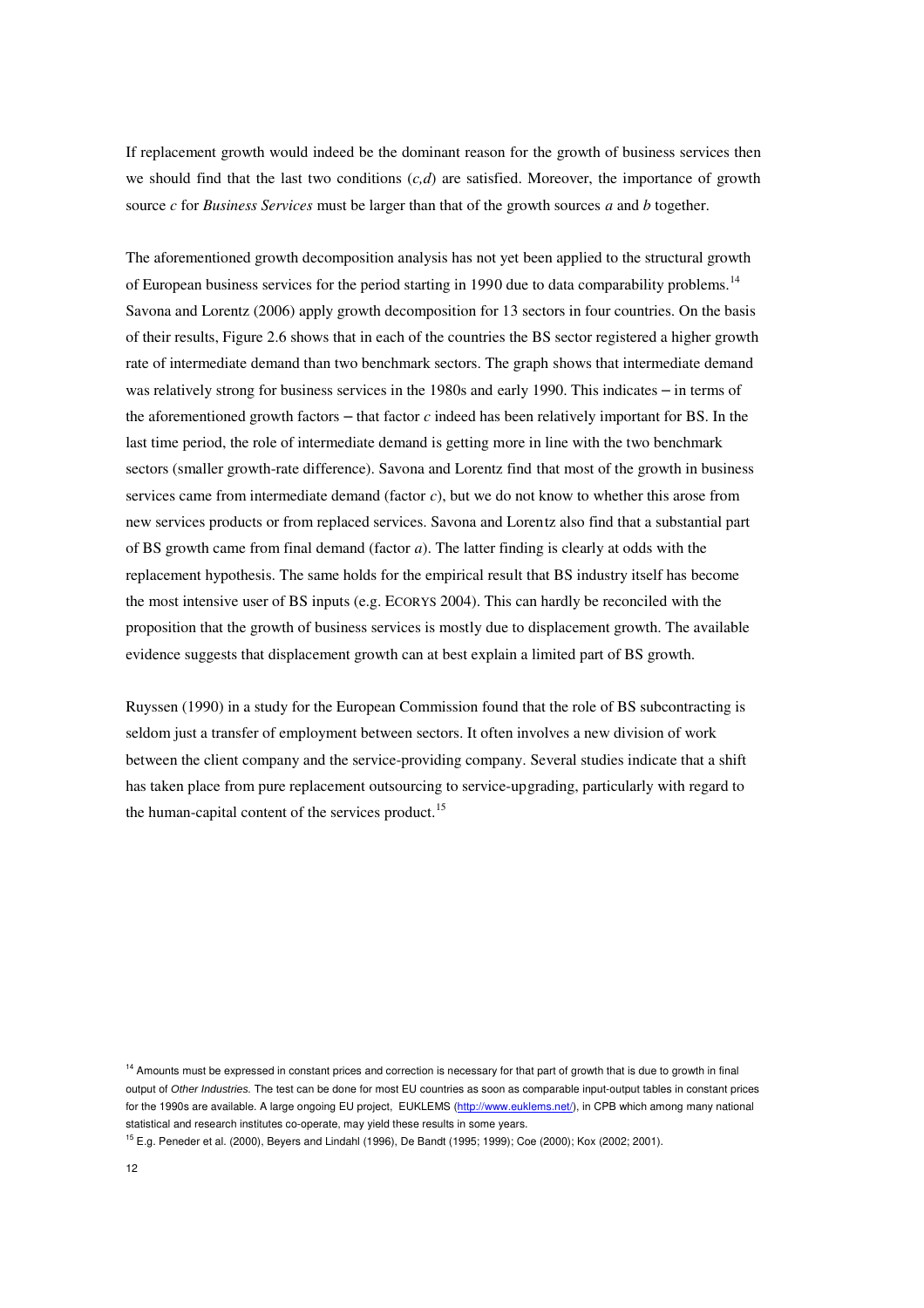If replacement growth would indeed be the dominant reason for the growth of business services then we should find that the last two conditions  $(c,d)$  are satisfied. Moreover, the importance of growth source *c* for *Business Services* must be larger than that of the growth sources *a* and *b* together.

The aforementioned growth decomposition analysis has not yet been applied to the structural growth of European business services for the period starting in 1990 due to data comparability problems.<sup>14</sup> Savona and Lorentz (2006) apply growth decomposition for 13 sectors in four countries. On the basis of their results, Figure 2.6 shows that in each of the countries the BS sector registered a higher growth rate of intermediate demand than two benchmark sectors. The graph shows that intermediate demand was relatively strong for business services in the 1980s and early 1990. This indicates – in terms of the aforementioned growth factors – that factor *c* indeed has been relatively important for BS. In the last time period, the role of intermediate demand is getting more in line with the two benchmark sectors (smaller growth-rate difference). Savona and Lorentz find that most of the growth in business services came from intermediate demand (factor *c*), but we do not know to whether this arose from new services products or from replaced services. Savona and Lorentz also find that a substantial part of BS growth came from final demand (factor *a*). The latter finding is clearly at odds with the replacement hypothesis. The same holds for the empirical result that BS industry itself has become the most intensive user of BS inputs (e.g. ECORYS 2004). This can hardly be reconciled with the proposition that the growth of business services is mostly due to displacement growth. The available evidence suggests that displacement growth can at best explain a limited part of BS growth.

Ruyssen (1990) in a study for the European Commission found that the role of BS subcontracting is seldom just a transfer of employment between sectors. It often involves a new division of work between the client company and the service-providing company. Several studies indicate that a shift has taken place from pure replacement outsourcing to service-upgrading, particularly with regard to the human-capital content of the services product.<sup>15</sup>

<sup>14</sup> Amounts must be expressed in constant prices and correction is necessary for that part of growth that is due to growth in final output of Other Industries. The test can be done for most EU countries as soon as comparable input-output tables in constant prices for the 1990s are available. A large ongoing EU project, EUKLEMS (http://www.euklems.net/), in CPB which among many national statistical and research institutes co-operate, may yield these results in some years.

<sup>15</sup> E.g. Peneder et al. (2000), Beyers and Lindahl (1996), De Bandt (1995; 1999); Coe (2000); Kox (2002; 2001).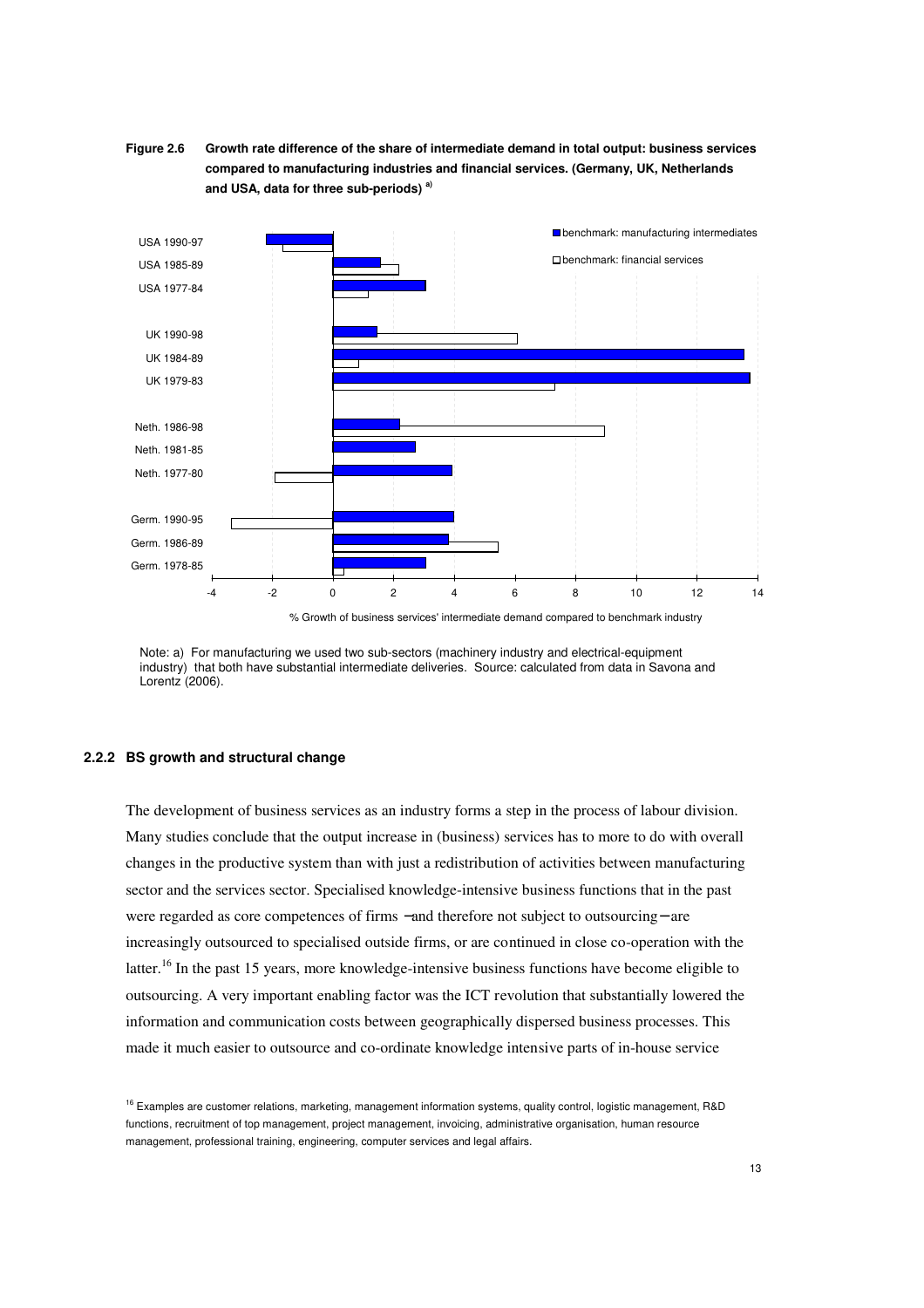



Note: a) For manufacturing we used two sub-sectors (machinery industry and electrical-equipment industry) that both have substantial intermediate deliveries. Source: calculated from data in Savona and Lorentz (2006).

#### **2.2.2 BS growth and structural change**

The development of business services as an industry forms a step in the process of labour division. Many studies conclude that the output increase in (business) services has to more to do with overall changes in the productive system than with just a redistribution of activities between manufacturing sector and the services sector. Specialised knowledge-intensive business functions that in the past were regarded as core competences of firms −and therefore not subject to outsourcing− are increasingly outsourced to specialised outside firms, or are continued in close co-operation with the latter.<sup>16</sup> In the past 15 years, more knowledge-intensive business functions have become eligible to outsourcing. A very important enabling factor was the ICT revolution that substantially lowered the information and communication costs between geographically dispersed business processes. This made it much easier to outsource and co-ordinate knowledge intensive parts of in-house service

<sup>&</sup>lt;sup>16</sup> Examples are customer relations, marketing, management information systems, quality control, logistic management, R&D functions, recruitment of top management, project management, invoicing, administrative organisation, human resource management, professional training, engineering, computer services and legal affairs.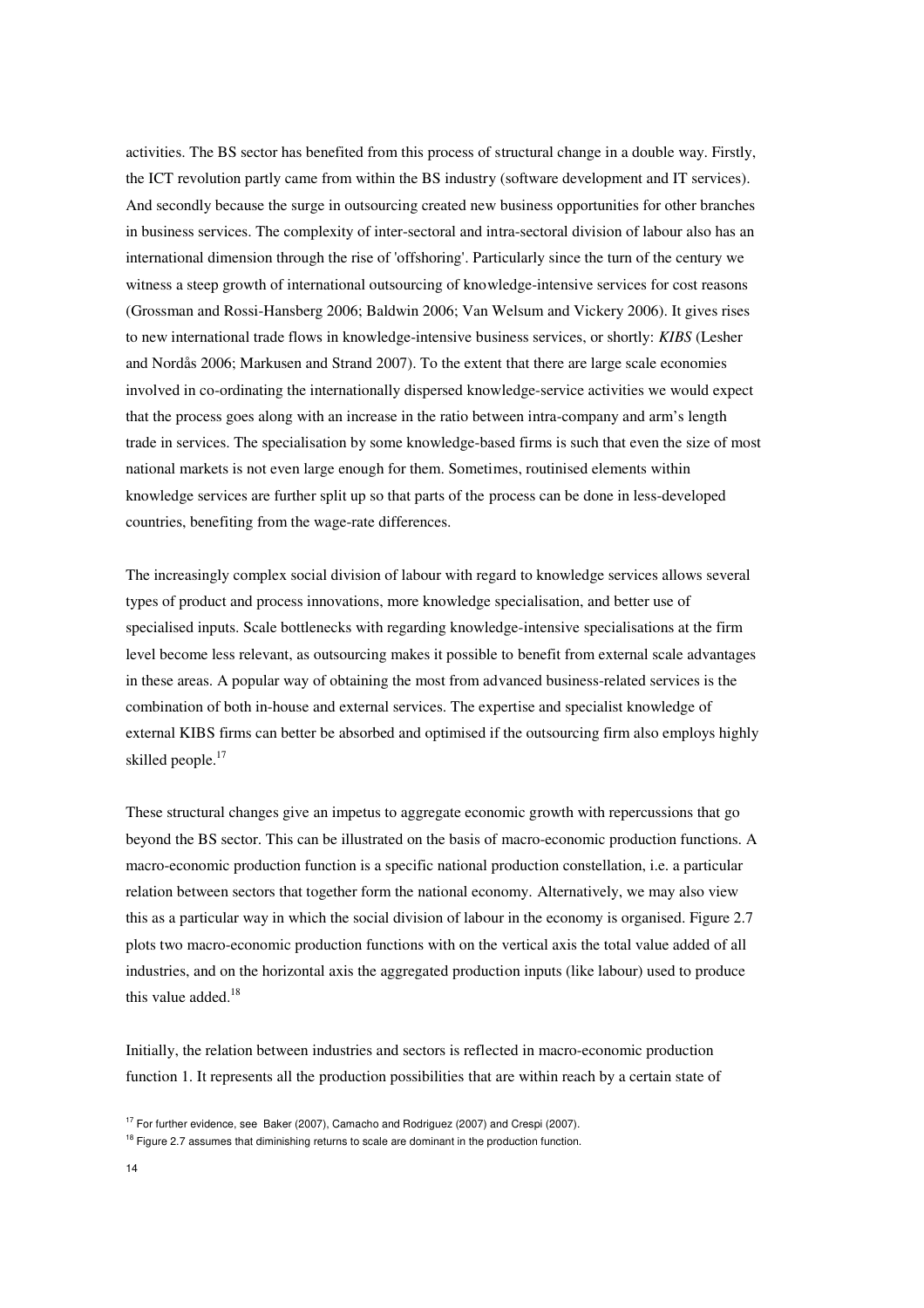activities. The BS sector has benefited from this process of structural change in a double way. Firstly, the ICT revolution partly came from within the BS industry (software development and IT services). And secondly because the surge in outsourcing created new business opportunities for other branches in business services. The complexity of inter-sectoral and intra-sectoral division of labour also has an international dimension through the rise of 'offshoring'. Particularly since the turn of the century we witness a steep growth of international outsourcing of knowledge-intensive services for cost reasons (Grossman and Rossi-Hansberg 2006; Baldwin 2006; Van Welsum and Vickery 2006). It gives rises to new international trade flows in knowledge-intensive business services, or shortly: *KIBS* (Lesher and Nordås 2006; Markusen and Strand 2007). To the extent that there are large scale economies involved in co-ordinating the internationally dispersed knowledge-service activities we would expect that the process goes along with an increase in the ratio between intra-company and arm's length trade in services. The specialisation by some knowledge-based firms is such that even the size of most national markets is not even large enough for them. Sometimes, routinised elements within knowledge services are further split up so that parts of the process can be done in less-developed countries, benefiting from the wage-rate differences.

The increasingly complex social division of labour with regard to knowledge services allows several types of product and process innovations, more knowledge specialisation, and better use of specialised inputs. Scale bottlenecks with regarding knowledge-intensive specialisations at the firm level become less relevant, as outsourcing makes it possible to benefit from external scale advantages in these areas. A popular way of obtaining the most from advanced business-related services is the combination of both in-house and external services. The expertise and specialist knowledge of external KIBS firms can better be absorbed and optimised if the outsourcing firm also employs highly skilled people.<sup>17</sup>

These structural changes give an impetus to aggregate economic growth with repercussions that go beyond the BS sector. This can be illustrated on the basis of macro-economic production functions. A macro-economic production function is a specific national production constellation, i.e. a particular relation between sectors that together form the national economy. Alternatively, we may also view this as a particular way in which the social division of labour in the economy is organised. Figure 2.7 plots two macro-economic production functions with on the vertical axis the total value added of all industries, and on the horizontal axis the aggregated production inputs (like labour) used to produce this value added. $18$ 

Initially, the relation between industries and sectors is reflected in macro-economic production function 1. It represents all the production possibilities that are within reach by a certain state of

 $17$  For further evidence, see Baker (2007), Camacho and Rodriguez (2007) and Crespi (2007).

<sup>&</sup>lt;sup>18</sup> Figure 2.7 assumes that diminishing returns to scale are dominant in the production function.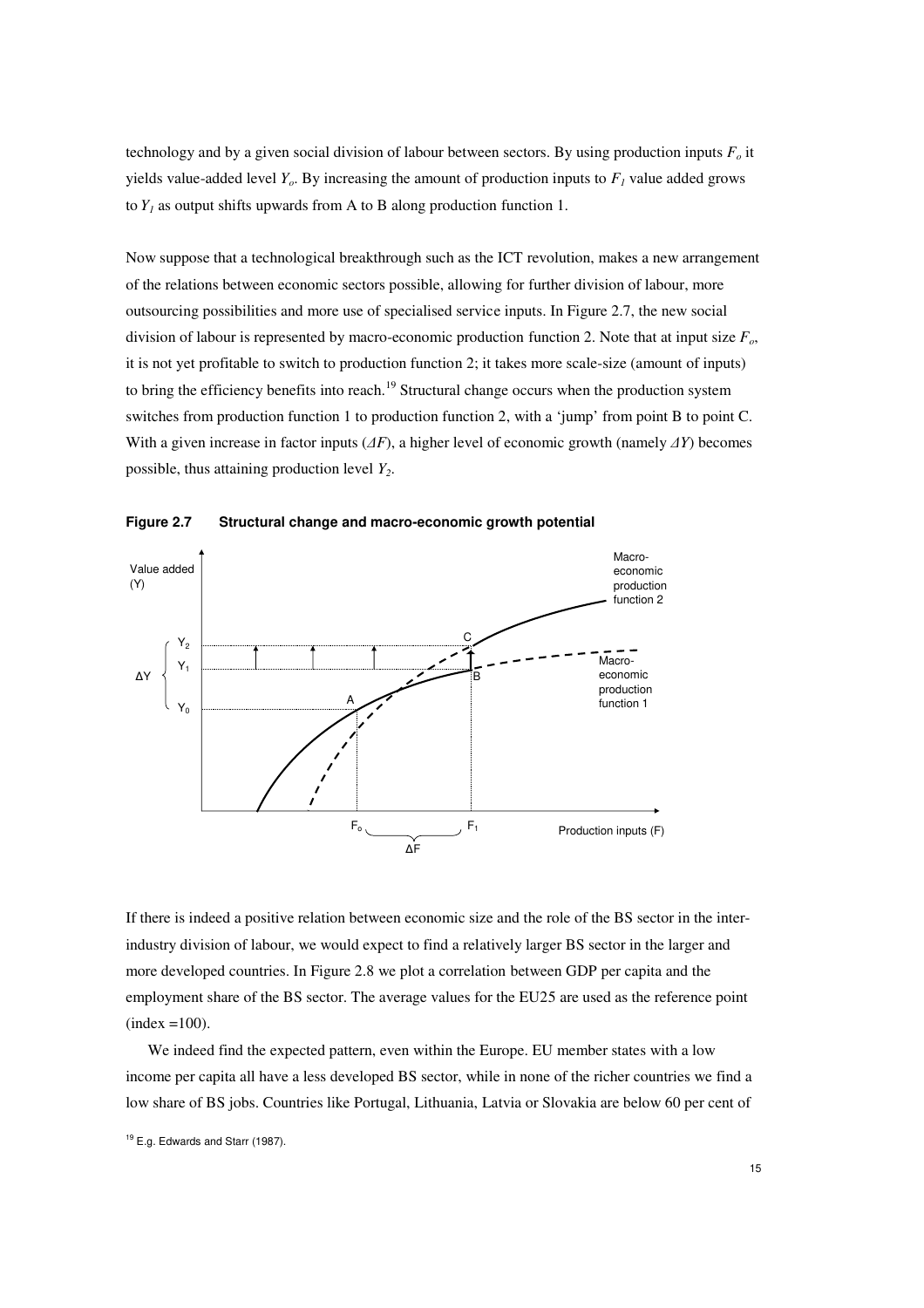technology and by a given social division of labour between sectors. By using production inputs  $F<sub>o</sub>$  it yields value-added level  $Y_o$ . By increasing the amount of production inputs to  $F_I$  value added grows to  $Y_I$  as output shifts upwards from A to B along production function 1.

Now suppose that a technological breakthrough such as the ICT revolution, makes a new arrangement of the relations between economic sectors possible, allowing for further division of labour, more outsourcing possibilities and more use of specialised service inputs. In Figure 2.7, the new social division of labour is represented by macro-economic production function 2. Note that at input size *Fo*, it is not yet profitable to switch to production function 2; it takes more scale-size (amount of inputs) to bring the efficiency benefits into reach.<sup>19</sup> Structural change occurs when the production system switches from production function 1 to production function 2, with a 'jump' from point B to point C. With a given increase in factor inputs (∆*F*), a higher level of economic growth (namely ∆*Y*) becomes possible, thus attaining production level *Y2*.



**Figure 2.7 Structural change and macro-economic growth potential** 

If there is indeed a positive relation between economic size and the role of the BS sector in the interindustry division of labour, we would expect to find a relatively larger BS sector in the larger and more developed countries. In Figure 2.8 we plot a correlation between GDP per capita and the employment share of the BS sector. The average values for the EU25 are used as the reference point  $(index =100).$ 

We indeed find the expected pattern, even within the Europe. EU member states with a low income per capita all have a less developed BS sector, while in none of the richer countries we find a low share of BS jobs. Countries like Portugal, Lithuania, Latvia or Slovakia are below 60 per cent of

<sup>&</sup>lt;sup>19</sup> E.g. Edwards and Starr (1987).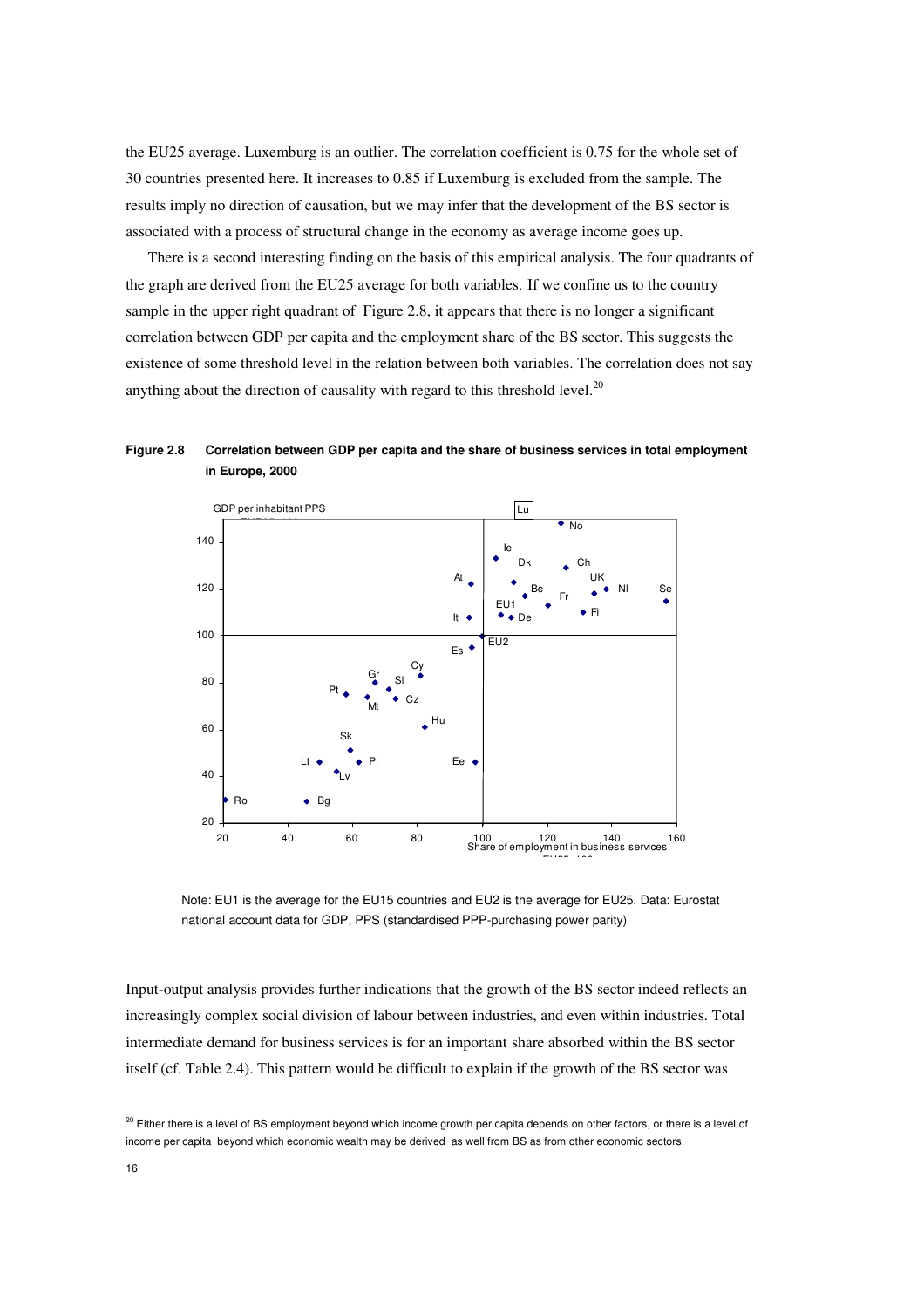the EU25 average. Luxemburg is an outlier. The correlation coefficient is 0.75 for the whole set of 30 countries presented here. It increases to 0.85 if Luxemburg is excluded from the sample. The results imply no direction of causation, but we may infer that the development of the BS sector is associated with a process of structural change in the economy as average income goes up.

There is a second interesting finding on the basis of this empirical analysis. The four quadrants of the graph are derived from the EU25 average for both variables. If we confine us to the country sample in the upper right quadrant of Figure 2.8, it appears that there is no longer a significant correlation between GDP per capita and the employment share of the BS sector. This suggests the existence of some threshold level in the relation between both variables. The correlation does not say anything about the direction of causality with regard to this threshold level.<sup>20</sup>





Note: EU1 is the average for the EU15 countries and EU2 is the average for EU25. Data: Eurostat national account data for GDP, PPS (standardised PPP-purchasing power parity)

Input-output analysis provides further indications that the growth of the BS sector indeed reflects an increasingly complex social division of labour between industries, and even within industries. Total intermediate demand for business services is for an important share absorbed within the BS sector itself (cf. Table 2.4). This pattern would be difficult to explain if the growth of the BS sector was

<sup>&</sup>lt;sup>20</sup> Either there is a level of BS employment beyond which income growth per capita depends on other factors, or there is a level of income per capita beyond which economic wealth may be derived as well from BS as from other economic sectors.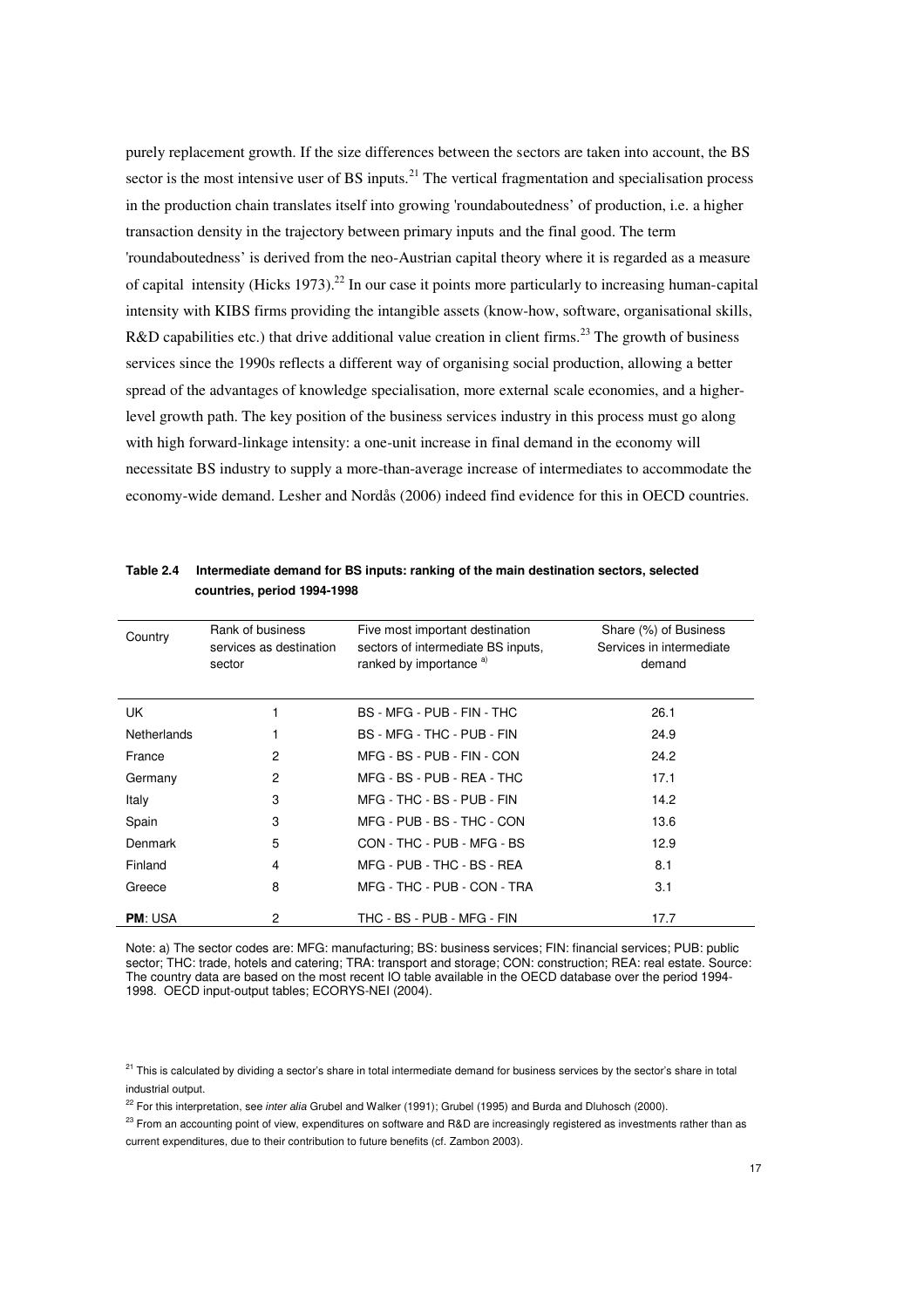purely replacement growth. If the size differences between the sectors are taken into account, the BS sector is the most intensive user of BS inputs.<sup>21</sup> The vertical fragmentation and specialisation process in the production chain translates itself into growing 'roundaboutedness' of production, i.e. a higher transaction density in the trajectory between primary inputs and the final good. The term 'roundaboutedness' is derived from the neo-Austrian capital theory where it is regarded as a measure of capital intensity (Hicks 1973).<sup>22</sup> In our case it points more particularly to increasing human-capital intensity with KIBS firms providing the intangible assets (know-how, software, organisational skills, R&D capabilities etc.) that drive additional value creation in client firms.<sup>23</sup> The growth of business services since the 1990s reflects a different way of organising social production, allowing a better spread of the advantages of knowledge specialisation, more external scale economies, and a higherlevel growth path. The key position of the business services industry in this process must go along with high forward-linkage intensity: a one-unit increase in final demand in the economy will necessitate BS industry to supply a more-than-average increase of intermediates to accommodate the economy-wide demand. Lesher and Nordås (2006) indeed find evidence for this in OECD countries.

| Country            | Rank of business<br>services as destination<br>sector | Five most important destination<br>sectors of intermediate BS inputs,<br>ranked by importance a) | Share (%) of Business<br>Services in intermediate<br>demand |
|--------------------|-------------------------------------------------------|--------------------------------------------------------------------------------------------------|-------------------------------------------------------------|
| UK.                |                                                       | BS - MFG - PUB - FIN - THC                                                                       | 26.1                                                        |
| <b>Netherlands</b> |                                                       | BS - MFG - THC - PUB - FIN                                                                       | 24.9                                                        |
| France             | 2                                                     | MFG - BS - PUB - FIN - CON                                                                       | 24.2                                                        |
| Germany            | $\overline{c}$                                        | MFG - BS - PUB - REA - THC                                                                       | 17.1                                                        |
| Italy              | 3                                                     | MFG - THC - BS - PUB - FIN                                                                       | 14.2                                                        |
| Spain              | 3                                                     | MFG - PUB - BS - THC - CON                                                                       | 13.6                                                        |
| Denmark            | 5                                                     | CON - THC - PUB - MFG - BS                                                                       | 12.9                                                        |
| Finland            | 4                                                     | MFG - PUB - THC - BS - REA                                                                       | 8.1                                                         |
| Greece             | 8                                                     | MFG - THC - PUB - CON - TRA                                                                      | 3.1                                                         |
| <b>PM: USA</b>     | 2                                                     | THC - BS - PUB - MFG - FIN                                                                       | 17.7                                                        |

**Table 2.4 Intermediate demand for BS inputs: ranking of the main destination sectors, selected countries, period 1994-1998** 

Note: a) The sector codes are: MFG: manufacturing; BS: business services; FIN: financial services; PUB: public sector; THC: trade, hotels and catering; TRA: transport and storage; CON: construction; REA: real estate. Source: The country data are based on the most recent IO table available in the OECD database over the period 1994- 1998. OECD input-output tables; ECORYS-NEI (2004).

<sup>21</sup> This is calculated by dividing a sector's share in total intermediate demand for business services by the sector's share in total industrial output.

<sup>22</sup> For this interpretation, see inter alia Grubel and Walker (1991); Grubel (1995) and Burda and Dluhosch (2000).

<sup>23</sup> From an accounting point of view, expenditures on software and R&D are increasingly registered as investments rather than as current expenditures, due to their contribution to future benefits (cf. Zambon 2003).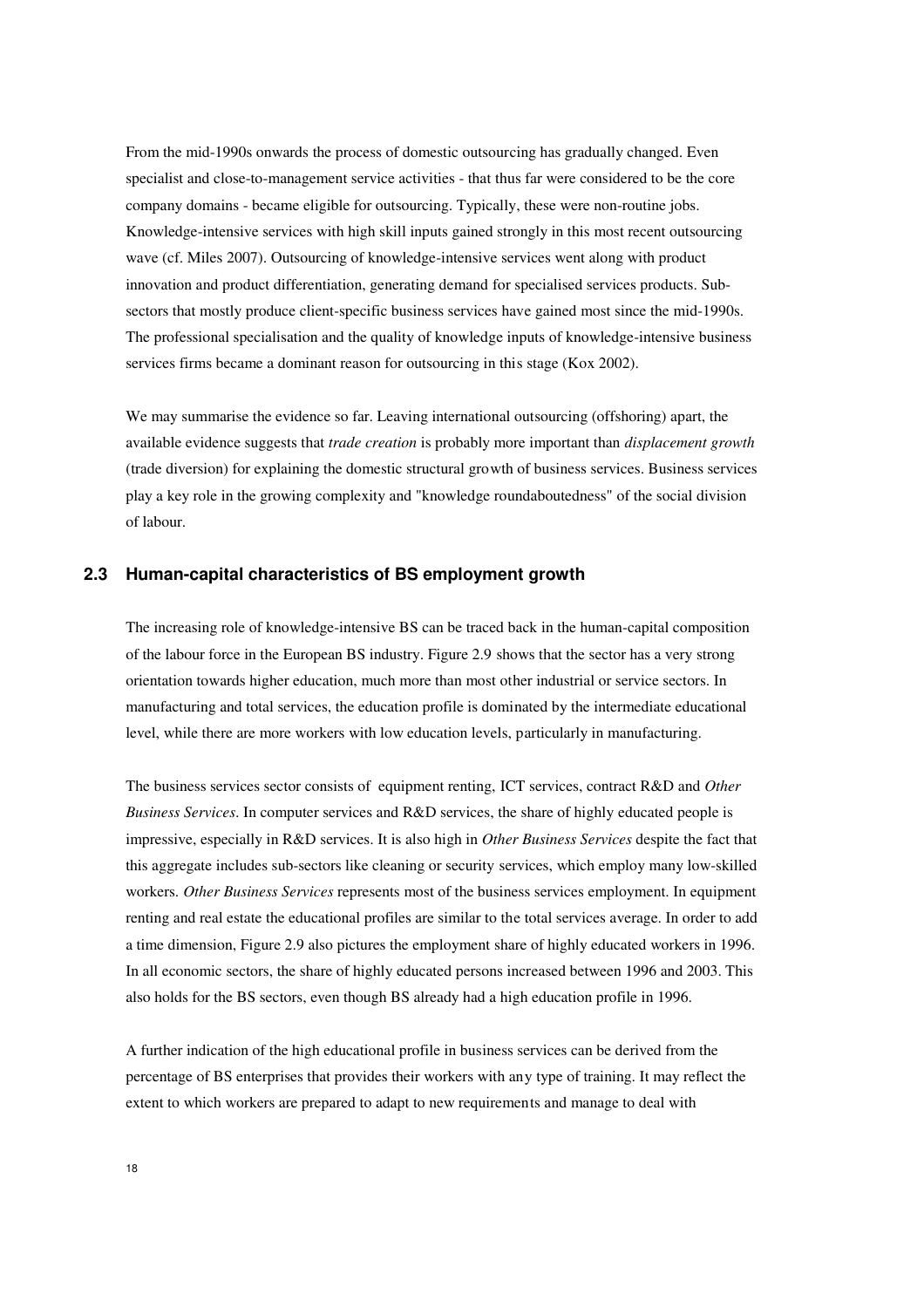From the mid-1990s onwards the process of domestic outsourcing has gradually changed. Even specialist and close-to-management service activities - that thus far were considered to be the core company domains - became eligible for outsourcing. Typically, these were non-routine jobs. Knowledge-intensive services with high skill inputs gained strongly in this most recent outsourcing wave (cf. Miles 2007). Outsourcing of knowledge-intensive services went along with product innovation and product differentiation, generating demand for specialised services products. Subsectors that mostly produce client-specific business services have gained most since the mid-1990s. The professional specialisation and the quality of knowledge inputs of knowledge-intensive business services firms became a dominant reason for outsourcing in this stage (Kox 2002).

We may summarise the evidence so far. Leaving international outsourcing (offshoring) apart, the available evidence suggests that *trade creation* is probably more important than *displacement growth*  (trade diversion) for explaining the domestic structural growth of business services. Business services play a key role in the growing complexity and "knowledge roundaboutedness" of the social division of labour.

### **2.3 Human-capital characteristics of BS employment growth**

The increasing role of knowledge-intensive BS can be traced back in the human-capital composition of the labour force in the European BS industry. Figure 2.9 shows that the sector has a very strong orientation towards higher education, much more than most other industrial or service sectors. In manufacturing and total services, the education profile is dominated by the intermediate educational level, while there are more workers with low education levels, particularly in manufacturing.

The business services sector consists of equipment renting, ICT services, contract R&D and *Other Business Services*. In computer services and R&D services, the share of highly educated people is impressive, especially in R&D services. It is also high in *Other Business Services* despite the fact that this aggregate includes sub-sectors like cleaning or security services, which employ many low-skilled workers. *Other Business Services* represents most of the business services employment. In equipment renting and real estate the educational profiles are similar to the total services average. In order to add a time dimension, Figure 2.9 also pictures the employment share of highly educated workers in 1996. In all economic sectors, the share of highly educated persons increased between 1996 and 2003. This also holds for the BS sectors, even though BS already had a high education profile in 1996.

A further indication of the high educational profile in business services can be derived from the percentage of BS enterprises that provides their workers with any type of training. It may reflect the extent to which workers are prepared to adapt to new requirements and manage to deal with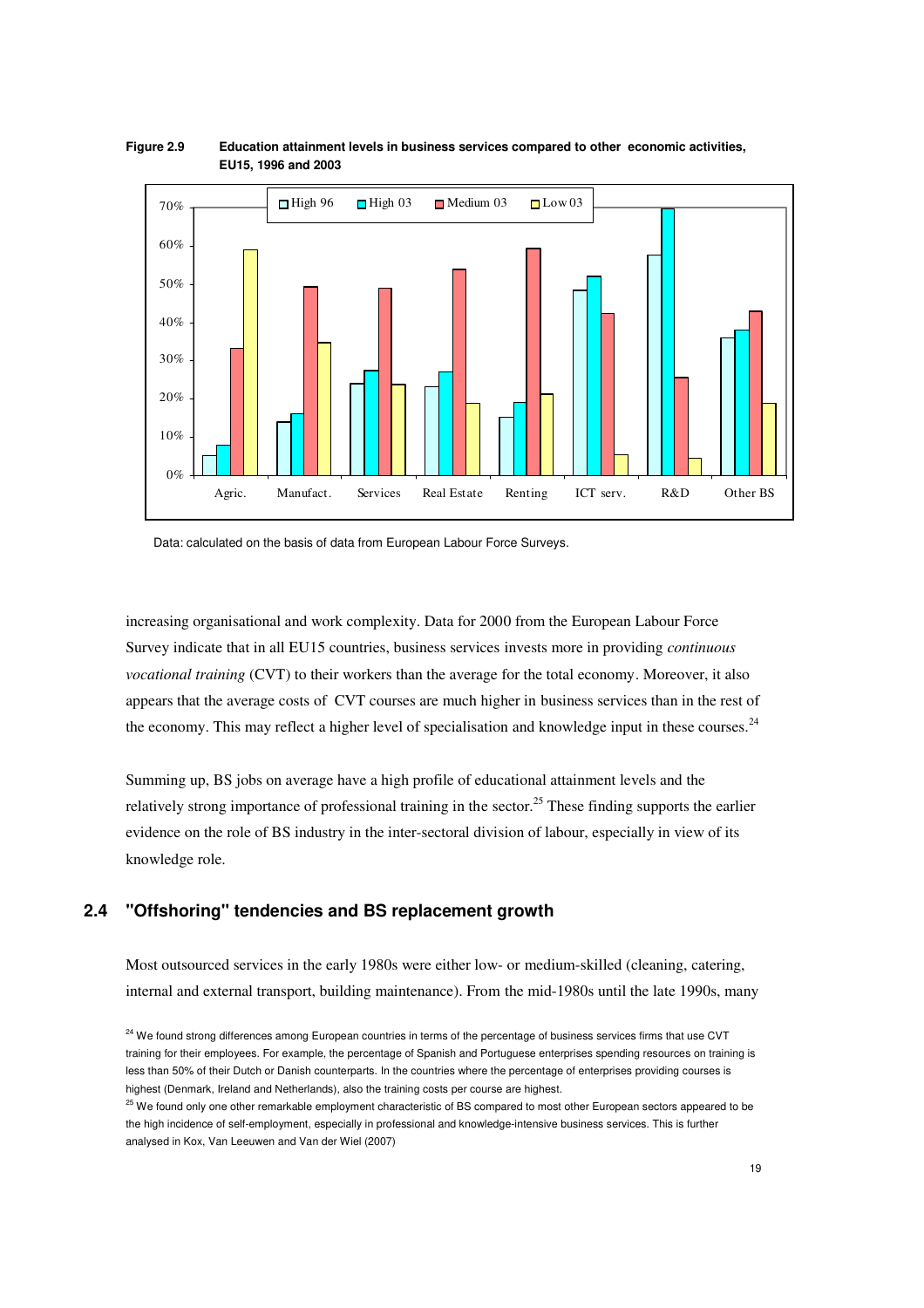

#### **Figure 2.9 Education attainment levels in business services compared to other economic activities, EU15, 1996 and 2003**

Data: calculated on the basis of data from European Labour Force Surveys.

increasing organisational and work complexity. Data for 2000 from the European Labour Force Survey indicate that in all EU15 countries, business services invests more in providing *continuous vocational training* (CVT) to their workers than the average for the total economy. Moreover, it also appears that the average costs of CVT courses are much higher in business services than in the rest of the economy. This may reflect a higher level of specialisation and knowledge input in these courses. $^{24}$ 

Summing up, BS jobs on average have a high profile of educational attainment levels and the relatively strong importance of professional training in the sector.<sup>25</sup> These finding supports the earlier evidence on the role of BS industry in the inter-sectoral division of labour, especially in view of its knowledge role.

## **2.4 "Offshoring" tendencies and BS replacement growth**

Most outsourced services in the early 1980s were either low- or medium-skilled (cleaning, catering, internal and external transport, building maintenance). From the mid-1980s until the late 1990s, many

<sup>&</sup>lt;sup>24</sup> We found strong differences among European countries in terms of the percentage of business services firms that use CVT training for their employees. For example, the percentage of Spanish and Portuguese enterprises spending resources on training is less than 50% of their Dutch or Danish counterparts. In the countries where the percentage of enterprises providing courses is highest (Denmark, Ireland and Netherlands), also the training costs per course are highest.

<sup>&</sup>lt;sup>25</sup> We found only one other remarkable employment characteristic of BS compared to most other European sectors appeared to be the high incidence of self-employment, especially in professional and knowledge-intensive business services. This is further analysed in Kox, Van Leeuwen and Van der Wiel (2007)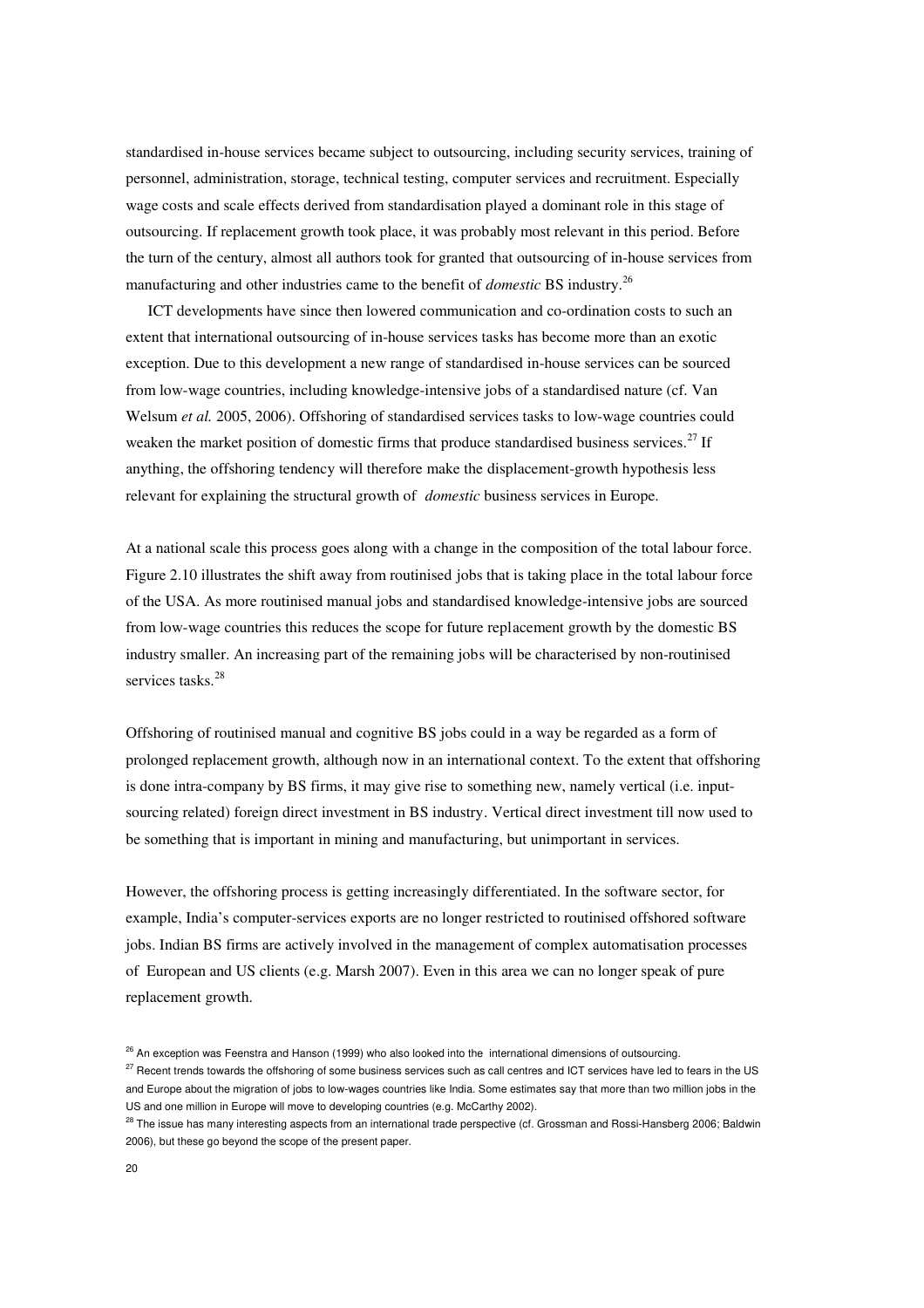standardised in-house services became subject to outsourcing, including security services, training of personnel, administration, storage, technical testing, computer services and recruitment. Especially wage costs and scale effects derived from standardisation played a dominant role in this stage of outsourcing. If replacement growth took place, it was probably most relevant in this period. Before the turn of the century, almost all authors took for granted that outsourcing of in-house services from manufacturing and other industries came to the benefit of *domestic* BS industry.<sup>26</sup>

ICT developments have since then lowered communication and co-ordination costs to such an extent that international outsourcing of in-house services tasks has become more than an exotic exception. Due to this development a new range of standardised in-house services can be sourced from low-wage countries, including knowledge-intensive jobs of a standardised nature (cf. Van Welsum *et al.* 2005, 2006). Offshoring of standardised services tasks to low-wage countries could weaken the market position of domestic firms that produce standardised business services.<sup>27</sup> If anything, the offshoring tendency will therefore make the displacement-growth hypothesis less relevant for explaining the structural growth of *domestic* business services in Europe.

At a national scale this process goes along with a change in the composition of the total labour force. Figure 2.10 illustrates the shift away from routinised jobs that is taking place in the total labour force of the USA. As more routinised manual jobs and standardised knowledge-intensive jobs are sourced from low-wage countries this reduces the scope for future replacement growth by the domestic BS industry smaller. An increasing part of the remaining jobs will be characterised by non-routinised services tasks.<sup>28</sup>

Offshoring of routinised manual and cognitive BS jobs could in a way be regarded as a form of prolonged replacement growth, although now in an international context. To the extent that offshoring is done intra-company by BS firms, it may give rise to something new, namely vertical (i.e. inputsourcing related) foreign direct investment in BS industry. Vertical direct investment till now used to be something that is important in mining and manufacturing, but unimportant in services.

However, the offshoring process is getting increasingly differentiated. In the software sector, for example, India's computer-services exports are no longer restricted to routinised offshored software jobs. Indian BS firms are actively involved in the management of complex automatisation processes of European and US clients (e.g. Marsh 2007). Even in this area we can no longer speak of pure replacement growth.

<sup>&</sup>lt;sup>26</sup> An exception was Feenstra and Hanson (1999) who also looked into the international dimensions of outsourcing.

<sup>&</sup>lt;sup>27</sup> Recent trends towards the offshoring of some business services such as call centres and ICT services have led to fears in the US and Europe about the migration of jobs to low-wages countries like India. Some estimates say that more than two million jobs in the US and one million in Europe will move to developing countries (e.g. McCarthy 2002).

<sup>&</sup>lt;sup>28</sup> The issue has many interesting aspects from an international trade perspective (cf. Grossman and Rossi-Hansberg 2006; Baldwin 2006), but these go beyond the scope of the present paper.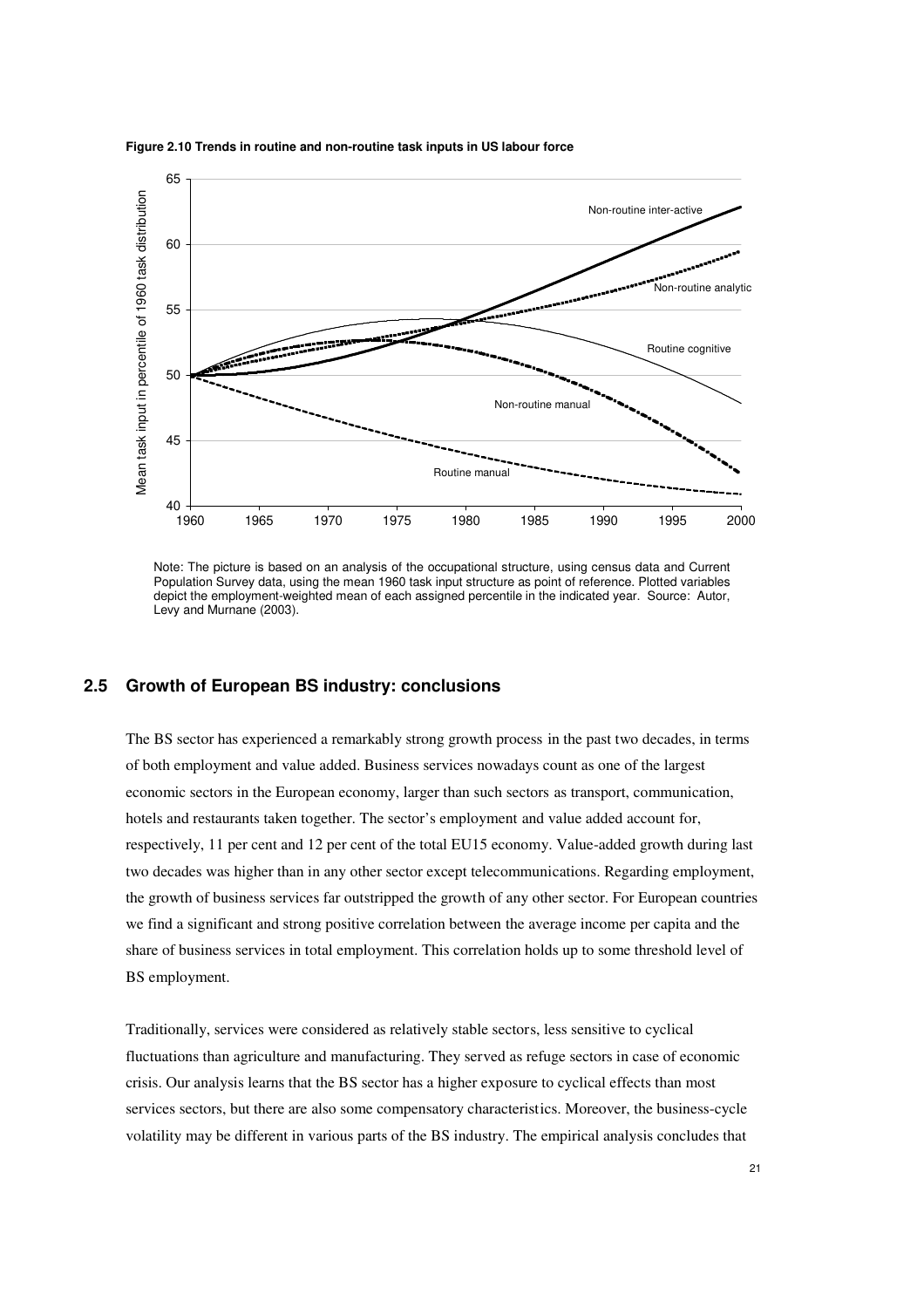

#### **Figure 2.10 Trends in routine and non-routine task inputs in US labour force**

Note: The picture is based on an analysis of the occupational structure, using census data and Current Population Survey data, using the mean 1960 task input structure as point of reference. Plotted variables depict the employment-weighted mean of each assigned percentile in the indicated year. Source: Autor, Levy and Murnane (2003).

### **2.5 Growth of European BS industry: conclusions**

The BS sector has experienced a remarkably strong growth process in the past two decades, in terms of both employment and value added. Business services nowadays count as one of the largest economic sectors in the European economy, larger than such sectors as transport, communication, hotels and restaurants taken together. The sector's employment and value added account for, respectively, 11 per cent and 12 per cent of the total EU15 economy. Value-added growth during last two decades was higher than in any other sector except telecommunications. Regarding employment, the growth of business services far outstripped the growth of any other sector. For European countries we find a significant and strong positive correlation between the average income per capita and the share of business services in total employment. This correlation holds up to some threshold level of BS employment.

Traditionally, services were considered as relatively stable sectors, less sensitive to cyclical fluctuations than agriculture and manufacturing. They served as refuge sectors in case of economic crisis. Our analysis learns that the BS sector has a higher exposure to cyclical effects than most services sectors, but there are also some compensatory characteristics. Moreover, the business-cycle volatility may be different in various parts of the BS industry. The empirical analysis concludes that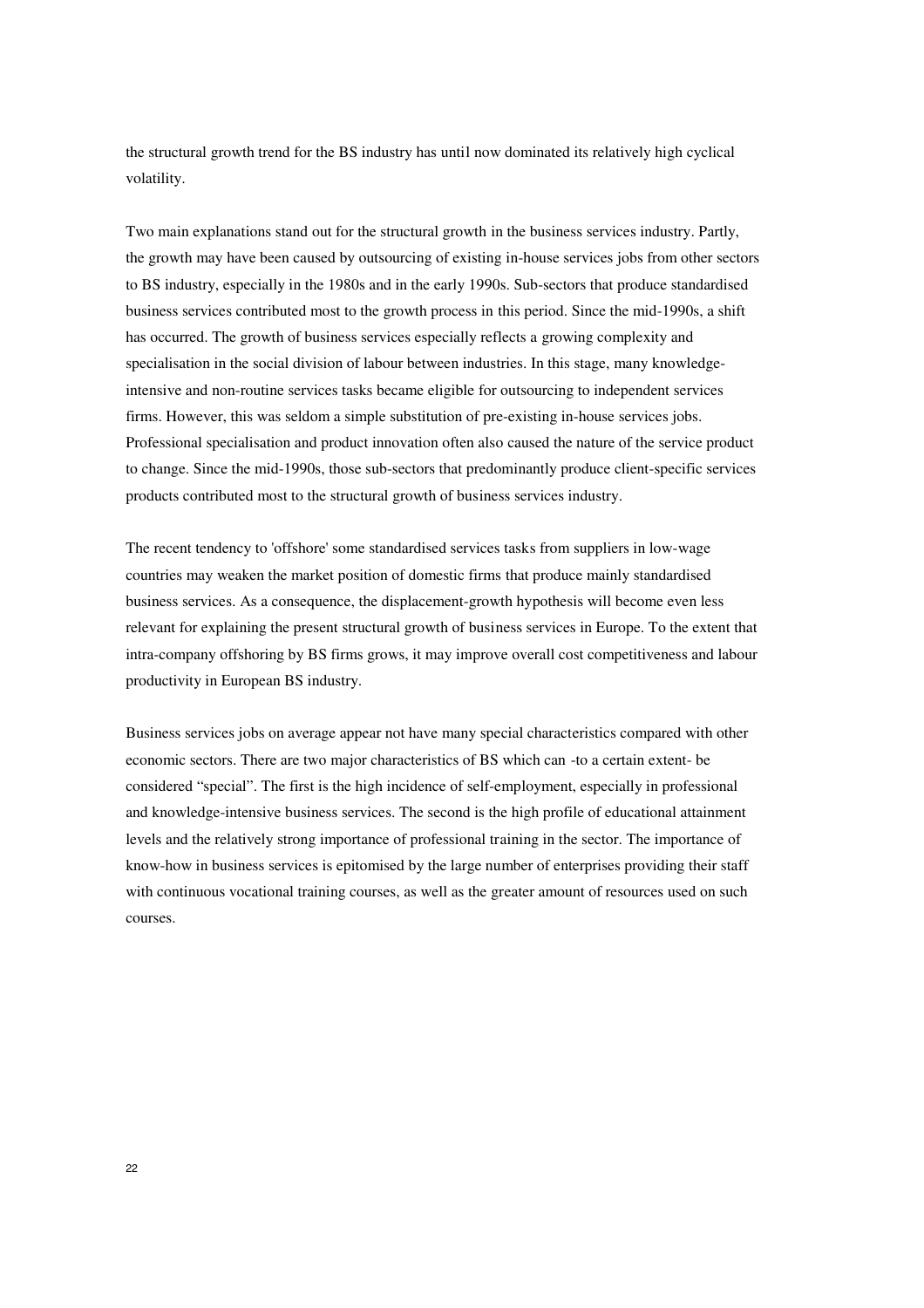the structural growth trend for the BS industry has until now dominated its relatively high cyclical volatility.

Two main explanations stand out for the structural growth in the business services industry. Partly, the growth may have been caused by outsourcing of existing in-house services jobs from other sectors to BS industry, especially in the 1980s and in the early 1990s. Sub-sectors that produce standardised business services contributed most to the growth process in this period. Since the mid-1990s, a shift has occurred. The growth of business services especially reflects a growing complexity and specialisation in the social division of labour between industries. In this stage, many knowledgeintensive and non-routine services tasks became eligible for outsourcing to independent services firms. However, this was seldom a simple substitution of pre-existing in-house services jobs. Professional specialisation and product innovation often also caused the nature of the service product to change. Since the mid-1990s, those sub-sectors that predominantly produce client-specific services products contributed most to the structural growth of business services industry.

The recent tendency to 'offshore' some standardised services tasks from suppliers in low-wage countries may weaken the market position of domestic firms that produce mainly standardised business services. As a consequence, the displacement-growth hypothesis will become even less relevant for explaining the present structural growth of business services in Europe. To the extent that intra-company offshoring by BS firms grows, it may improve overall cost competitiveness and labour productivity in European BS industry.

Business services jobs on average appear not have many special characteristics compared with other economic sectors. There are two major characteristics of BS which can -to a certain extent- be considered "special". The first is the high incidence of self-employment, especially in professional and knowledge-intensive business services. The second is the high profile of educational attainment levels and the relatively strong importance of professional training in the sector. The importance of know-how in business services is epitomised by the large number of enterprises providing their staff with continuous vocational training courses, as well as the greater amount of resources used on such courses.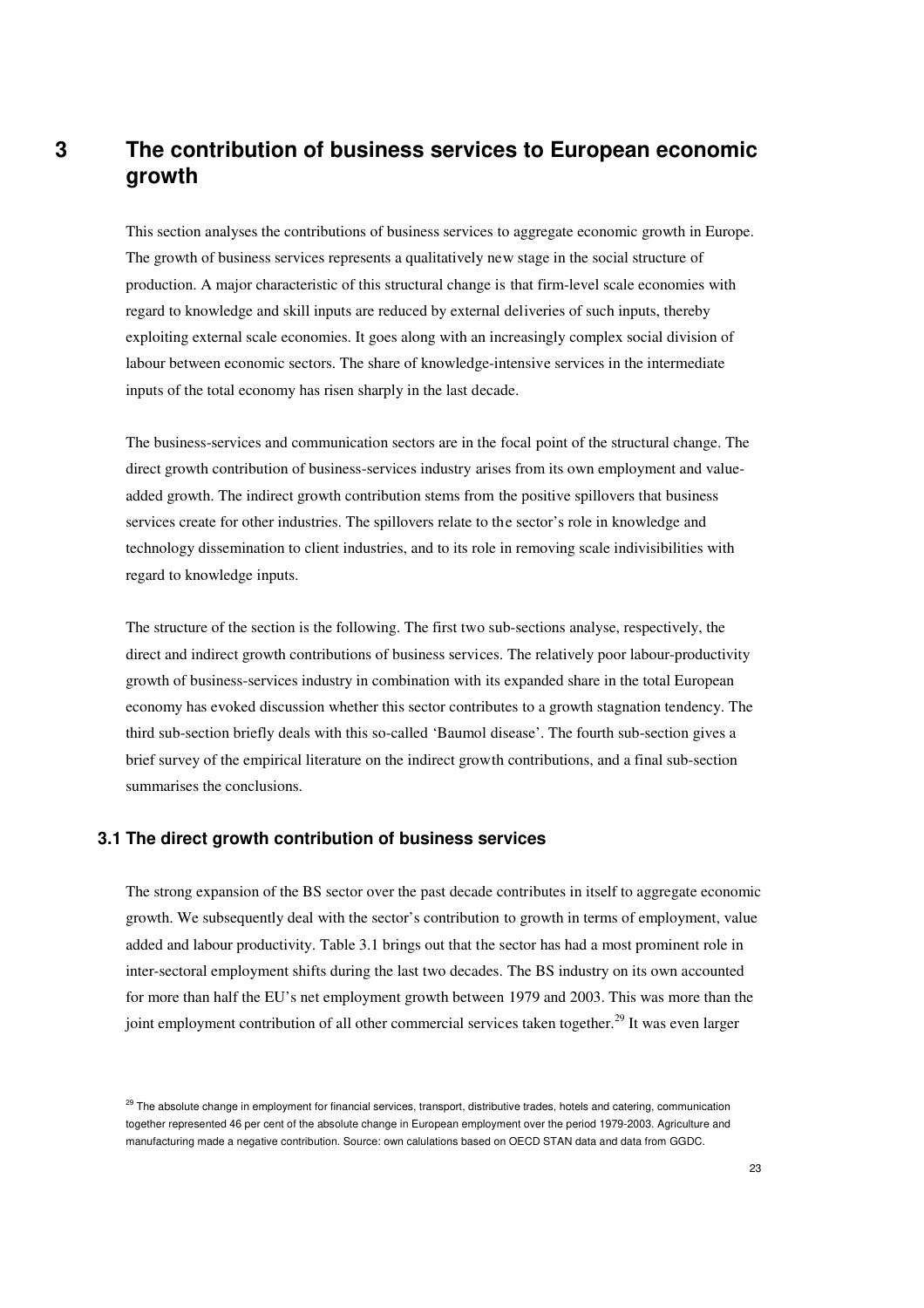## **3 The contribution of business services to European economic growth**

This section analyses the contributions of business services to aggregate economic growth in Europe. The growth of business services represents a qualitatively new stage in the social structure of production. A major characteristic of this structural change is that firm-level scale economies with regard to knowledge and skill inputs are reduced by external deliveries of such inputs, thereby exploiting external scale economies. It goes along with an increasingly complex social division of labour between economic sectors. The share of knowledge-intensive services in the intermediate inputs of the total economy has risen sharply in the last decade.

The business-services and communication sectors are in the focal point of the structural change. The direct growth contribution of business-services industry arises from its own employment and valueadded growth. The indirect growth contribution stems from the positive spillovers that business services create for other industries. The spillovers relate to the sector's role in knowledge and technology dissemination to client industries, and to its role in removing scale indivisibilities with regard to knowledge inputs.

The structure of the section is the following. The first two sub-sections analyse, respectively, the direct and indirect growth contributions of business services. The relatively poor labour-productivity growth of business-services industry in combination with its expanded share in the total European economy has evoked discussion whether this sector contributes to a growth stagnation tendency. The third sub-section briefly deals with this so-called 'Baumol disease'. The fourth sub-section gives a brief survey of the empirical literature on the indirect growth contributions, and a final sub-section summarises the conclusions.

#### **3.1 The direct growth contribution of business services**

The strong expansion of the BS sector over the past decade contributes in itself to aggregate economic growth. We subsequently deal with the sector's contribution to growth in terms of employment, value added and labour productivity. Table 3.1 brings out that the sector has had a most prominent role in inter-sectoral employment shifts during the last two decades. The BS industry on its own accounted for more than half the EU's net employment growth between 1979 and 2003. This was more than the joint employment contribution of all other commercial services taken together.<sup>29</sup> It was even larger

<sup>&</sup>lt;sup>29</sup> The absolute change in employment for financial services, transport, distributive trades, hotels and catering, communication together represented 46 per cent of the absolute change in European employment over the period 1979-2003. Agriculture and manufacturing made a negative contribution. Source: own calulations based on OECD STAN data and data from GGDC.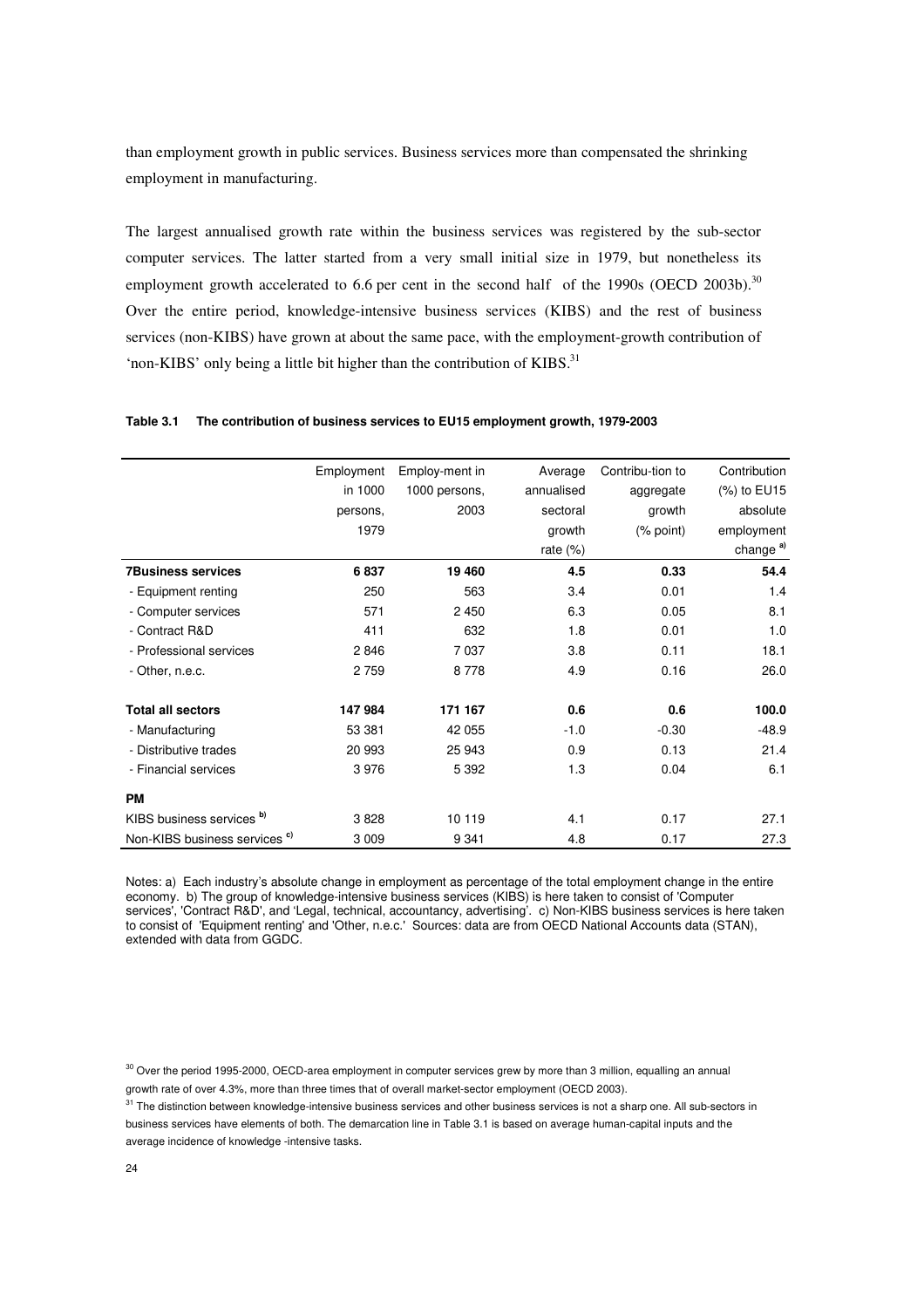than employment growth in public services. Business services more than compensated the shrinking employment in manufacturing.

The largest annualised growth rate within the business services was registered by the sub-sector computer services. The latter started from a very small initial size in 1979, but nonetheless its employment growth accelerated to 6.6 per cent in the second half of the 1990s (OECD 2003b).<sup>30</sup> Over the entire period, knowledge-intensive business services (KIBS) and the rest of business services (non-KIBS) have grown at about the same pace, with the employment-growth contribution of 'non-KIBS' only being a little bit higher than the contribution of KIBS.<sup>31</sup>

|                                          | Employment | Employ-ment in | Average     | Contribu-tion to | Contribution         |
|------------------------------------------|------------|----------------|-------------|------------------|----------------------|
|                                          | in 1000    | 1000 persons,  | annualised  | aggregate        | (%) to EU15          |
|                                          | persons,   | 2003           | sectoral    | growth           | absolute             |
|                                          | 1979       |                | growth      | (% point)        | employment           |
|                                          |            |                | rate $(\%)$ |                  | change <sup>a)</sup> |
| <b>7Business services</b>                | 6837       | 19 460         | 4.5         | 0.33             | 54.4                 |
| - Equipment renting                      | 250        | 563            | 3.4         | 0.01             | 1.4                  |
| - Computer services                      | 571        | 2 4 5 0        | 6.3         | 0.05             | 8.1                  |
| - Contract R&D                           | 411        | 632            | 1.8         | 0.01             | 1.0                  |
| - Professional services                  | 2846       | 7037           | 3.8         | 0.11             | 18.1                 |
| - Other, n.e.c.                          | 2 7 5 9    | 8778           | 4.9         | 0.16             | 26.0                 |
| <b>Total all sectors</b>                 | 147 984    | 171 167        | 0.6         | 0.6              | 100.0                |
| - Manufacturing                          | 53 381     | 42 055         | $-1.0$      | $-0.30$          | $-48.9$              |
| - Distributive trades                    | 20 993     | 25 943         | 0.9         | 0.13             | 21.4                 |
| - Financial services                     | 3976       | 5 3 9 2        | 1.3         | 0.04             | 6.1                  |
| <b>PM</b>                                |            |                |             |                  |                      |
| KIBS business services b)                | 3828       | 10 119         | 4.1         | 0.17             | 27.1                 |
| Non-KIBS business services <sup>c)</sup> | 3 0 0 9    | 9 3 4 1        | 4.8         | 0.17             | 27.3                 |

#### **Table 3.1 The contribution of business services to EU15 employment growth, 1979-2003**

Notes: a) Each industry's absolute change in employment as percentage of the total employment change in the entire economy. b) The group of knowledge-intensive business services (KIBS) is here taken to consist of 'Computer services', 'Contract R&D', and 'Legal, technical, accountancy, advertising'. c) Non-KIBS business services is here taken to consist of 'Equipment renting' and 'Other, n.e.c.' Sources: data are from OECD National Accounts data (STAN), extended with data from GGDC.

<sup>30</sup> Over the period 1995-2000, OECD-area employment in computer services grew by more than 3 million, equalling an annual growth rate of over 4.3%, more than three times that of overall market-sector employment (OECD 2003).

<sup>31</sup> The distinction between knowledge-intensive business services and other business services is not a sharp one. All sub-sectors in business services have elements of both. The demarcation line in Table 3.1 is based on average human-capital inputs and the average incidence of knowledge -intensive tasks.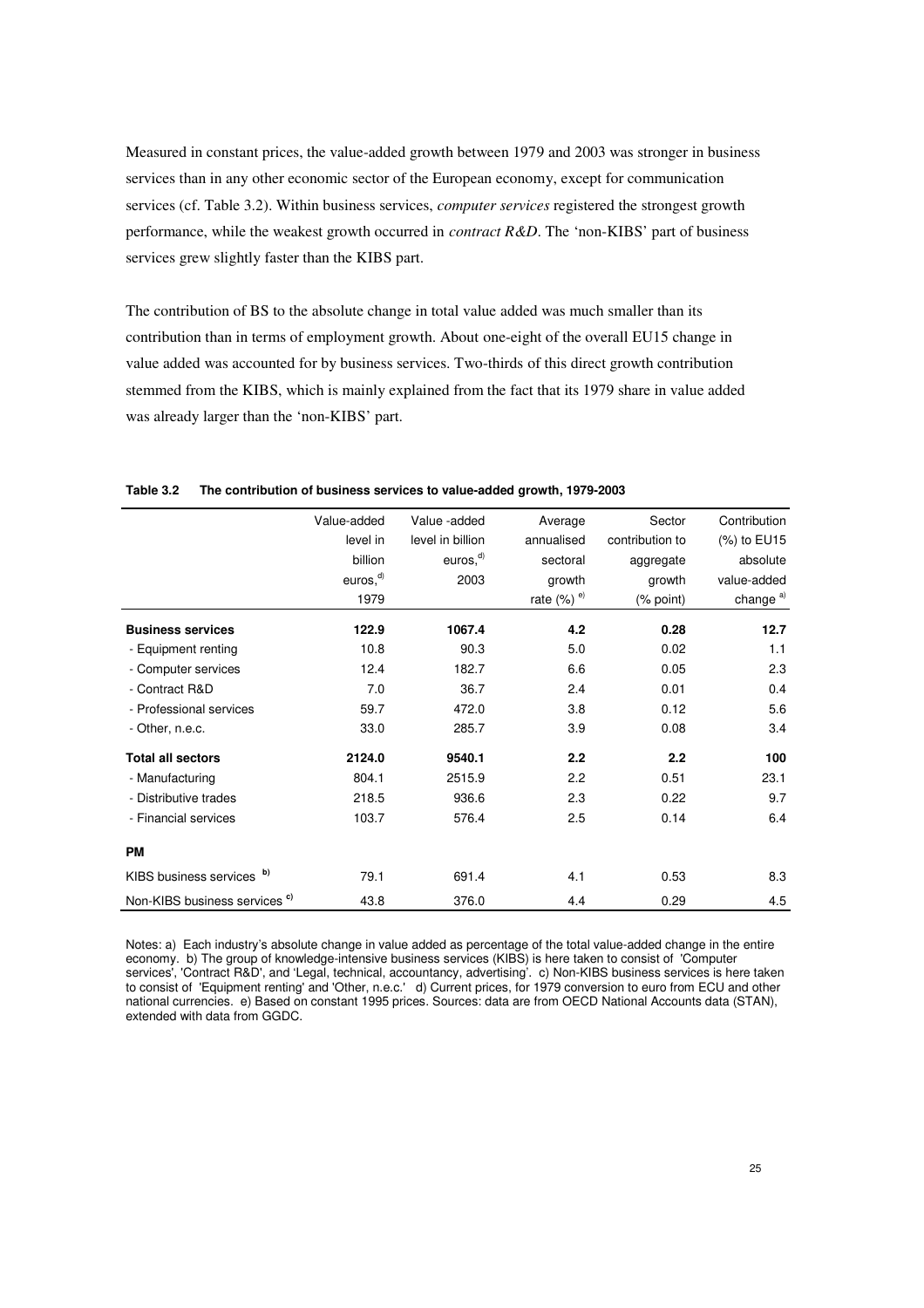Measured in constant prices, the value-added growth between 1979 and 2003 was stronger in business services than in any other economic sector of the European economy, except for communication services (cf. Table 3.2). Within business services, *computer services* registered the strongest growth performance, while the weakest growth occurred in *contract R&D*. The 'non-KIBS' part of business services grew slightly faster than the KIBS part.

The contribution of BS to the absolute change in total value added was much smaller than its contribution than in terms of employment growth. About one-eight of the overall EU15 change in value added was accounted for by business services. Two-thirds of this direct growth contribution stemmed from the KIBS, which is mainly explained from the fact that its 1979 share in value added was already larger than the 'non-KIBS' part.

|                                          | Value-added                      | Value -added                    | Average                   | Sector          | Contribution         |
|------------------------------------------|----------------------------------|---------------------------------|---------------------------|-----------------|----------------------|
|                                          | level in                         | level in billion                | annualised                | contribution to | (%) to EU15          |
|                                          | billion                          | euros <sub>1</sub> <sup>d</sup> | sectoral                  | aggregate       | absolute             |
|                                          | euros <sub>1</sub> <sup>d)</sup> | 2003                            | growth                    | growth          | value-added          |
|                                          | 1979                             |                                 | rate $(\%)$ <sup>e)</sup> | (% point)       | change <sup>a)</sup> |
| <b>Business services</b>                 | 122.9                            | 1067.4                          | 4.2                       | 0.28            | 12.7                 |
| - Equipment renting                      | 10.8                             | 90.3                            | 5.0                       | 0.02            | 1.1                  |
| - Computer services                      | 12.4                             | 182.7                           | 6.6                       | 0.05            | 2.3                  |
| - Contract R&D                           | 7.0                              | 36.7                            | 2.4                       | 0.01            | 0.4                  |
| - Professional services                  | 59.7                             | 472.0                           | 3.8                       | 0.12            | 5.6                  |
| - Other, n.e.c.                          | 33.0                             | 285.7                           | 3.9                       | 0.08            | 3.4                  |
| <b>Total all sectors</b>                 | 2124.0                           | 9540.1                          | 2.2                       | 2.2             | 100                  |
| - Manufacturing                          | 804.1                            | 2515.9                          | 2.2                       | 0.51            | 23.1                 |
| - Distributive trades                    | 218.5                            | 936.6                           | 2.3                       | 0.22            | 9.7                  |
| - Financial services                     | 103.7                            | 576.4                           | 2.5                       | 0.14            | 6.4                  |
| <b>PM</b>                                |                                  |                                 |                           |                 |                      |
| b)<br>KIBS business services             | 79.1                             | 691.4                           | 4.1                       | 0.53            | 8.3                  |
| Non-KIBS business services <sup>c)</sup> | 43.8                             | 376.0                           | 4.4                       | 0.29            | 4.5                  |

**Table 3.2 The contribution of business services to value-added growth, 1979-2003** 

Notes: a) Each industry's absolute change in value added as percentage of the total value-added change in the entire economy. b) The group of knowledge-intensive business services (KIBS) is here taken to consist of 'Computer services', 'Contract R&D', and 'Legal, technical, accountancy, advertising'. c) Non-KIBS business services is here taken to consist of 'Equipment renting' and 'Other, n.e.c.' d) Current prices, for 1979 conversion to euro from ECU and other national currencies. e) Based on constant 1995 prices. Sources: data are from OECD National Accounts data (STAN), extended with data from GGDC.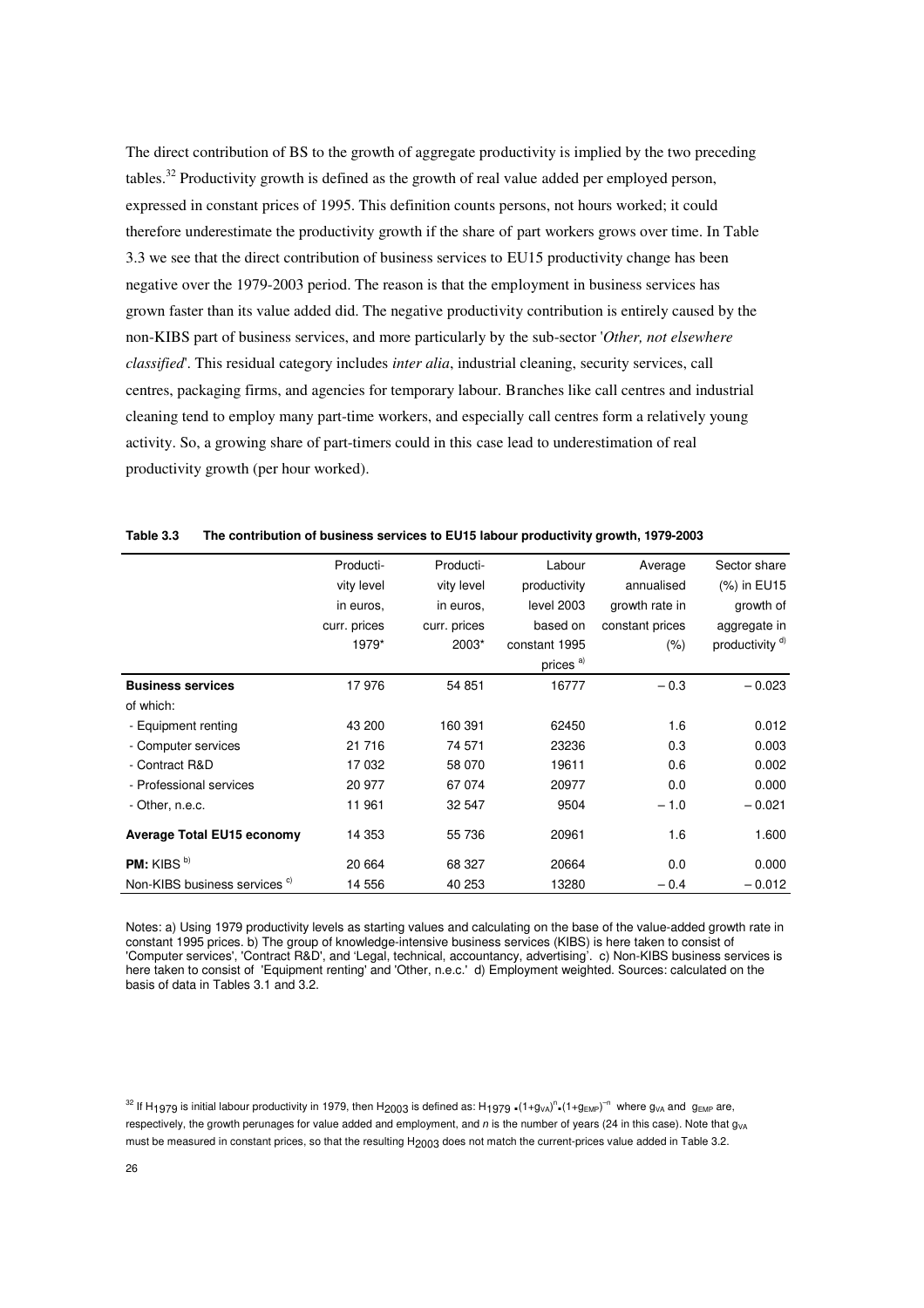The direct contribution of BS to the growth of aggregate productivity is implied by the two preceding tables.<sup>32</sup> Productivity growth is defined as the growth of real value added per employed person, expressed in constant prices of 1995. This definition counts persons, not hours worked; it could therefore underestimate the productivity growth if the share of part workers grows over time. In Table 3.3 we see that the direct contribution of business services to EU15 productivity change has been negative over the 1979-2003 period. The reason is that the employment in business services has grown faster than its value added did. The negative productivity contribution is entirely caused by the non-KIBS part of business services, and more particularly by the sub-sector '*Other, not elsewhere classified*'. This residual category includes *inter alia*, industrial cleaning, security services, call centres, packaging firms, and agencies for temporary labour. Branches like call centres and industrial cleaning tend to employ many part-time workers, and especially call centres form a relatively young activity. So, a growing share of part-timers could in this case lead to underestimation of real productivity growth (per hour worked).

|                                          | Producti-    | Producti-    | Labour               | Average         | Sector share               |
|------------------------------------------|--------------|--------------|----------------------|-----------------|----------------------------|
|                                          | vity level   | vity level   | productivity         | annualised      | (%) in EU15                |
|                                          | in euros.    | in euros.    | level 2003           | growth rate in  | growth of                  |
|                                          | curr. prices | curr. prices | based on             | constant prices | aggregate in               |
|                                          | 1979*        | 2003*        | constant 1995        | $(\% )$         | productivity <sup>d)</sup> |
|                                          |              |              | prices <sup>a)</sup> |                 |                            |
| <b>Business services</b>                 | 17976        | 54 851       | 16777                | $-0.3$          | $-0.023$                   |
| of which:                                |              |              |                      |                 |                            |
| - Equipment renting                      | 43 200       | 160 391      | 62450                | 1.6             | 0.012                      |
| - Computer services                      | 21 716       | 74 571       | 23236                | 0.3             | 0.003                      |
| - Contract R&D                           | 17 032       | 58 070       | 19611                | 0.6             | 0.002                      |
| - Professional services                  | 20 977       | 67 074       | 20977                | 0.0             | 0.000                      |
| - Other, n.e.c.                          | 11 961       | 32 547       | 9504                 | $-1.0$          | $-0.021$                   |
| Average Total EU15 economy               | 14 353       | 55 736       | 20961                | 1.6             | 1.600                      |
| <b>PM:</b> KIBS $b$ )                    | 20 664       | 68 327       | 20664                | 0.0             | 0.000                      |
| Non-KIBS business services <sup>c)</sup> | 14 556       | 40 253       | 13280                | $-0.4$          | $-0.012$                   |

**Table 3.3 The contribution of business services to EU15 labour productivity growth, 1979-2003** 

Notes: a) Using 1979 productivity levels as starting values and calculating on the base of the value-added growth rate in constant 1995 prices. b) The group of knowledge-intensive business services (KIBS) is here taken to consist of 'Computer services', 'Contract R&D', and 'Legal, technical, accountancy, advertising'. c) Non-KIBS business services is here taken to consist of 'Equipment renting' and 'Other, n.e.c.' d) Employment weighted. Sources: calculated on the basis of data in Tables 3.1 and 3.2.

 $^{32}$  If H<sub>1</sub>979 is initial labour productivity in 1979, then H<sub>2003</sub> is defined as: H<sub>1979</sub>  $.(1+g_{VA})^n.(1+g_{EMP})^{-n}$  where g<sub>VA</sub> and  $g_{EMP}$  are, respectively, the growth perunages for value added and employment, and n is the number of years (24 in this case). Note that  $g_{VA}$ must be measured in constant prices, so that the resulting H<sub>2003</sub> does not match the current-prices value added in Table 3.2.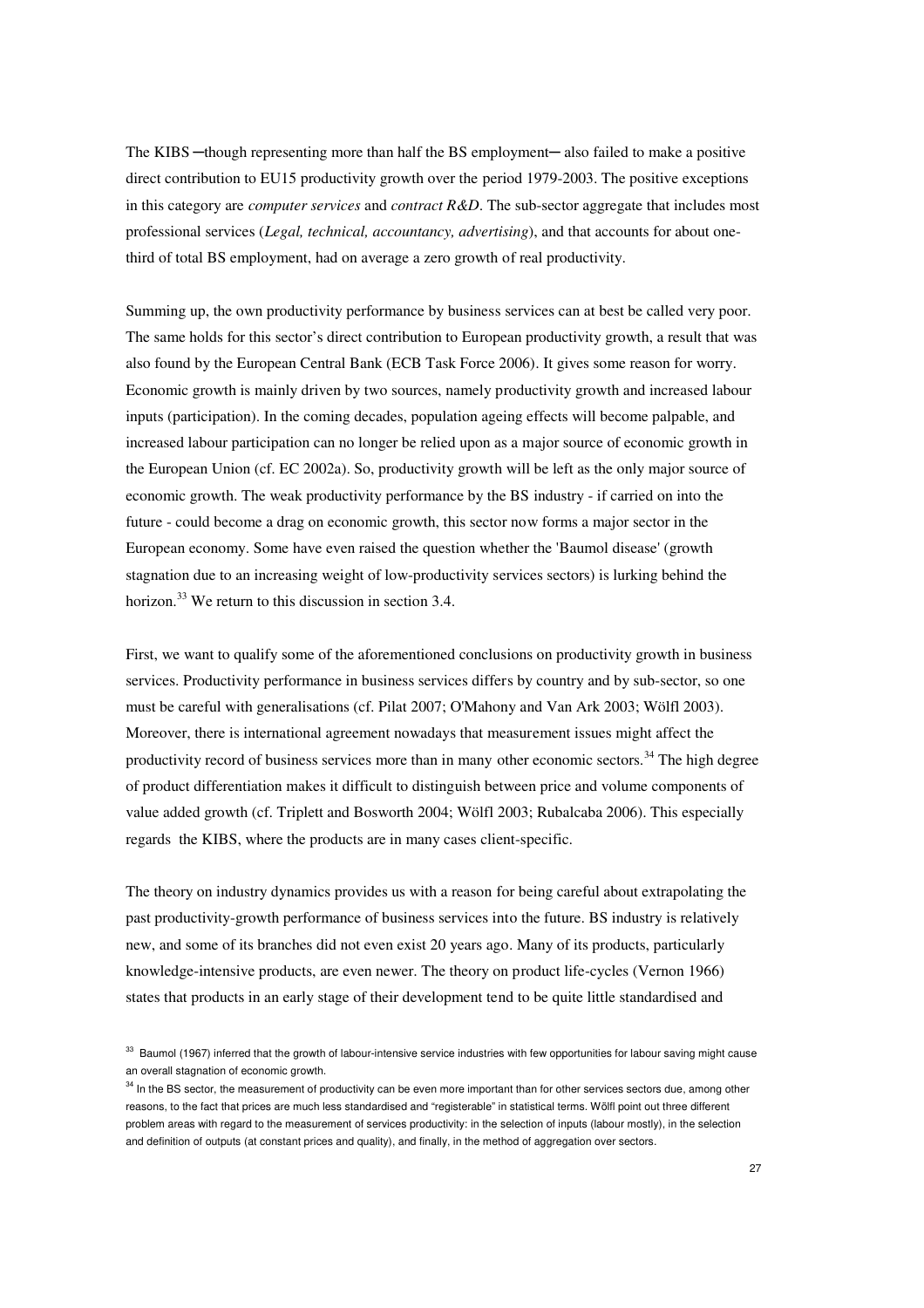The KIBS —though representing more than half the BS employment— also failed to make a positive direct contribution to EU15 productivity growth over the period 1979-2003. The positive exceptions in this category are *computer services* and *contract R&D*. The sub-sector aggregate that includes most professional services (*Legal, technical, accountancy, advertising*), and that accounts for about onethird of total BS employment, had on average a zero growth of real productivity.

Summing up, the own productivity performance by business services can at best be called very poor. The same holds for this sector's direct contribution to European productivity growth, a result that was also found by the European Central Bank (ECB Task Force 2006). It gives some reason for worry. Economic growth is mainly driven by two sources, namely productivity growth and increased labour inputs (participation). In the coming decades, population ageing effects will become palpable, and increased labour participation can no longer be relied upon as a major source of economic growth in the European Union (cf. EC 2002a). So, productivity growth will be left as the only major source of economic growth. The weak productivity performance by the BS industry - if carried on into the future - could become a drag on economic growth, this sector now forms a major sector in the European economy. Some have even raised the question whether the 'Baumol disease' (growth stagnation due to an increasing weight of low-productivity services sectors) is lurking behind the horizon.<sup>33</sup> We return to this discussion in section 3.4.

First, we want to qualify some of the aforementioned conclusions on productivity growth in business services. Productivity performance in business services differs by country and by sub-sector, so one must be careful with generalisations (cf. Pilat 2007; O'Mahony and Van Ark 2003; Wölfl 2003). Moreover, there is international agreement nowadays that measurement issues might affect the productivity record of business services more than in many other economic sectors.<sup>34</sup> The high degree of product differentiation makes it difficult to distinguish between price and volume components of value added growth (cf. Triplett and Bosworth 2004; Wölfl 2003; Rubalcaba 2006). This especially regards the KIBS, where the products are in many cases client-specific.

The theory on industry dynamics provides us with a reason for being careful about extrapolating the past productivity-growth performance of business services into the future. BS industry is relatively new, and some of its branches did not even exist 20 years ago. Many of its products, particularly knowledge-intensive products, are even newer. The theory on product life-cycles (Vernon 1966) states that products in an early stage of their development tend to be quite little standardised and

<sup>33</sup> Baumol (1967) inferred that the growth of labour-intensive service industries with few opportunities for labour saving might cause an overall stagnation of economic growth.

<sup>&</sup>lt;sup>34</sup> In the BS sector, the measurement of productivity can be even more important than for other services sectors due, among other reasons, to the fact that prices are much less standardised and "registerable" in statistical terms. Wölfl point out three different problem areas with regard to the measurement of services productivity: in the selection of inputs (labour mostly), in the selection and definition of outputs (at constant prices and quality), and finally, in the method of aggregation over sectors.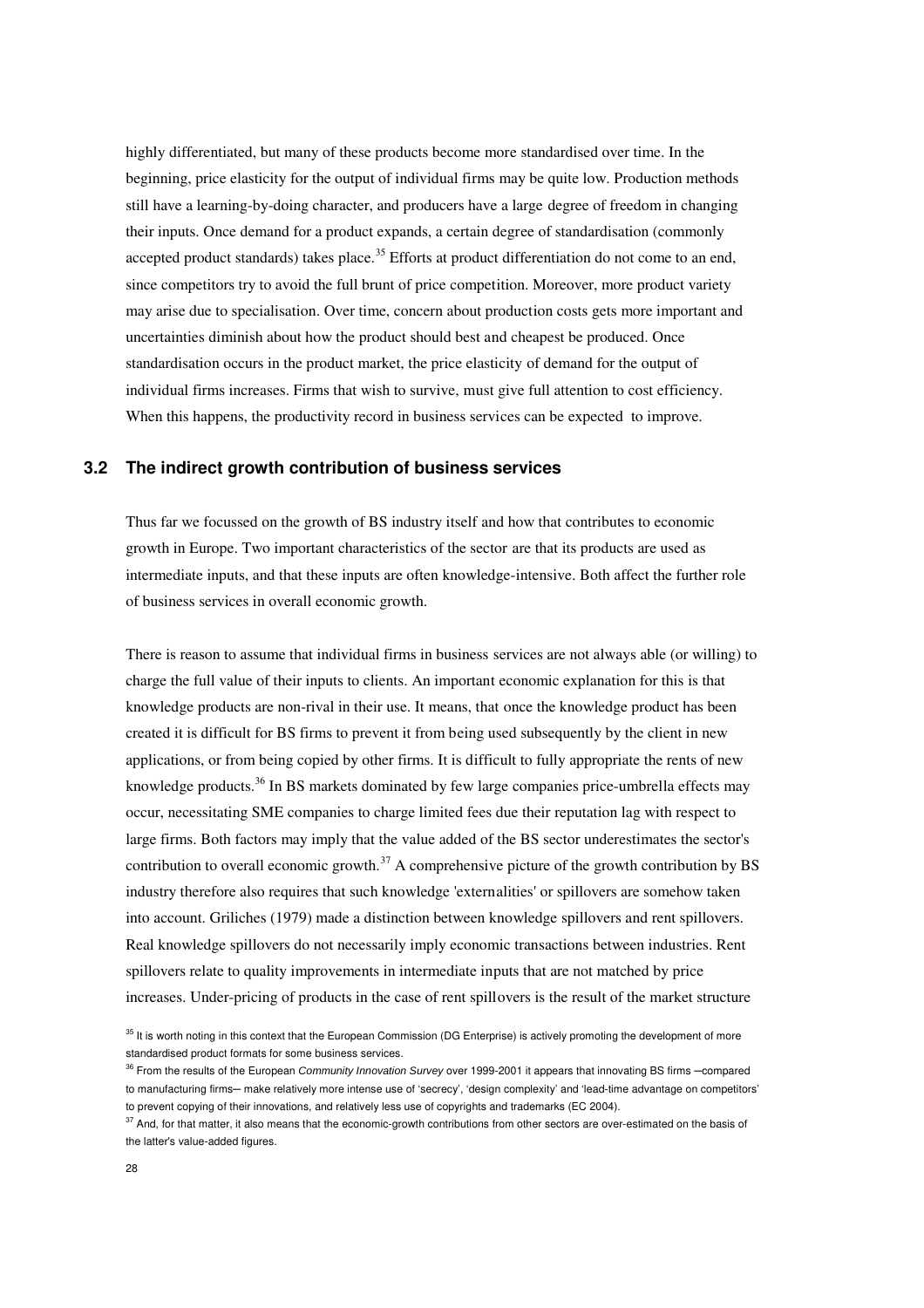highly differentiated, but many of these products become more standardised over time. In the beginning, price elasticity for the output of individual firms may be quite low. Production methods still have a learning-by-doing character, and producers have a large degree of freedom in changing their inputs. Once demand for a product expands, a certain degree of standardisation (commonly accepted product standards) takes place.<sup>35</sup> Efforts at product differentiation do not come to an end, since competitors try to avoid the full brunt of price competition. Moreover, more product variety may arise due to specialisation. Over time, concern about production costs gets more important and uncertainties diminish about how the product should best and cheapest be produced. Once standardisation occurs in the product market, the price elasticity of demand for the output of individual firms increases. Firms that wish to survive, must give full attention to cost efficiency. When this happens, the productivity record in business services can be expected to improve.

#### **3.2 The indirect growth contribution of business services**

Thus far we focussed on the growth of BS industry itself and how that contributes to economic growth in Europe. Two important characteristics of the sector are that its products are used as intermediate inputs, and that these inputs are often knowledge-intensive. Both affect the further role of business services in overall economic growth.

There is reason to assume that individual firms in business services are not always able (or willing) to charge the full value of their inputs to clients. An important economic explanation for this is that knowledge products are non-rival in their use. It means, that once the knowledge product has been created it is difficult for BS firms to prevent it from being used subsequently by the client in new applications, or from being copied by other firms. It is difficult to fully appropriate the rents of new knowledge products.<sup>36</sup> In BS markets dominated by few large companies price-umbrella effects may occur, necessitating SME companies to charge limited fees due their reputation lag with respect to large firms. Both factors may imply that the value added of the BS sector underestimates the sector's contribution to overall economic growth.<sup>37</sup> A comprehensive picture of the growth contribution by BS industry therefore also requires that such knowledge 'externalities' or spillovers are somehow taken into account. Griliches (1979) made a distinction between knowledge spillovers and rent spillovers. Real knowledge spillovers do not necessarily imply economic transactions between industries. Rent spillovers relate to quality improvements in intermediate inputs that are not matched by price increases. Under-pricing of products in the case of rent spillovers is the result of the market structure

<sup>&</sup>lt;sup>35</sup> It is worth noting in this context that the European Commission (DG Enterprise) is actively promoting the development of more standardised product formats for some business services.

<sup>&</sup>lt;sup>36</sup> From the results of the European Community Innovation Survey over 1999-2001 it appears that innovating BS firms -compared to manufacturing firms- make relatively more intense use of 'secrecy', 'design complexity' and 'lead-time advantage on competitors' to prevent copying of their innovations, and relatively less use of copyrights and trademarks (EC 2004).

<sup>&</sup>lt;sup>37</sup> And, for that matter, it also means that the economic-growth contributions from other sectors are over-estimated on the basis of the latter's value-added figures.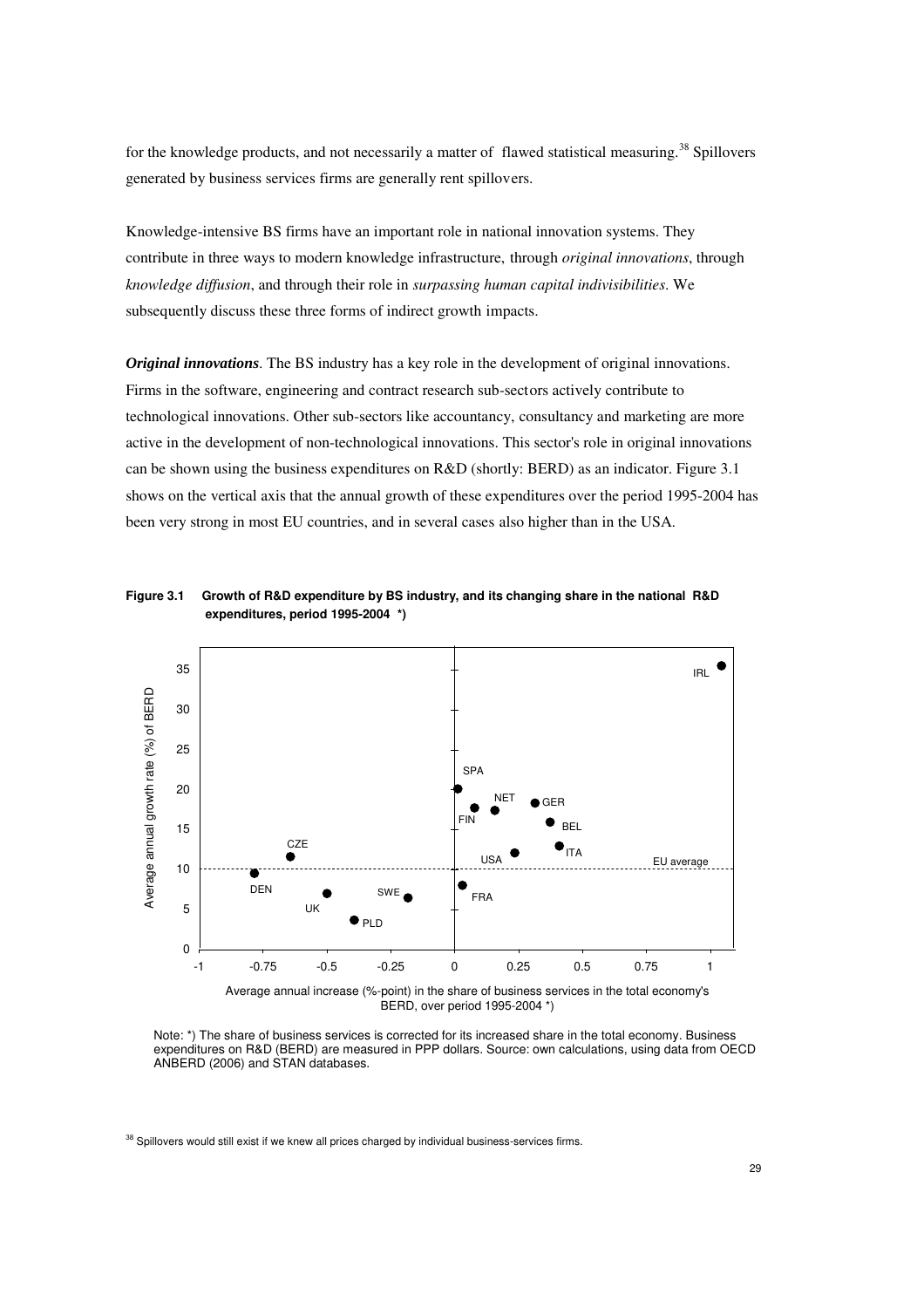for the knowledge products, and not necessarily a matter of flawed statistical measuring.<sup>38</sup> Spillovers generated by business services firms are generally rent spillovers.

Knowledge-intensive BS firms have an important role in national innovation systems. They contribute in three ways to modern knowledge infrastructure, through *original innovations*, through *knowledge diffusion*, and through their role in *surpassing human capital indivisibilities*. We subsequently discuss these three forms of indirect growth impacts.

*Original innovations*. The BS industry has a key role in the development of original innovations. Firms in the software, engineering and contract research sub-sectors actively contribute to technological innovations. Other sub-sectors like accountancy, consultancy and marketing are more active in the development of non-technological innovations. This sector's role in original innovations can be shown using the business expenditures on R&D (shortly: BERD) as an indicator. Figure 3.1 shows on the vertical axis that the annual growth of these expenditures over the period 1995-2004 has been very strong in most EU countries, and in several cases also higher than in the USA.



**Figure 3.1 Growth of R&D expenditure by BS industry, and its changing share in the national R&D expenditures, period 1995-2004 \*)** 

Average annual increase (%-point) in the share of business services in the total economy's BERD, over period 1995-2004 \*)

Note: \*) The share of business services is corrected for its increased share in the total economy. Business expenditures on R&D (BERD) are measured in PPP dollars. Source: own calculations, using data from OECD ANBERD (2006) and STAN databases.

-1 -0.75 -0.5 -0.25 0 0.25 0.5 0.75 1

 $38$  Spillovers would still exist if we knew all prices charged by individual business-services firms.

 $\Omega$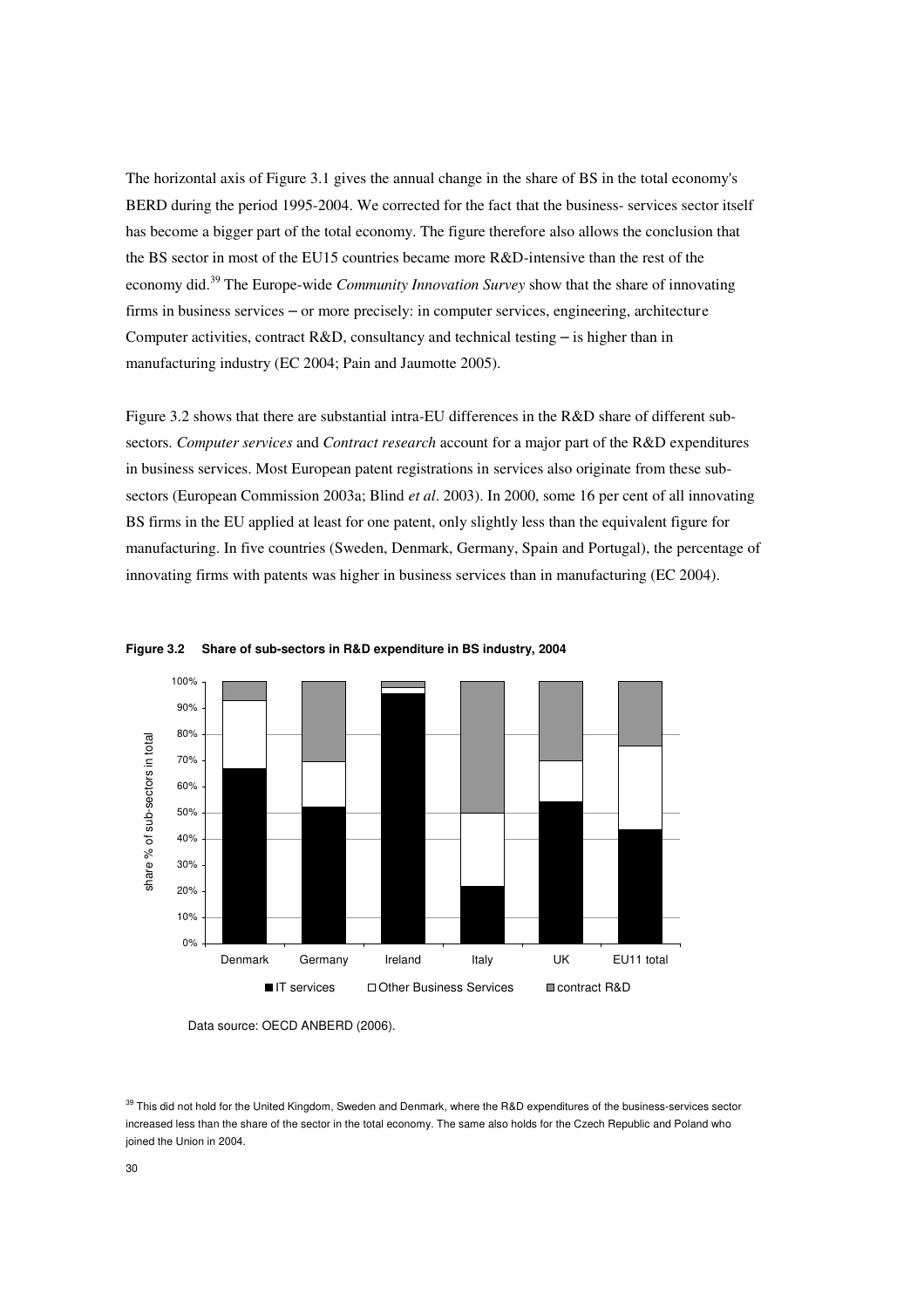The horizontal axis of Figure 3.1 gives the annual change in the share of BS in the total economy's BERD during the period 1995-2004. We corrected for the fact that the business- services sector itself has become a bigger part of the total economy. The figure therefore also allows the conclusion that the BS sector in most of the EU15 countries became more R&D-intensive than the rest of the economy did.<sup>39</sup> The Europe-wide *Community Innovation Survey* show that the share of innovating firms in business services – or more precisely: in computer services, engineering, architecture Computer activities, contract R&D, consultancy and technical testing – is higher than in manufacturing industry (EC 2004; Pain and Jaumotte 2005).

Figure 3.2 shows that there are substantial intra-EU differences in the R&D share of different subsectors. *Computer services* and *Contract research* account for a major part of the R&D expenditures in business services. Most European patent registrations in services also originate from these subsectors (European Commission 2003a; Blind *et al*. 2003). In 2000, some 16 per cent of all innovating BS firms in the EU applied at least for one patent, only slightly less than the equivalent figure for manufacturing. In five countries (Sweden, Denmark, Germany, Spain and Portugal), the percentage of innovating firms with patents was higher in business services than in manufacturing (EC 2004).





Data source: OECD ANBERD (2006).

<sup>39</sup> This did not hold for the United Kingdom, Sweden and Denmark, where the R&D expenditures of the business-services sector increased less than the share of the sector in the total economy. The same also holds for the Czech Republic and Poland who joined the Union in 2004.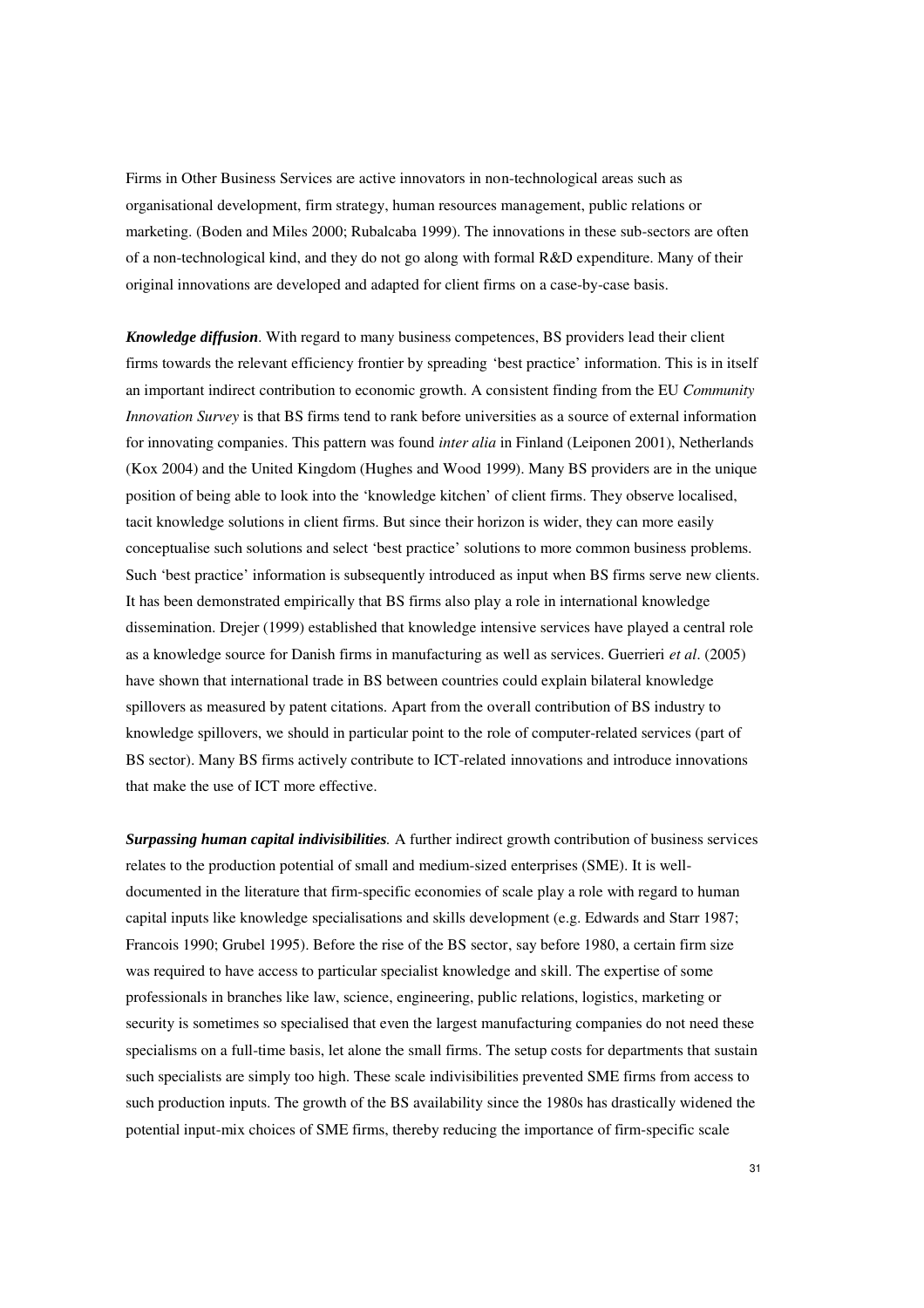Firms in Other Business Services are active innovators in non-technological areas such as organisational development, firm strategy, human resources management, public relations or marketing. (Boden and Miles 2000; Rubalcaba 1999). The innovations in these sub-sectors are often of a non-technological kind, and they do not go along with formal R&D expenditure. Many of their original innovations are developed and adapted for client firms on a case-by-case basis.

*Knowledge diffusion*. With regard to many business competences, BS providers lead their client firms towards the relevant efficiency frontier by spreading 'best practice' information. This is in itself an important indirect contribution to economic growth. A consistent finding from the EU *Community Innovation Survey* is that BS firms tend to rank before universities as a source of external information for innovating companies. This pattern was found *inter alia* in Finland (Leiponen 2001), Netherlands (Kox 2004) and the United Kingdom (Hughes and Wood 1999). Many BS providers are in the unique position of being able to look into the 'knowledge kitchen' of client firms. They observe localised, tacit knowledge solutions in client firms. But since their horizon is wider, they can more easily conceptualise such solutions and select 'best practice' solutions to more common business problems. Such 'best practice' information is subsequently introduced as input when BS firms serve new clients. It has been demonstrated empirically that BS firms also play a role in international knowledge dissemination. Drejer (1999) established that knowledge intensive services have played a central role as a knowledge source for Danish firms in manufacturing as well as services. Guerrieri *et al*. (2005) have shown that international trade in BS between countries could explain bilateral knowledge spillovers as measured by patent citations. Apart from the overall contribution of BS industry to knowledge spillovers, we should in particular point to the role of computer-related services (part of BS sector). Many BS firms actively contribute to ICT-related innovations and introduce innovations that make the use of ICT more effective.

*Surpassing human capital indivisibilities.* A further indirect growth contribution of business services relates to the production potential of small and medium-sized enterprises (SME). It is welldocumented in the literature that firm-specific economies of scale play a role with regard to human capital inputs like knowledge specialisations and skills development (e.g. Edwards and Starr 1987; Francois 1990; Grubel 1995). Before the rise of the BS sector, say before 1980, a certain firm size was required to have access to particular specialist knowledge and skill. The expertise of some professionals in branches like law, science, engineering, public relations, logistics, marketing or security is sometimes so specialised that even the largest manufacturing companies do not need these specialisms on a full-time basis, let alone the small firms. The setup costs for departments that sustain such specialists are simply too high. These scale indivisibilities prevented SME firms from access to such production inputs. The growth of the BS availability since the 1980s has drastically widened the potential input-mix choices of SME firms, thereby reducing the importance of firm-specific scale

31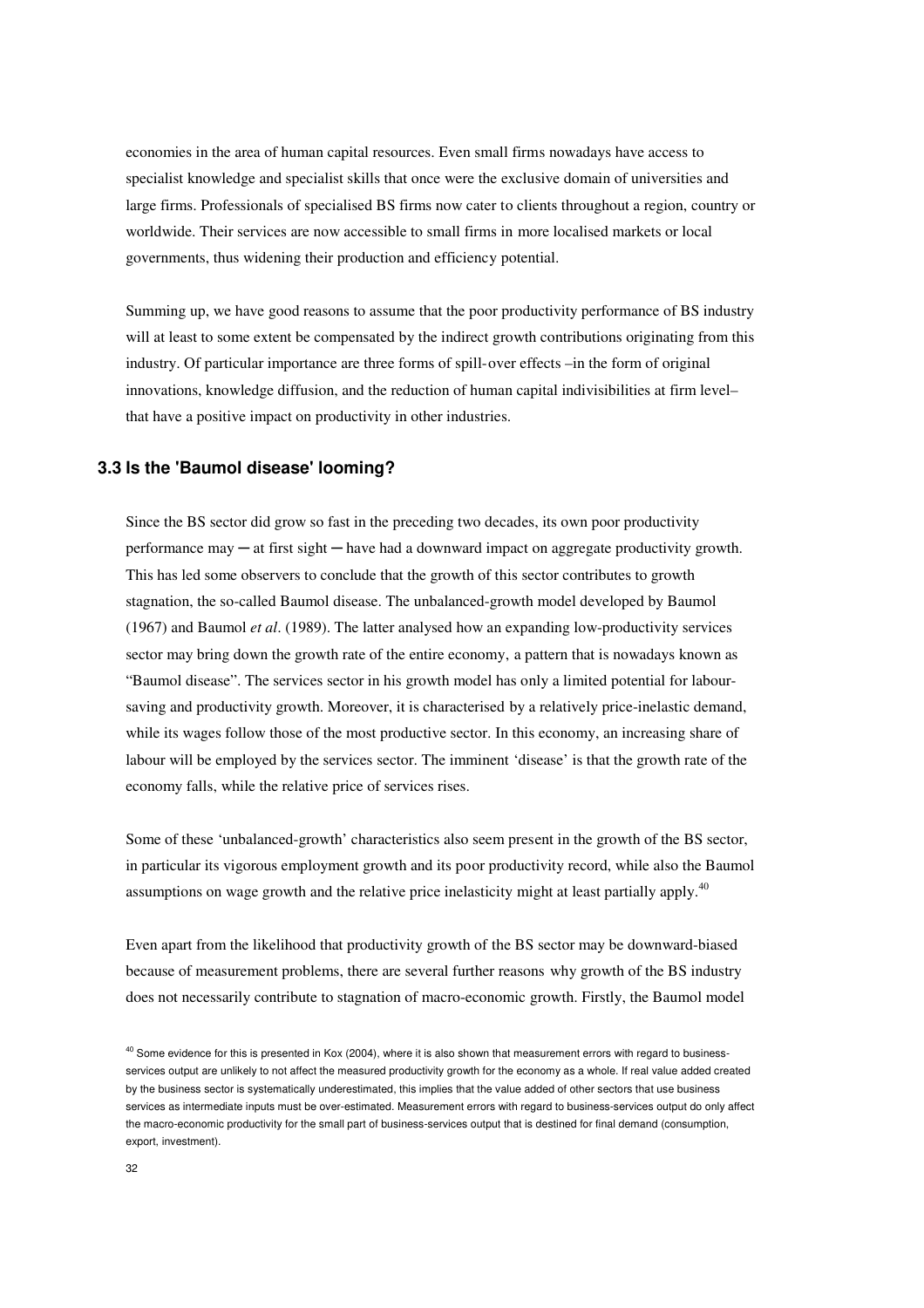economies in the area of human capital resources. Even small firms nowadays have access to specialist knowledge and specialist skills that once were the exclusive domain of universities and large firms. Professionals of specialised BS firms now cater to clients throughout a region, country or worldwide. Their services are now accessible to small firms in more localised markets or local governments, thus widening their production and efficiency potential.

Summing up, we have good reasons to assume that the poor productivity performance of BS industry will at least to some extent be compensated by the indirect growth contributions originating from this industry. Of particular importance are three forms of spill-over effects –in the form of original innovations, knowledge diffusion, and the reduction of human capital indivisibilities at firm level– that have a positive impact on productivity in other industries.

### **3.3 Is the 'Baumol disease' looming?**

Since the BS sector did grow so fast in the preceding two decades, its own poor productivity performance may ─ at first sight ─ have had a downward impact on aggregate productivity growth. This has led some observers to conclude that the growth of this sector contributes to growth stagnation, the so-called Baumol disease. The unbalanced-growth model developed by Baumol (1967) and Baumol *et al*. (1989). The latter analysed how an expanding low-productivity services sector may bring down the growth rate of the entire economy, a pattern that is nowadays known as "Baumol disease". The services sector in his growth model has only a limited potential for laboursaving and productivity growth. Moreover, it is characterised by a relatively price-inelastic demand, while its wages follow those of the most productive sector. In this economy, an increasing share of labour will be employed by the services sector. The imminent 'disease' is that the growth rate of the economy falls, while the relative price of services rises.

Some of these 'unbalanced-growth' characteristics also seem present in the growth of the BS sector, in particular its vigorous employment growth and its poor productivity record, while also the Baumol assumptions on wage growth and the relative price inelasticity might at least partially apply.<sup>40</sup>

Even apart from the likelihood that productivity growth of the BS sector may be downward-biased because of measurement problems, there are several further reasons why growth of the BS industry does not necessarily contribute to stagnation of macro-economic growth. Firstly, the Baumol model

<sup>&</sup>lt;sup>40</sup> Some evidence for this is presented in Kox (2004), where it is also shown that measurement errors with regard to businessservices output are unlikely to not affect the measured productivity growth for the economy as a whole. If real value added created by the business sector is systematically underestimated, this implies that the value added of other sectors that use business services as intermediate inputs must be over-estimated. Measurement errors with regard to business-services output do only affect the macro-economic productivity for the small part of business-services output that is destined for final demand (consumption, export, investment).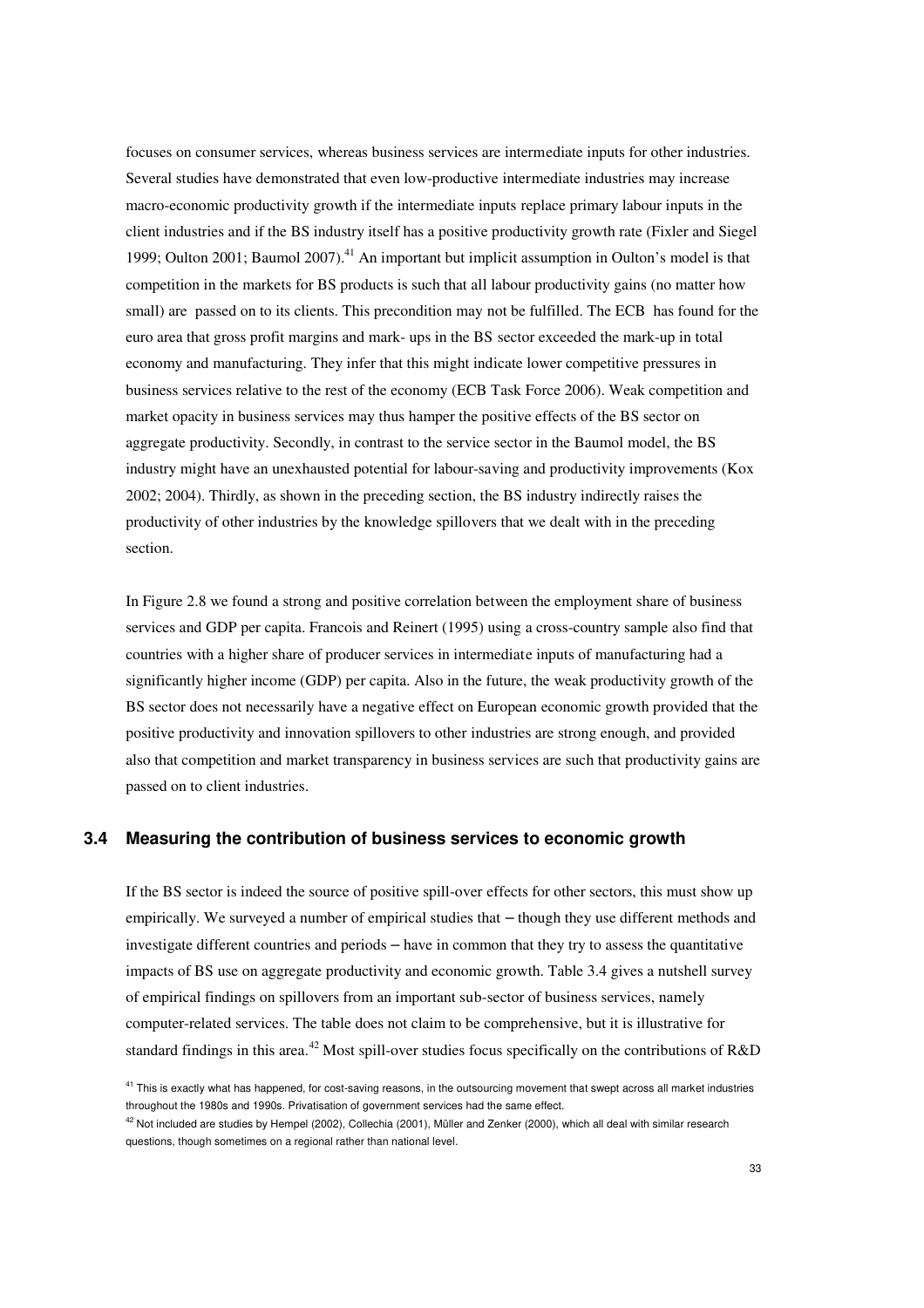focuses on consumer services, whereas business services are intermediate inputs for other industries. Several studies have demonstrated that even low-productive intermediate industries may increase macro-economic productivity growth if the intermediate inputs replace primary labour inputs in the client industries and if the BS industry itself has a positive productivity growth rate (Fixler and Siegel 1999; Oulton 2001; Baumol 2007).<sup>41</sup> An important but implicit assumption in Oulton's model is that competition in the markets for BS products is such that all labour productivity gains (no matter how small) are passed on to its clients. This precondition may not be fulfilled. The ECB has found for the euro area that gross profit margins and mark- ups in the BS sector exceeded the mark-up in total economy and manufacturing. They infer that this might indicate lower competitive pressures in business services relative to the rest of the economy (ECB Task Force 2006). Weak competition and market opacity in business services may thus hamper the positive effects of the BS sector on aggregate productivity. Secondly, in contrast to the service sector in the Baumol model, the BS industry might have an unexhausted potential for labour-saving and productivity improvements (Kox 2002; 2004). Thirdly, as shown in the preceding section, the BS industry indirectly raises the productivity of other industries by the knowledge spillovers that we dealt with in the preceding section.

In Figure 2.8 we found a strong and positive correlation between the employment share of business services and GDP per capita. Francois and Reinert (1995) using a cross-country sample also find that countries with a higher share of producer services in intermediate inputs of manufacturing had a significantly higher income (GDP) per capita. Also in the future, the weak productivity growth of the BS sector does not necessarily have a negative effect on European economic growth provided that the positive productivity and innovation spillovers to other industries are strong enough, and provided also that competition and market transparency in business services are such that productivity gains are passed on to client industries.

#### **3.4 Measuring the contribution of business services to economic growth**

If the BS sector is indeed the source of positive spill-over effects for other sectors, this must show up empirically. We surveyed a number of empirical studies that – though they use different methods and investigate different countries and periods – have in common that they try to assess the quantitative impacts of BS use on aggregate productivity and economic growth. Table 3.4 gives a nutshell survey of empirical findings on spillovers from an important sub-sector of business services, namely computer-related services. The table does not claim to be comprehensive, but it is illustrative for standard findings in this area.<sup>42</sup> Most spill-over studies focus specifically on the contributions of R&D

<sup>&</sup>lt;sup>41</sup> This is exactly what has happened, for cost-saving reasons, in the outsourcing movement that swept across all market industries throughout the 1980s and 1990s. Privatisation of government services had the same effect.

 $42$  Not included are studies by Hempel (2002), Collechia (2001), Müller and Zenker (2000), which all deal with similar research questions, though sometimes on a regional rather than national level.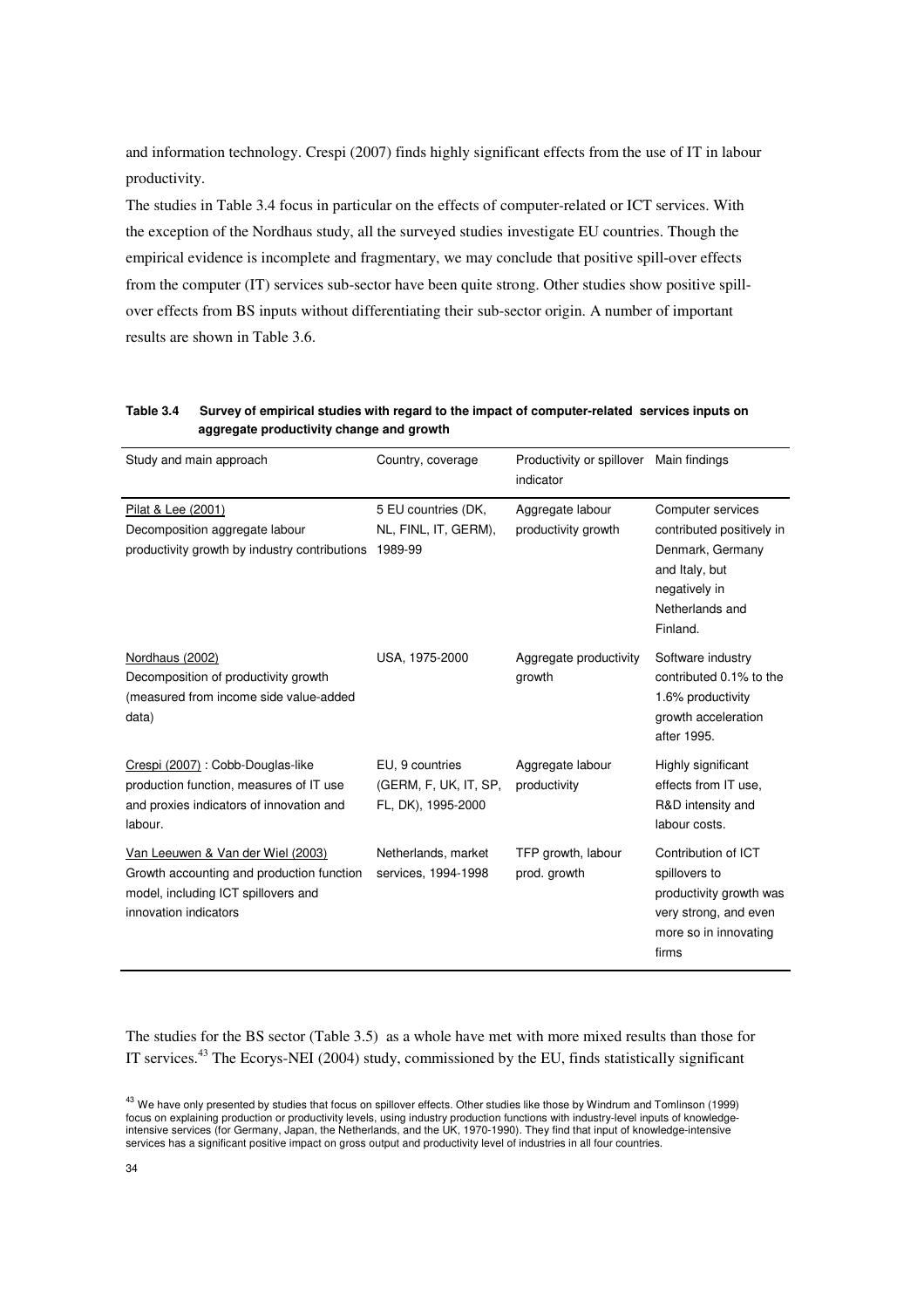and information technology. Crespi (2007) finds highly significant effects from the use of IT in labour productivity.

The studies in Table 3.4 focus in particular on the effects of computer-related or ICT services. With the exception of the Nordhaus study, all the surveyed studies investigate EU countries. Though the empirical evidence is incomplete and fragmentary, we may conclude that positive spill-over effects from the computer (IT) services sub-sector have been quite strong. Other studies show positive spillover effects from BS inputs without differentiating their sub-sector origin. A number of important results are shown in Table 3.6.

**Table 3.4 Survey of empirical studies with regard to the impact of computer-related services inputs on aggregate productivity change and growth**

| Study and main approach                                                                                                                        | Country, coverage                                              | Productivity or spillover<br>indicator  | Main findings                                                                                                                        |
|------------------------------------------------------------------------------------------------------------------------------------------------|----------------------------------------------------------------|-----------------------------------------|--------------------------------------------------------------------------------------------------------------------------------------|
| Pilat & Lee (2001)<br>Decomposition aggregate labour<br>productivity growth by industry contributions                                          | 5 EU countries (DK,<br>NL, FINL, IT, GERM),<br>1989-99         | Aggregate labour<br>productivity growth | Computer services<br>contributed positively in<br>Denmark, Germany<br>and Italy, but<br>negatively in<br>Netherlands and<br>Finland. |
| Nordhaus (2002)<br>Decomposition of productivity growth<br>(measured from income side value-added<br>data)                                     | USA, 1975-2000                                                 | Aggregate productivity<br>growth        | Software industry<br>contributed 0.1% to the<br>1.6% productivity<br>growth acceleration<br>after 1995.                              |
| Crespi (2007) : Cobb-Douglas-like<br>production function, measures of IT use<br>and proxies indicators of innovation and<br>labour.            | EU. 9 countries<br>(GERM, F, UK, IT, SP,<br>FL, DK), 1995-2000 | Aggregate labour<br>productivity        | Highly significant<br>effects from IT use,<br>R&D intensity and<br>labour costs.                                                     |
| Van Leeuwen & Van der Wiel (2003)<br>Growth accounting and production function<br>model, including ICT spillovers and<br>innovation indicators | Netherlands, market<br>services, 1994-1998                     | TFP growth, labour<br>prod. growth      | Contribution of ICT<br>spillovers to<br>productivity growth was<br>very strong, and even<br>more so in innovating<br>firms           |

The studies for the BS sector (Table 3.5) as a whole have met with more mixed results than those for IT services.<sup>43</sup> The Ecorys-NEI (2004) study, commissioned by the EU, finds statistically significant

<sup>&</sup>lt;sup>43</sup> We have only presented by studies that focus on spillover effects. Other studies like those by Windrum and Tomlinson (1999) focus on explaining production or productivity levels, using industry production functions with industry-level inputs of knowledgeintensive services (for Germany, Japan, the Netherlands, and the UK, 1970-1990). They find that input of knowledge-intensive services has a significant positive impact on gross output and productivity level of industries in all four countries.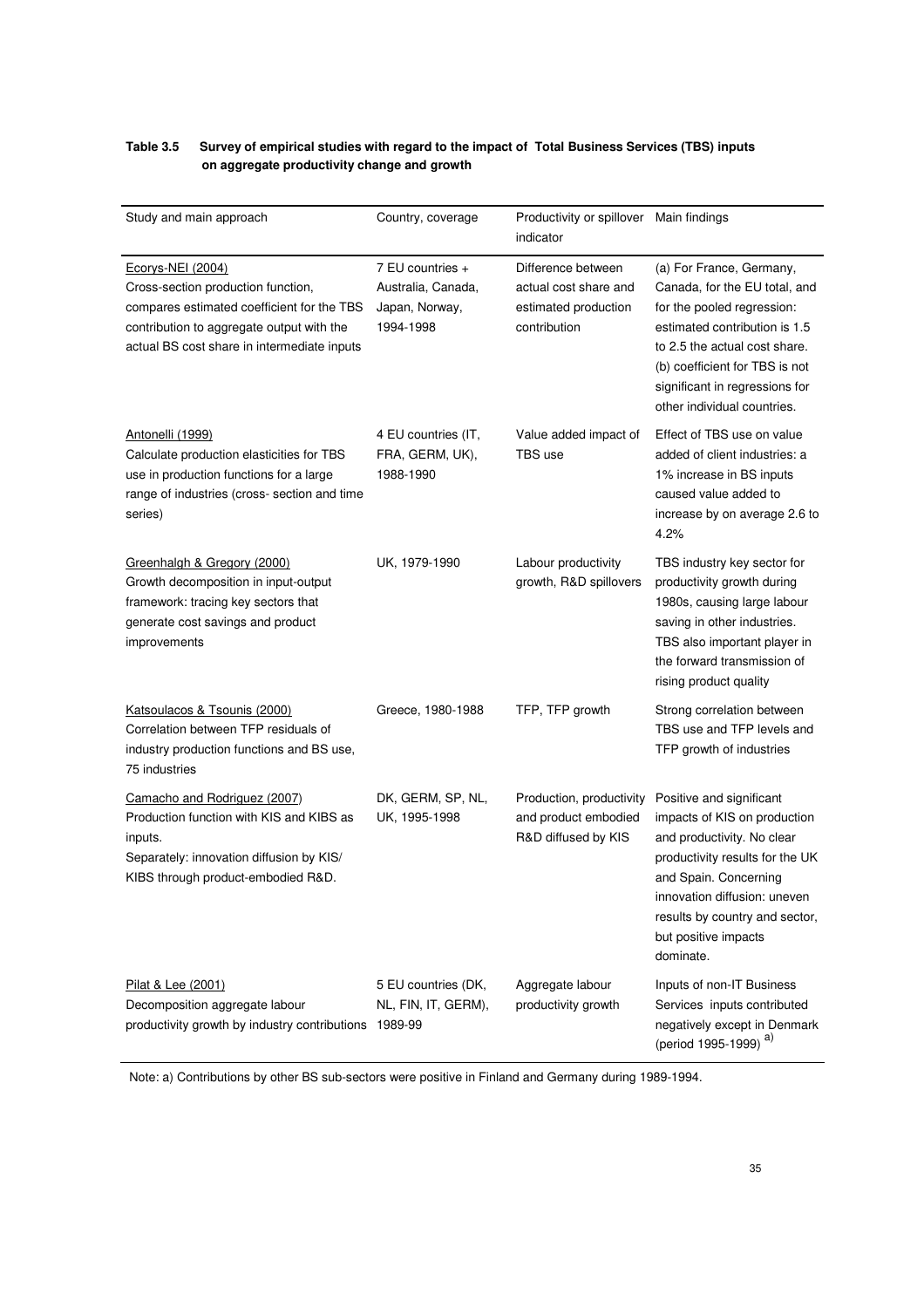### **Table 3.5 Survey of empirical studies with regard to the impact of Total Business Services (TBS) inputs on aggregate productivity change and growth**

| Study and main approach                                                                                                                                                                           | Country, coverage                                                     | Productivity or spillover<br>indicator                                              | Main findings                                                                                                                                                                                                                                                |
|---------------------------------------------------------------------------------------------------------------------------------------------------------------------------------------------------|-----------------------------------------------------------------------|-------------------------------------------------------------------------------------|--------------------------------------------------------------------------------------------------------------------------------------------------------------------------------------------------------------------------------------------------------------|
| Ecorys-NEI (2004)<br>Cross-section production function,<br>compares estimated coefficient for the TBS<br>contribution to aggregate output with the<br>actual BS cost share in intermediate inputs | 7 EU countries +<br>Australia, Canada,<br>Japan, Norway,<br>1994-1998 | Difference between<br>actual cost share and<br>estimated production<br>contribution | (a) For France, Germany,<br>Canada, for the EU total, and<br>for the pooled regression:<br>estimated contribution is 1.5<br>to 2.5 the actual cost share.<br>(b) coefficient for TBS is not<br>significant in regressions for<br>other individual countries. |
| Antonelli (1999)<br>Calculate production elasticities for TBS<br>use in production functions for a large<br>range of industries (cross-section and time<br>series)                                | 4 EU countries (IT,<br>FRA, GERM, UK),<br>1988-1990                   | Value added impact of<br>TBS use                                                    | Effect of TBS use on value<br>added of client industries: a<br>1% increase in BS inputs<br>caused value added to<br>increase by on average 2.6 to<br>4.2%                                                                                                    |
| Greenhalgh & Gregory (2000)<br>Growth decomposition in input-output<br>framework: tracing key sectors that<br>generate cost savings and product<br>improvements                                   | UK, 1979-1990                                                         | Labour productivity<br>growth, R&D spillovers                                       | TBS industry key sector for<br>productivity growth during<br>1980s, causing large labour<br>saving in other industries.<br>TBS also important player in<br>the forward transmission of<br>rising product quality                                             |
| Katsoulacos & Tsounis (2000)<br>Correlation between TFP residuals of<br>industry production functions and BS use,<br>75 industries                                                                | Greece, 1980-1988                                                     | TFP, TFP growth                                                                     | Strong correlation between<br>TBS use and TFP levels and<br>TFP growth of industries                                                                                                                                                                         |
| Camacho and Rodriguez (2007)<br>Production function with KIS and KIBS as<br>inputs.<br>Separately: innovation diffusion by KIS/<br>KIBS through product-embodied R&D.                             | DK, GERM, SP, NL,<br>UK, 1995-1998                                    | Production, productivity<br>and product embodied<br>R&D diffused by KIS             | Positive and significant<br>impacts of KIS on production<br>and productivity. No clear<br>productivity results for the UK<br>and Spain. Concerning<br>innovation diffusion: uneven<br>results by country and sector,<br>but positive impacts<br>dominate.    |
| Pilat & Lee (2001)<br>Decomposition aggregate labour<br>productivity growth by industry contributions                                                                                             | 5 EU countries (DK,<br>NL, FIN, IT, GERM),<br>1989-99                 | Aggregate labour<br>productivity growth                                             | Inputs of non-IT Business<br>Services inputs contributed<br>negatively except in Denmark<br>(period 1995-1999) <sup>a)</sup>                                                                                                                                 |

Note: a) Contributions by other BS sub-sectors were positive in Finland and Germany during 1989-1994.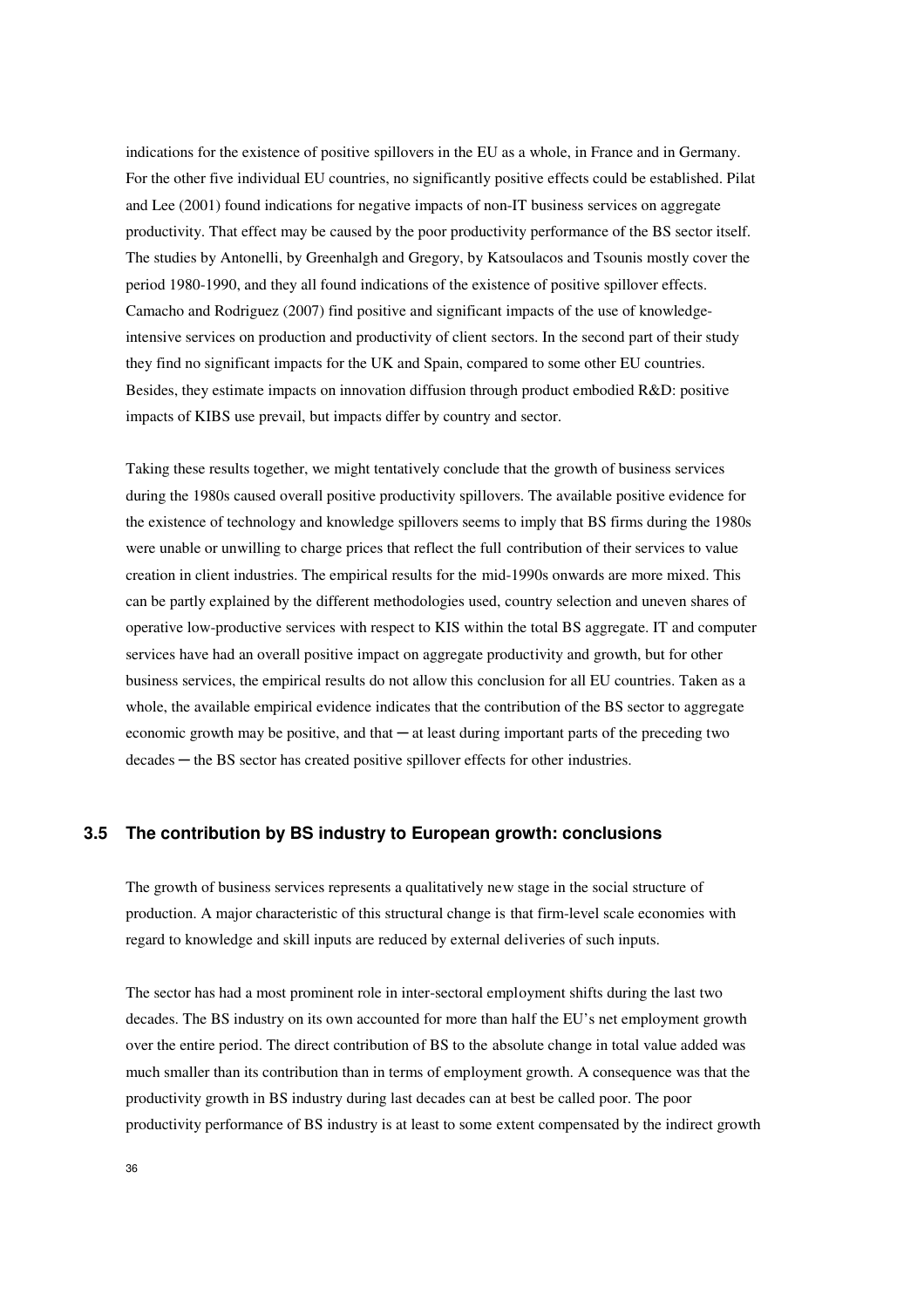indications for the existence of positive spillovers in the EU as a whole, in France and in Germany. For the other five individual EU countries, no significantly positive effects could be established. Pilat and Lee (2001) found indications for negative impacts of non-IT business services on aggregate productivity. That effect may be caused by the poor productivity performance of the BS sector itself. The studies by Antonelli, by Greenhalgh and Gregory, by Katsoulacos and Tsounis mostly cover the period 1980-1990, and they all found indications of the existence of positive spillover effects. Camacho and Rodriguez (2007) find positive and significant impacts of the use of knowledgeintensive services on production and productivity of client sectors. In the second part of their study they find no significant impacts for the UK and Spain, compared to some other EU countries. Besides, they estimate impacts on innovation diffusion through product embodied R&D: positive impacts of KIBS use prevail, but impacts differ by country and sector.

Taking these results together, we might tentatively conclude that the growth of business services during the 1980s caused overall positive productivity spillovers. The available positive evidence for the existence of technology and knowledge spillovers seems to imply that BS firms during the 1980s were unable or unwilling to charge prices that reflect the full contribution of their services to value creation in client industries. The empirical results for the mid-1990s onwards are more mixed. This can be partly explained by the different methodologies used, country selection and uneven shares of operative low-productive services with respect to KIS within the total BS aggregate. IT and computer services have had an overall positive impact on aggregate productivity and growth, but for other business services, the empirical results do not allow this conclusion for all EU countries. Taken as a whole, the available empirical evidence indicates that the contribution of the BS sector to aggregate economic growth may be positive, and that ─ at least during important parts of the preceding two decades ─ the BS sector has created positive spillover effects for other industries.

### **3.5 The contribution by BS industry to European growth: conclusions**

The growth of business services represents a qualitatively new stage in the social structure of production. A major characteristic of this structural change is that firm-level scale economies with regard to knowledge and skill inputs are reduced by external deliveries of such inputs.

The sector has had a most prominent role in inter-sectoral employment shifts during the last two decades. The BS industry on its own accounted for more than half the EU's net employment growth over the entire period. The direct contribution of BS to the absolute change in total value added was much smaller than its contribution than in terms of employment growth. A consequence was that the productivity growth in BS industry during last decades can at best be called poor. The poor productivity performance of BS industry is at least to some extent compensated by the indirect growth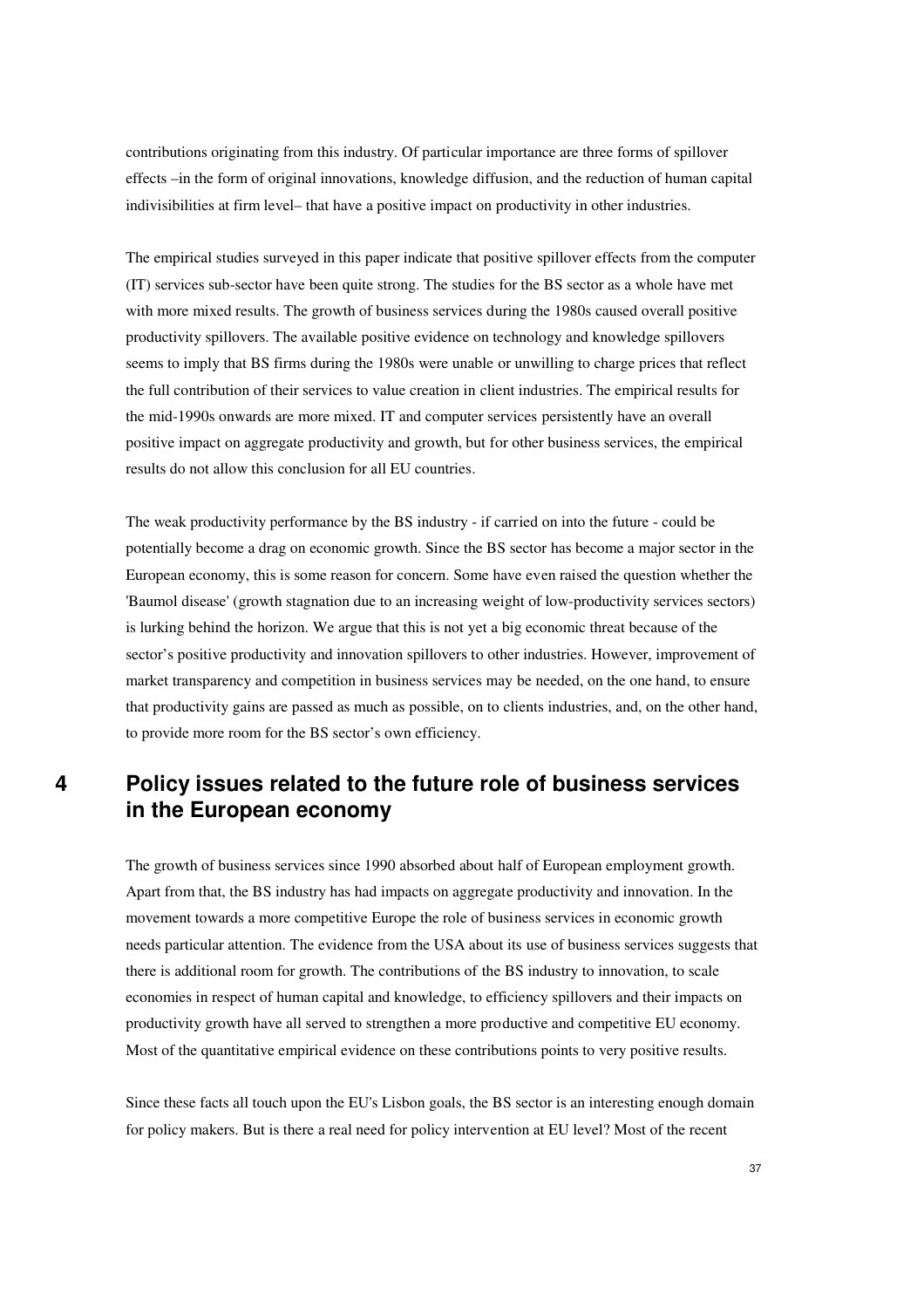contributions originating from this industry. Of particular importance are three forms of spillover effects –in the form of original innovations, knowledge diffusion, and the reduction of human capital indivisibilities at firm level– that have a positive impact on productivity in other industries.

The empirical studies surveyed in this paper indicate that positive spillover effects from the computer (IT) services sub-sector have been quite strong. The studies for the BS sector as a whole have met with more mixed results. The growth of business services during the 1980s caused overall positive productivity spillovers. The available positive evidence on technology and knowledge spillovers seems to imply that BS firms during the 1980s were unable or unwilling to charge prices that reflect the full contribution of their services to value creation in client industries. The empirical results for the mid-1990s onwards are more mixed. IT and computer services persistently have an overall positive impact on aggregate productivity and growth, but for other business services, the empirical results do not allow this conclusion for all EU countries.

The weak productivity performance by the BS industry - if carried on into the future - could be potentially become a drag on economic growth. Since the BS sector has become a major sector in the European economy, this is some reason for concern. Some have even raised the question whether the 'Baumol disease' (growth stagnation due to an increasing weight of low-productivity services sectors) is lurking behind the horizon. We argue that this is not yet a big economic threat because of the sector's positive productivity and innovation spillovers to other industries. However, improvement of market transparency and competition in business services may be needed, on the one hand, to ensure that productivity gains are passed as much as possible, on to clients industries, and, on the other hand, to provide more room for the BS sector's own efficiency.

## **4 Policy issues related to the future role of business services in the European economy**

The growth of business services since 1990 absorbed about half of European employment growth. Apart from that, the BS industry has had impacts on aggregate productivity and innovation. In the movement towards a more competitive Europe the role of business services in economic growth needs particular attention. The evidence from the USA about its use of business services suggests that there is additional room for growth. The contributions of the BS industry to innovation, to scale economies in respect of human capital and knowledge, to efficiency spillovers and their impacts on productivity growth have all served to strengthen a more productive and competitive EU economy. Most of the quantitative empirical evidence on these contributions points to very positive results.

Since these facts all touch upon the EU's Lisbon goals, the BS sector is an interesting enough domain for policy makers. But is there a real need for policy intervention at EU level? Most of the recent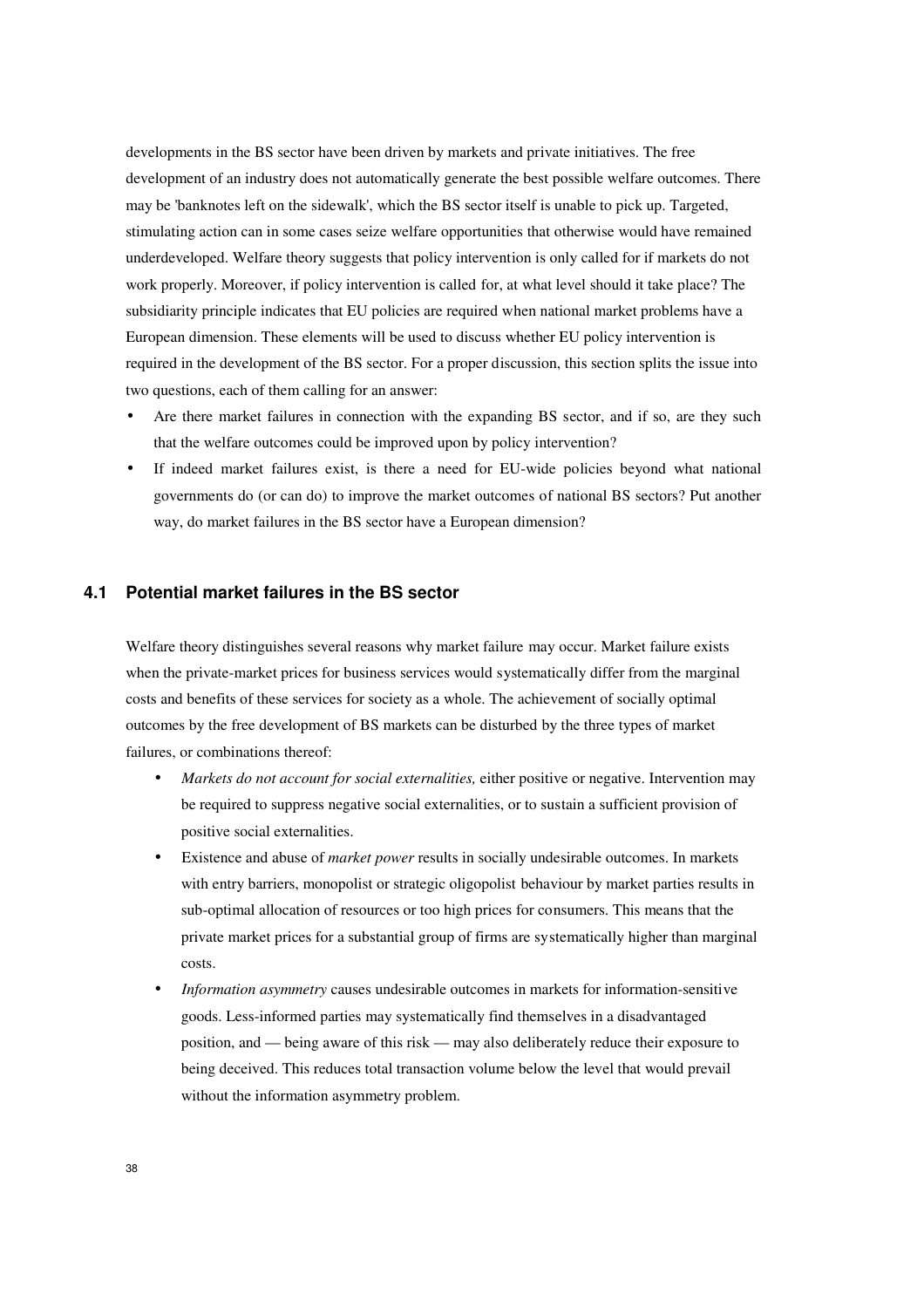developments in the BS sector have been driven by markets and private initiatives. The free development of an industry does not automatically generate the best possible welfare outcomes. There may be 'banknotes left on the sidewalk', which the BS sector itself is unable to pick up. Targeted, stimulating action can in some cases seize welfare opportunities that otherwise would have remained underdeveloped. Welfare theory suggests that policy intervention is only called for if markets do not work properly. Moreover, if policy intervention is called for, at what level should it take place? The subsidiarity principle indicates that EU policies are required when national market problems have a European dimension. These elements will be used to discuss whether EU policy intervention is required in the development of the BS sector. For a proper discussion, this section splits the issue into two questions, each of them calling for an answer:

- Are there market failures in connection with the expanding BS sector, and if so, are they such that the welfare outcomes could be improved upon by policy intervention?
- If indeed market failures exist, is there a need for EU-wide policies beyond what national governments do (or can do) to improve the market outcomes of national BS sectors? Put another way, do market failures in the BS sector have a European dimension?

#### **4.1 Potential market failures in the BS sector**

Welfare theory distinguishes several reasons why market failure may occur. Market failure exists when the private-market prices for business services would systematically differ from the marginal costs and benefits of these services for society as a whole. The achievement of socially optimal outcomes by the free development of BS markets can be disturbed by the three types of market failures, or combinations thereof:

- *Markets do not account for social externalities, either positive or negative. Intervention may* be required to suppress negative social externalities, or to sustain a sufficient provision of positive social externalities.
- Existence and abuse of *market power* results in socially undesirable outcomes. In markets with entry barriers, monopolist or strategic oligopolist behaviour by market parties results in sub-optimal allocation of resources or too high prices for consumers. This means that the private market prices for a substantial group of firms are systematically higher than marginal costs.
- *Information asymmetry* causes undesirable outcomes in markets for information-sensitive goods. Less-informed parties may systematically find themselves in a disadvantaged position, and — being aware of this risk — may also deliberately reduce their exposure to being deceived. This reduces total transaction volume below the level that would prevail without the information asymmetry problem.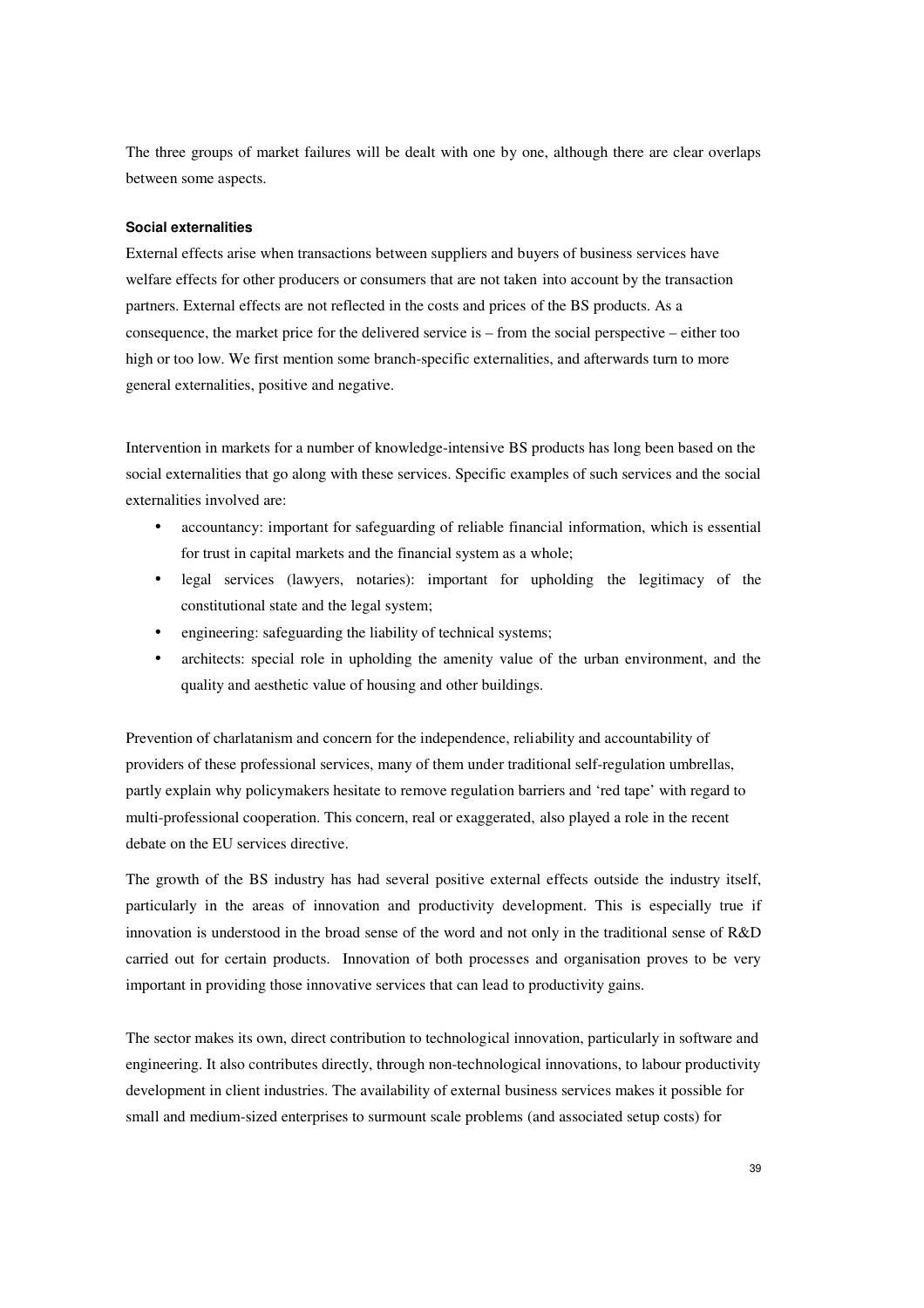The three groups of market failures will be dealt with one by one, although there are clear overlaps between some aspects.

#### **Social externalities**

External effects arise when transactions between suppliers and buyers of business services have welfare effects for other producers or consumers that are not taken into account by the transaction partners. External effects are not reflected in the costs and prices of the BS products. As a consequence, the market price for the delivered service is – from the social perspective – either too high or too low. We first mention some branch-specific externalities, and afterwards turn to more general externalities, positive and negative.

Intervention in markets for a number of knowledge-intensive BS products has long been based on the social externalities that go along with these services. Specific examples of such services and the social externalities involved are:

- accountancy: important for safeguarding of reliable financial information, which is essential for trust in capital markets and the financial system as a whole;
- legal services (lawyers, notaries): important for upholding the legitimacy of the constitutional state and the legal system;
- engineering: safeguarding the liability of technical systems;
- architects: special role in upholding the amenity value of the urban environment, and the quality and aesthetic value of housing and other buildings.

Prevention of charlatanism and concern for the independence, reliability and accountability of providers of these professional services, many of them under traditional self-regulation umbrellas, partly explain why policymakers hesitate to remove regulation barriers and 'red tape' with regard to multi-professional cooperation. This concern, real or exaggerated, also played a role in the recent debate on the EU services directive.

The growth of the BS industry has had several positive external effects outside the industry itself, particularly in the areas of innovation and productivity development. This is especially true if innovation is understood in the broad sense of the word and not only in the traditional sense of R&D carried out for certain products. Innovation of both processes and organisation proves to be very important in providing those innovative services that can lead to productivity gains.

The sector makes its own, direct contribution to technological innovation, particularly in software and engineering. It also contributes directly, through non-technological innovations, to labour productivity development in client industries. The availability of external business services makes it possible for small and medium-sized enterprises to surmount scale problems (and associated setup costs) for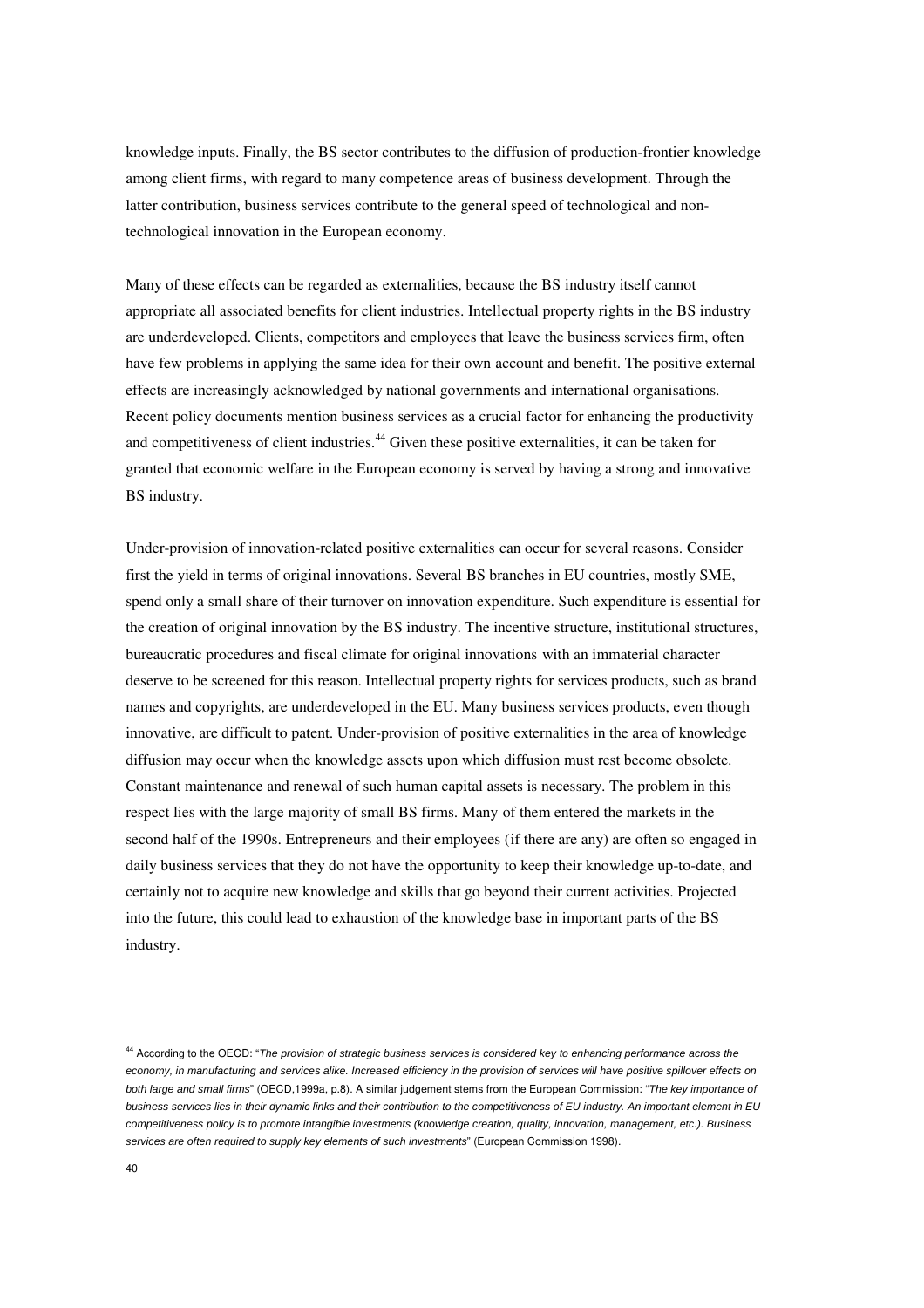knowledge inputs. Finally, the BS sector contributes to the diffusion of production-frontier knowledge among client firms, with regard to many competence areas of business development. Through the latter contribution, business services contribute to the general speed of technological and nontechnological innovation in the European economy.

Many of these effects can be regarded as externalities, because the BS industry itself cannot appropriate all associated benefits for client industries. Intellectual property rights in the BS industry are underdeveloped. Clients, competitors and employees that leave the business services firm, often have few problems in applying the same idea for their own account and benefit. The positive external effects are increasingly acknowledged by national governments and international organisations. Recent policy documents mention business services as a crucial factor for enhancing the productivity and competitiveness of client industries.<sup>44</sup> Given these positive externalities, it can be taken for granted that economic welfare in the European economy is served by having a strong and innovative BS industry.

Under-provision of innovation-related positive externalities can occur for several reasons. Consider first the yield in terms of original innovations. Several BS branches in EU countries, mostly SME, spend only a small share of their turnover on innovation expenditure. Such expenditure is essential for the creation of original innovation by the BS industry. The incentive structure, institutional structures, bureaucratic procedures and fiscal climate for original innovations with an immaterial character deserve to be screened for this reason. Intellectual property rights for services products, such as brand names and copyrights, are underdeveloped in the EU. Many business services products, even though innovative, are difficult to patent. Under-provision of positive externalities in the area of knowledge diffusion may occur when the knowledge assets upon which diffusion must rest become obsolete. Constant maintenance and renewal of such human capital assets is necessary. The problem in this respect lies with the large majority of small BS firms. Many of them entered the markets in the second half of the 1990s. Entrepreneurs and their employees (if there are any) are often so engaged in daily business services that they do not have the opportunity to keep their knowledge up-to-date, and certainly not to acquire new knowledge and skills that go beyond their current activities. Projected into the future, this could lead to exhaustion of the knowledge base in important parts of the BS industry.

<sup>&</sup>lt;sup>44</sup> According to the OECD: "The provision of strategic business services is considered key to enhancing performance across the economy, in manufacturing and services alike. Increased efficiency in the provision of services will have positive spillover effects on both large and small firms" (OECD,1999a, p.8). A similar judgement stems from the European Commission: "The key importance of business services lies in their dynamic links and their contribution to the competitiveness of EU industry. An important element in EU competitiveness policy is to promote intangible investments (knowledge creation, quality, innovation, management, etc.). Business services are often required to supply key elements of such investments" (European Commission 1998).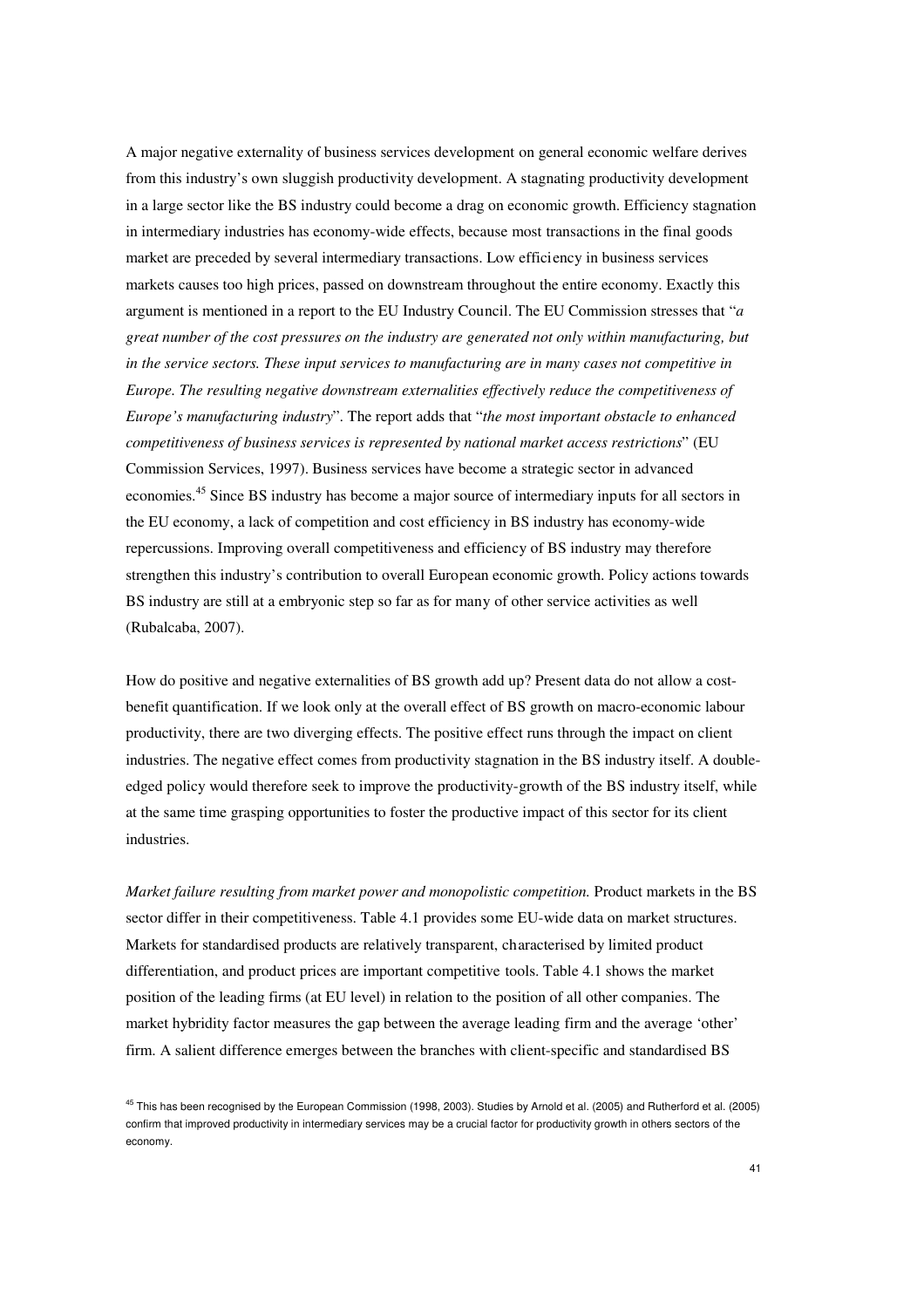A major negative externality of business services development on general economic welfare derives from this industry's own sluggish productivity development. A stagnating productivity development in a large sector like the BS industry could become a drag on economic growth. Efficiency stagnation in intermediary industries has economy-wide effects, because most transactions in the final goods market are preceded by several intermediary transactions. Low efficiency in business services markets causes too high prices, passed on downstream throughout the entire economy. Exactly this argument is mentioned in a report to the EU Industry Council. The EU Commission stresses that "*a great number of the cost pressures on the industry are generated not only within manufacturing, but in the service sectors. These input services to manufacturing are in many cases not competitive in Europe. The resulting negative downstream externalities effectively reduce the competitiveness of Europe's manufacturing industry*". The report adds that "*the most important obstacle to enhanced competitiveness of business services is represented by national market access restrictions*" (EU Commission Services, 1997). Business services have become a strategic sector in advanced economies.<sup>45</sup> Since BS industry has become a major source of intermediary inputs for all sectors in the EU economy, a lack of competition and cost efficiency in BS industry has economy-wide repercussions. Improving overall competitiveness and efficiency of BS industry may therefore strengthen this industry's contribution to overall European economic growth. Policy actions towards BS industry are still at a embryonic step so far as for many of other service activities as well (Rubalcaba, 2007).

How do positive and negative externalities of BS growth add up? Present data do not allow a costbenefit quantification. If we look only at the overall effect of BS growth on macro-economic labour productivity, there are two diverging effects. The positive effect runs through the impact on client industries. The negative effect comes from productivity stagnation in the BS industry itself. A doubleedged policy would therefore seek to improve the productivity-growth of the BS industry itself, while at the same time grasping opportunities to foster the productive impact of this sector for its client industries.

*Market failure resulting from market power and monopolistic competition. Product markets in the BS* sector differ in their competitiveness. Table 4.1 provides some EU-wide data on market structures. Markets for standardised products are relatively transparent, characterised by limited product differentiation, and product prices are important competitive tools. Table 4.1 shows the market position of the leading firms (at EU level) in relation to the position of all other companies. The market hybridity factor measures the gap between the average leading firm and the average 'other' firm. A salient difference emerges between the branches with client-specific and standardised BS

<sup>&</sup>lt;sup>45</sup> This has been recognised by the European Commission (1998, 2003). Studies by Arnold et al. (2005) and Rutherford et al. (2005) confirm that improved productivity in intermediary services may be a crucial factor for productivity growth in others sectors of the economy.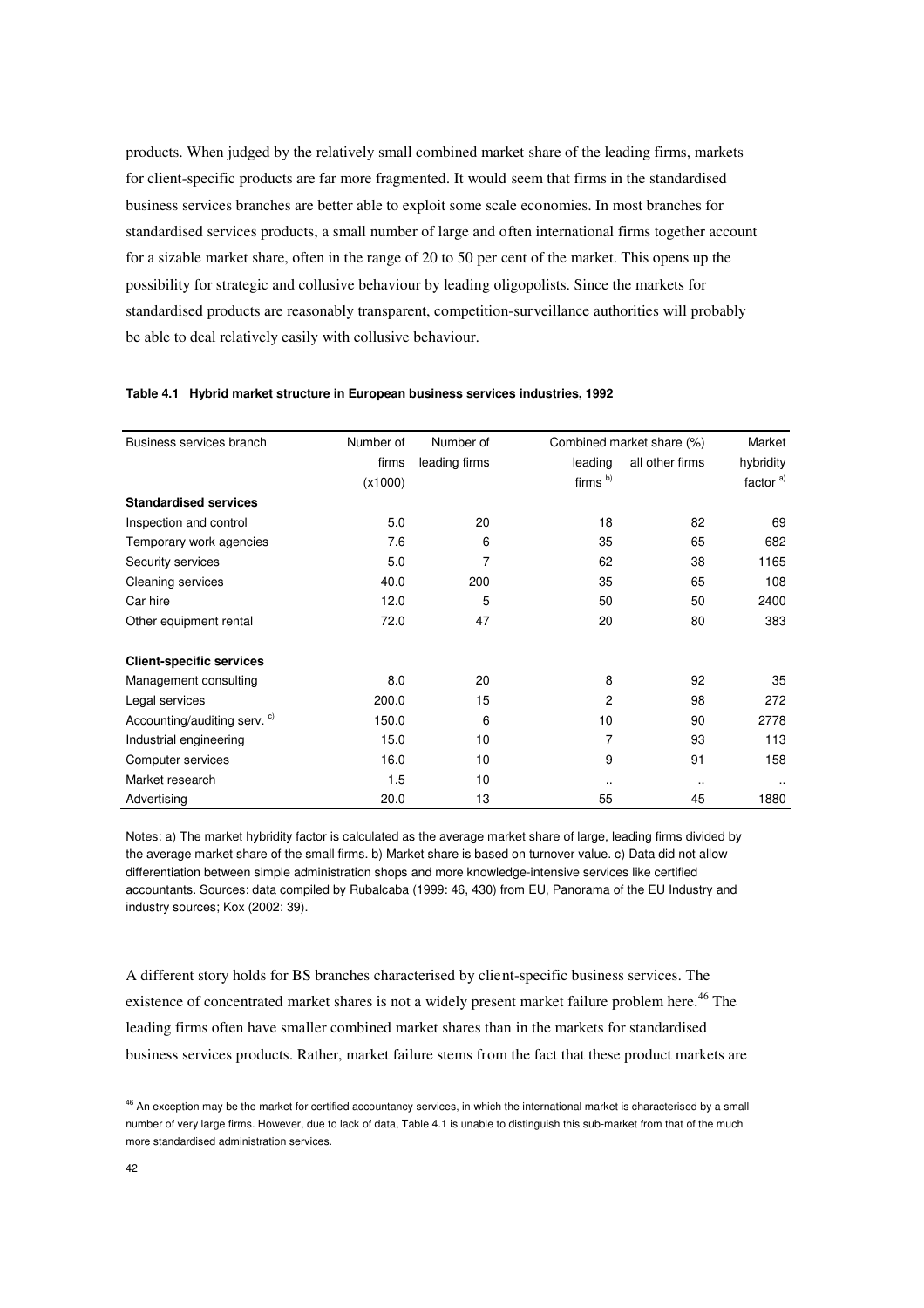products. When judged by the relatively small combined market share of the leading firms, markets for client-specific products are far more fragmented. It would seem that firms in the standardised business services branches are better able to exploit some scale economies. In most branches for standardised services products, a small number of large and often international firms together account for a sizable market share, often in the range of 20 to 50 per cent of the market. This opens up the possibility for strategic and collusive behaviour by leading oligopolists. Since the markets for standardised products are reasonably transparent, competition-surveillance authorities will probably be able to deal relatively easily with collusive behaviour.

| Business services branch                | Number of | Number of        |                     | Combined market share (%) |                      |
|-----------------------------------------|-----------|------------------|---------------------|---------------------------|----------------------|
|                                         | firms     | leading firms    | leading             | all other firms           | hybridity            |
|                                         | (x1000)   |                  | firms <sup>b)</sup> |                           | factor <sup>a)</sup> |
| <b>Standardised services</b>            |           |                  |                     |                           |                      |
| Inspection and control                  | 5.0       | 20               | 18                  | 82                        | 69                   |
| Temporary work agencies                 | 7.6       | 6                | 35                  | 65                        | 682                  |
| Security services                       | 5.0       | 7                | 62                  | 38                        | 1165                 |
| Cleaning services                       | 40.0      | 200              | 35                  | 65                        | 108                  |
| Car hire                                | 12.0      | 5                | 50                  | 50                        | 2400                 |
| Other equipment rental                  | 72.0      | 47               | 20                  | 80                        | 383                  |
| <b>Client-specific services</b>         |           |                  |                     |                           |                      |
| Management consulting                   | 8.0       | 20               | 8                   | 92                        | 35                   |
| Legal services                          | 200.0     | 15               | 2                   | 98                        | 272                  |
| Accounting/auditing serv. <sup>c)</sup> | 150.0     | 6                | 10                  | 90                        | 2778                 |
| Industrial engineering                  | 15.0      | 10 <sup>10</sup> | 7                   | 93                        | 113                  |
| Computer services                       | 16.0      | 10 <sup>1</sup>  | 9                   | 91                        | 158                  |
| Market research                         | 1.5       | 10               |                     |                           |                      |
| Advertising                             | 20.0      | 13               | 55                  | 45                        | 1880                 |

#### **Table 4.1 Hybrid market structure in European business services industries, 1992**

Notes: a) The market hybridity factor is calculated as the average market share of large, leading firms divided by the average market share of the small firms. b) Market share is based on turnover value. c) Data did not allow differentiation between simple administration shops and more knowledge-intensive services like certified accountants. Sources: data compiled by Rubalcaba (1999: 46, 430) from EU, Panorama of the EU Industry and industry sources; Kox (2002: 39).

A different story holds for BS branches characterised by client-specific business services. The existence of concentrated market shares is not a widely present market failure problem here.<sup>46</sup> The leading firms often have smaller combined market shares than in the markets for standardised business services products. Rather, market failure stems from the fact that these product markets are

<sup>&</sup>lt;sup>46</sup> An exception may be the market for certified accountancy services, in which the international market is characterised by a small number of very large firms. However, due to lack of data, Table 4.1 is unable to distinguish this sub-market from that of the much more standardised administration services.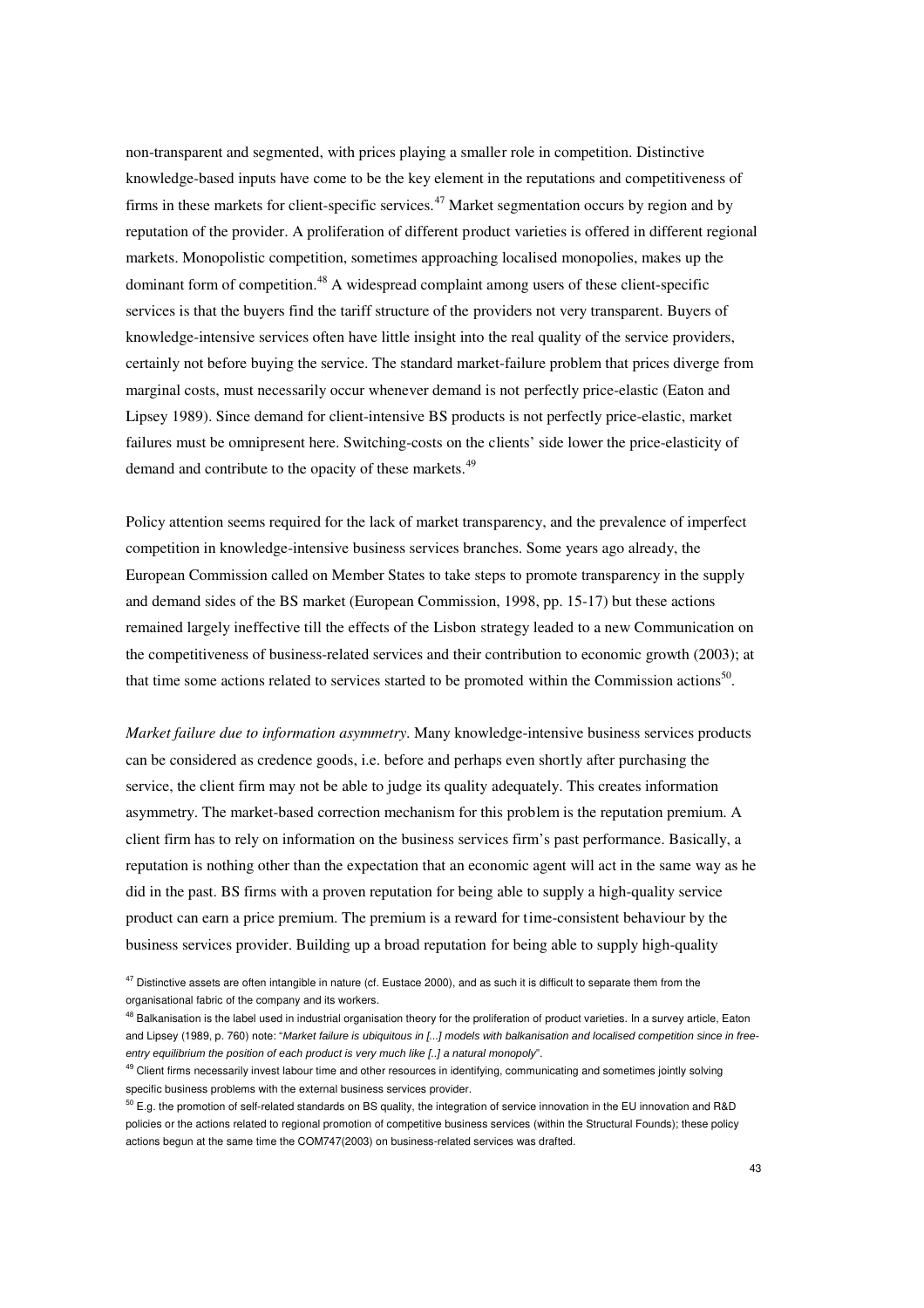non-transparent and segmented, with prices playing a smaller role in competition. Distinctive knowledge-based inputs have come to be the key element in the reputations and competitiveness of firms in these markets for client-specific services.<sup>47</sup> Market segmentation occurs by region and by reputation of the provider. A proliferation of different product varieties is offered in different regional markets. Monopolistic competition, sometimes approaching localised monopolies, makes up the dominant form of competition.<sup>48</sup> A widespread complaint among users of these client-specific services is that the buyers find the tariff structure of the providers not very transparent. Buyers of knowledge-intensive services often have little insight into the real quality of the service providers, certainly not before buying the service. The standard market-failure problem that prices diverge from marginal costs, must necessarily occur whenever demand is not perfectly price-elastic (Eaton and Lipsey 1989). Since demand for client-intensive BS products is not perfectly price-elastic, market failures must be omnipresent here. Switching-costs on the clients' side lower the price-elasticity of demand and contribute to the opacity of these markets.<sup>49</sup>

Policy attention seems required for the lack of market transparency, and the prevalence of imperfect competition in knowledge-intensive business services branches. Some years ago already, the European Commission called on Member States to take steps to promote transparency in the supply and demand sides of the BS market (European Commission, 1998, pp. 15-17) but these actions remained largely ineffective till the effects of the Lisbon strategy leaded to a new Communication on the competitiveness of business-related services and their contribution to economic growth (2003); at that time some actions related to services started to be promoted within the Commission actions<sup>50</sup>.

*Market failure due to information asymmetry*. Many knowledge-intensive business services products can be considered as credence goods, i.e. before and perhaps even shortly after purchasing the service, the client firm may not be able to judge its quality adequately. This creates information asymmetry. The market-based correction mechanism for this problem is the reputation premium. A client firm has to rely on information on the business services firm's past performance. Basically, a reputation is nothing other than the expectation that an economic agent will act in the same way as he did in the past. BS firms with a proven reputation for being able to supply a high-quality service product can earn a price premium. The premium is a reward for time-consistent behaviour by the business services provider. Building up a broad reputation for being able to supply high-quality

 $47$  Distinctive assets are often intangible in nature (cf. Eustace 2000), and as such it is difficult to separate them from the organisational fabric of the company and its workers.

<sup>&</sup>lt;sup>48</sup> Balkanisation is the label used in industrial organisation theory for the proliferation of product varieties. In a survey article, Eaton and Lipsey (1989, p. 760) note: "Market failure is ubiquitous in [...] models with balkanisation and localised competition since in freeentry equilibrium the position of each product is very much like [..] a natural monopoly".

<sup>&</sup>lt;sup>49</sup> Client firms necessarily invest labour time and other resources in identifying, communicating and sometimes jointly solving specific business problems with the external business services provider.

 $^{50}$  E.g. the promotion of self-related standards on BS quality, the integration of service innovation in the EU innovation and R&D policies or the actions related to regional promotion of competitive business services (within the Structural Founds); these policy actions begun at the same time the COM747(2003) on business-related services was drafted.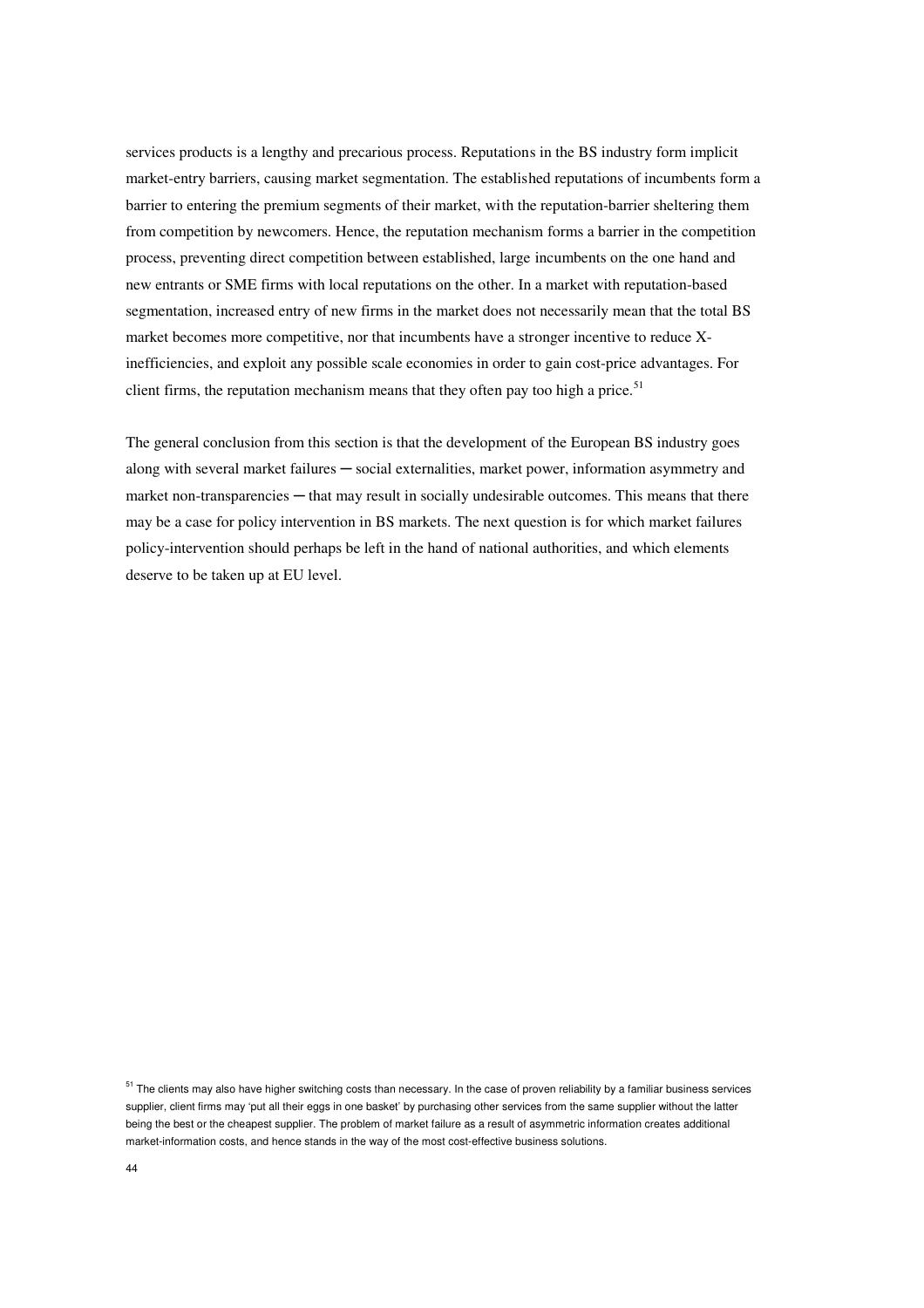services products is a lengthy and precarious process. Reputations in the BS industry form implicit market-entry barriers, causing market segmentation. The established reputations of incumbents form a barrier to entering the premium segments of their market, with the reputation-barrier sheltering them from competition by newcomers. Hence, the reputation mechanism forms a barrier in the competition process, preventing direct competition between established, large incumbents on the one hand and new entrants or SME firms with local reputations on the other. In a market with reputation-based segmentation, increased entry of new firms in the market does not necessarily mean that the total BS market becomes more competitive, nor that incumbents have a stronger incentive to reduce Xinefficiencies, and exploit any possible scale economies in order to gain cost-price advantages. For client firms, the reputation mechanism means that they often pay too high a price.<sup>51</sup>

The general conclusion from this section is that the development of the European BS industry goes along with several market failures ─ social externalities, market power, information asymmetry and market non-transparencies — that may result in socially undesirable outcomes. This means that there may be a case for policy intervention in BS markets. The next question is for which market failures policy-intervention should perhaps be left in the hand of national authorities, and which elements deserve to be taken up at EU level.

 $51$  The clients may also have higher switching costs than necessary. In the case of proven reliability by a familiar business services supplier, client firms may 'put all their eggs in one basket' by purchasing other services from the same supplier without the latter being the best or the cheapest supplier. The problem of market failure as a result of asymmetric information creates additional market-information costs, and hence stands in the way of the most cost-effective business solutions.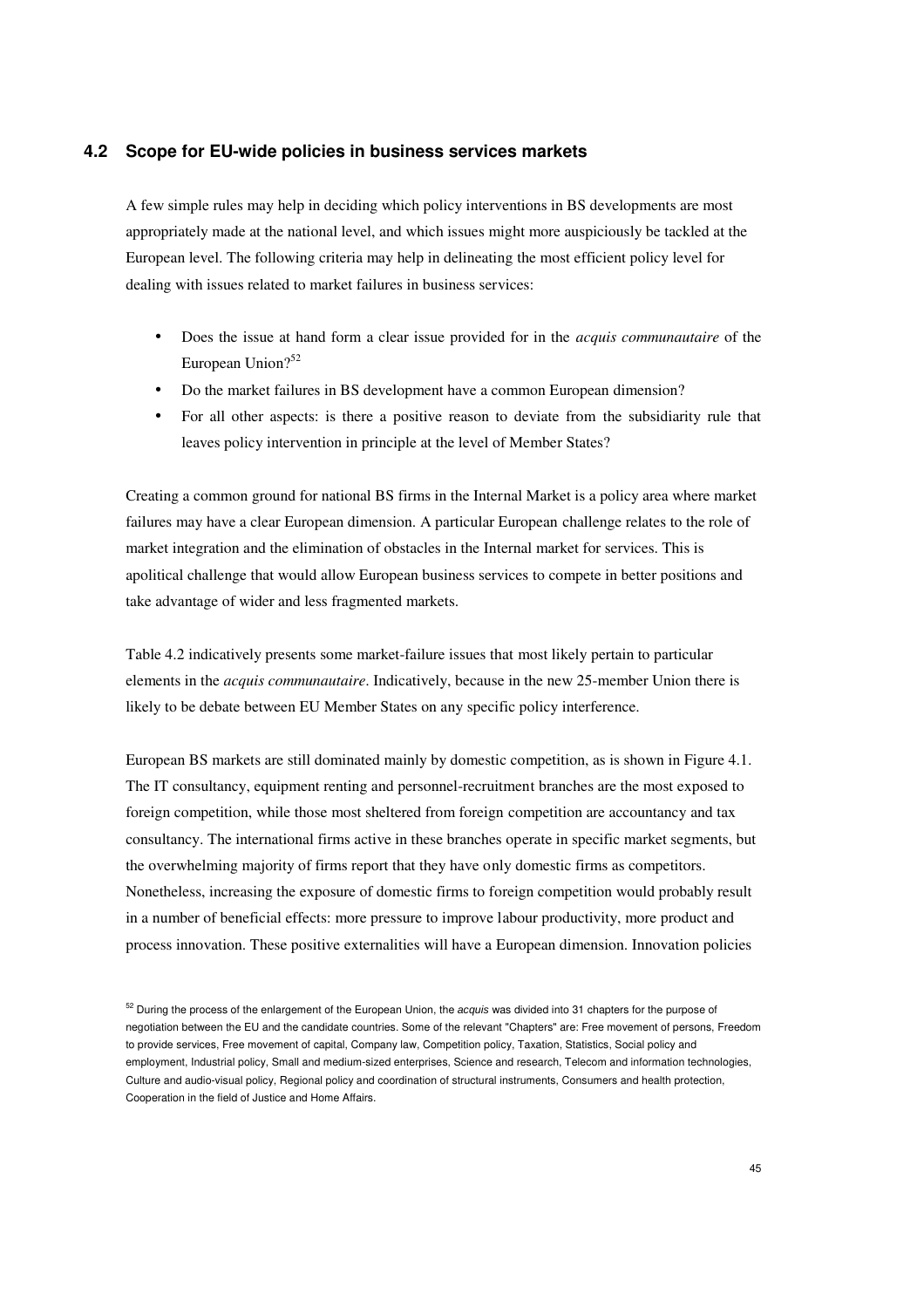#### **4.2 Scope for EU-wide policies in business services markets**

A few simple rules may help in deciding which policy interventions in BS developments are most appropriately made at the national level, and which issues might more auspiciously be tackled at the European level. The following criteria may help in delineating the most efficient policy level for dealing with issues related to market failures in business services:

- Does the issue at hand form a clear issue provided for in the *acquis communautaire* of the European Union?<sup>52</sup>
- Do the market failures in BS development have a common European dimension?
- For all other aspects: is there a positive reason to deviate from the subsidiarity rule that leaves policy intervention in principle at the level of Member States?

Creating a common ground for national BS firms in the Internal Market is a policy area where market failures may have a clear European dimension. A particular European challenge relates to the role of market integration and the elimination of obstacles in the Internal market for services. This is apolitical challenge that would allow European business services to compete in better positions and take advantage of wider and less fragmented markets.

Table 4.2 indicatively presents some market-failure issues that most likely pertain to particular elements in the *acquis communautaire*. Indicatively, because in the new 25-member Union there is likely to be debate between EU Member States on any specific policy interference.

European BS markets are still dominated mainly by domestic competition, as is shown in Figure 4.1. The IT consultancy, equipment renting and personnel-recruitment branches are the most exposed to foreign competition, while those most sheltered from foreign competition are accountancy and tax consultancy. The international firms active in these branches operate in specific market segments, but the overwhelming majority of firms report that they have only domestic firms as competitors. Nonetheless, increasing the exposure of domestic firms to foreign competition would probably result in a number of beneficial effects: more pressure to improve labour productivity, more product and process innovation. These positive externalities will have a European dimension. Innovation policies

<sup>&</sup>lt;sup>52</sup> During the process of the enlargement of the European Union, the acquis was divided into 31 chapters for the purpose of negotiation between the EU and the candidate countries. Some of the relevant "Chapters" are: Free movement of persons, Freedom to provide services, Free movement of capital, Company law, Competition policy, Taxation, Statistics, Social policy and employment, Industrial policy, Small and medium-sized enterprises, Science and research, Telecom and information technologies, Culture and audio-visual policy, Regional policy and coordination of structural instruments, Consumers and health protection, Cooperation in the field of Justice and Home Affairs.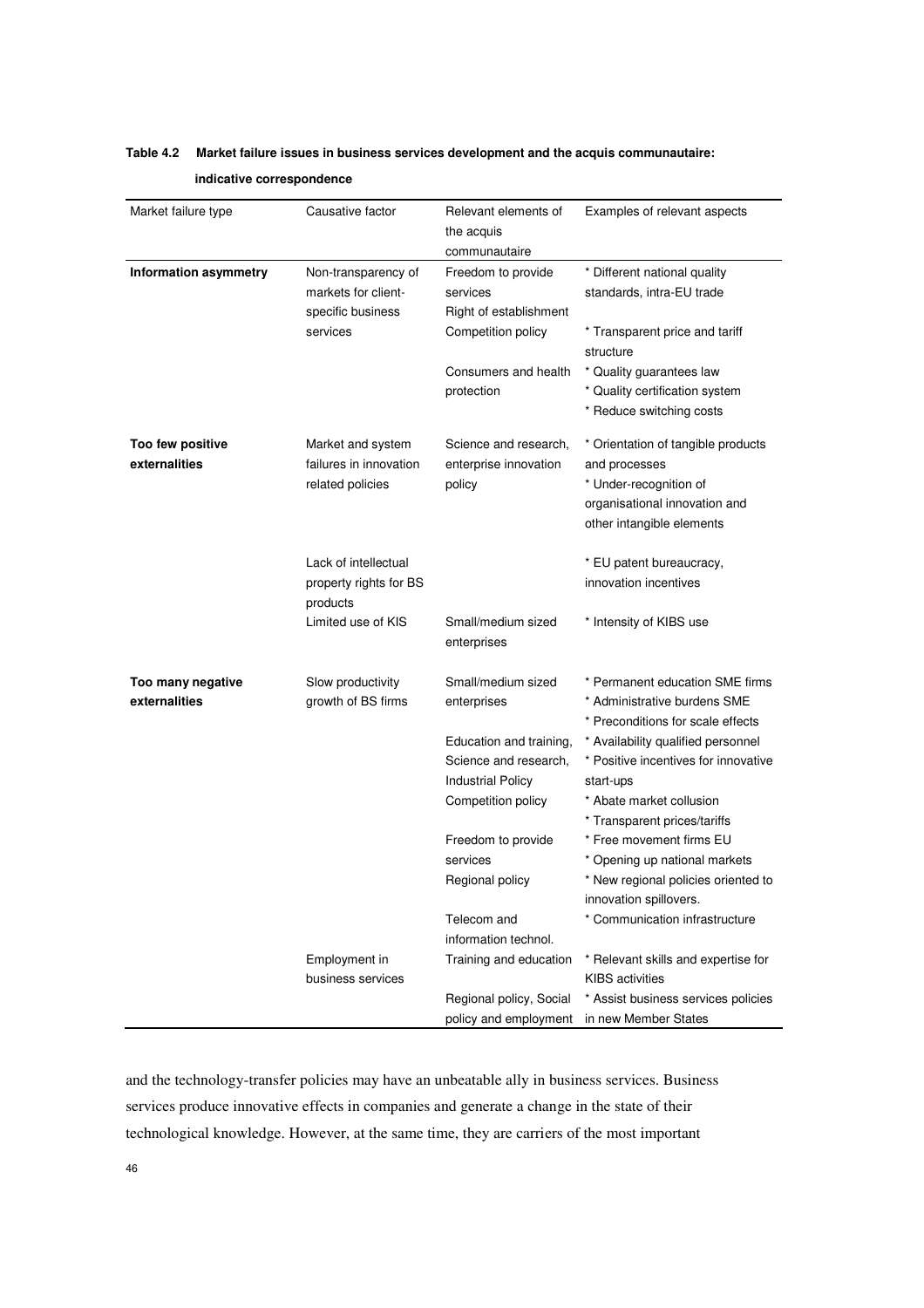| Market failure type                | Causative factor                                                | Relevant elements of<br>the acquis                                           | Examples of relevant aspects                                                                                                                |
|------------------------------------|-----------------------------------------------------------------|------------------------------------------------------------------------------|---------------------------------------------------------------------------------------------------------------------------------------------|
| <b>Information asymmetry</b>       | Non-transparency of<br>markets for client-                      | communautaire<br>Freedom to provide<br>services                              | * Different national quality<br>standards, intra-EU trade                                                                                   |
|                                    | specific business<br>services                                   | Right of establishment<br>Competition policy                                 | * Transparent price and tariff<br>structure                                                                                                 |
|                                    |                                                                 | Consumers and health<br>protection                                           | * Quality guarantees law<br>* Quality certification system<br>* Reduce switching costs                                                      |
| Too few positive<br>externalities  | Market and system<br>failures in innovation<br>related policies | Science and research,<br>enterprise innovation<br>policy                     | * Orientation of tangible products<br>and processes<br>* Under-recognition of<br>organisational innovation and<br>other intangible elements |
|                                    | Lack of intellectual<br>property rights for BS<br>products      |                                                                              | * EU patent bureaucracy,<br>innovation incentives                                                                                           |
|                                    | Limited use of KIS                                              | Small/medium sized<br>enterprises                                            | * Intensity of KIBS use                                                                                                                     |
| Too many negative<br>externalities | Slow productivity<br>growth of BS firms                         | Small/medium sized<br>enterprises                                            | * Permanent education SME firms<br>* Administrative burdens SME<br>* Preconditions for scale effects                                        |
|                                    |                                                                 | Education and training,<br>Science and research,<br><b>Industrial Policy</b> | * Availability qualified personnel<br>* Positive incentives for innovative<br>start-ups                                                     |
|                                    |                                                                 | Competition policy                                                           | * Abate market collusion<br>* Transparent prices/tariffs                                                                                    |
|                                    |                                                                 | Freedom to provide<br>services<br>Regional policy                            | * Free movement firms EU<br>* Opening up national markets<br>* New regional policies oriented to                                            |
|                                    |                                                                 |                                                                              | innovation spillovers.                                                                                                                      |
|                                    |                                                                 | Telecom and<br>information technol.                                          | * Communication infrastructure                                                                                                              |
|                                    | Employment in<br>business services                              | Training and education                                                       | * Relevant skills and expertise for<br><b>KIBS</b> activities                                                                               |
|                                    |                                                                 | Regional policy, Social<br>policy and employment                             | * Assist business services policies<br>in new Member States                                                                                 |

## **Table 4.2 Market failure issues in business services development and the acquis communautaire:**

 **indicative correspondence** 

and the technology-transfer policies may have an unbeatable ally in business services. Business services produce innovative effects in companies and generate a change in the state of their technological knowledge. However, at the same time, they are carriers of the most important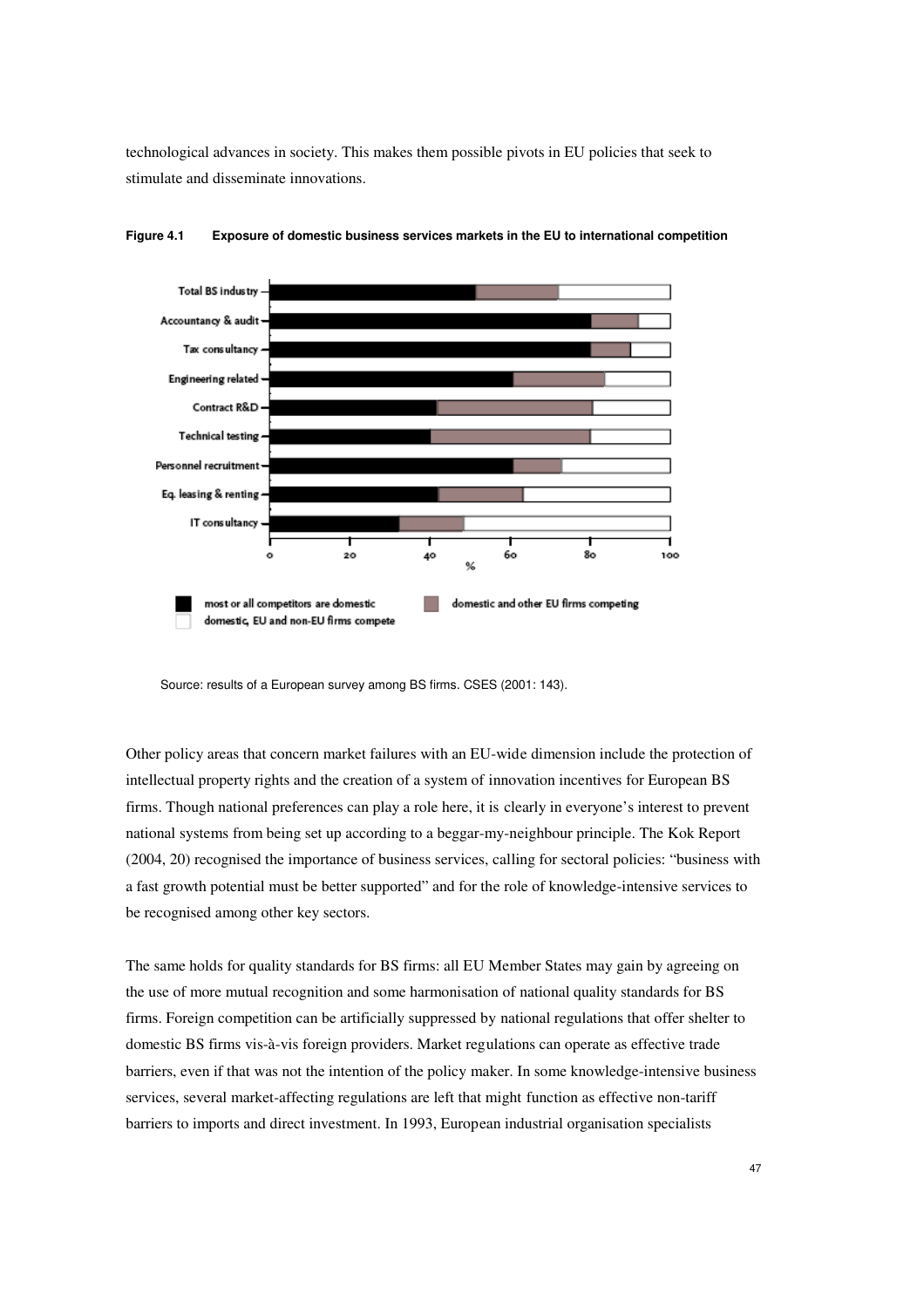technological advances in society. This makes them possible pivots in EU policies that seek to stimulate and disseminate innovations.



**Figure 4.1 Exposure of domestic business services markets in the EU to international competition**

Source: results of a European survey among BS firms. CSES (2001: 143).

Other policy areas that concern market failures with an EU-wide dimension include the protection of intellectual property rights and the creation of a system of innovation incentives for European BS firms. Though national preferences can play a role here, it is clearly in everyone's interest to prevent national systems from being set up according to a beggar-my-neighbour principle. The Kok Report (2004, 20) recognised the importance of business services, calling for sectoral policies: "business with a fast growth potential must be better supported" and for the role of knowledge-intensive services to be recognised among other key sectors.

The same holds for quality standards for BS firms: all EU Member States may gain by agreeing on the use of more mutual recognition and some harmonisation of national quality standards for BS firms. Foreign competition can be artificially suppressed by national regulations that offer shelter to domestic BS firms vis-à-vis foreign providers. Market regulations can operate as effective trade barriers, even if that was not the intention of the policy maker. In some knowledge-intensive business services, several market-affecting regulations are left that might function as effective non-tariff barriers to imports and direct investment. In 1993, European industrial organisation specialists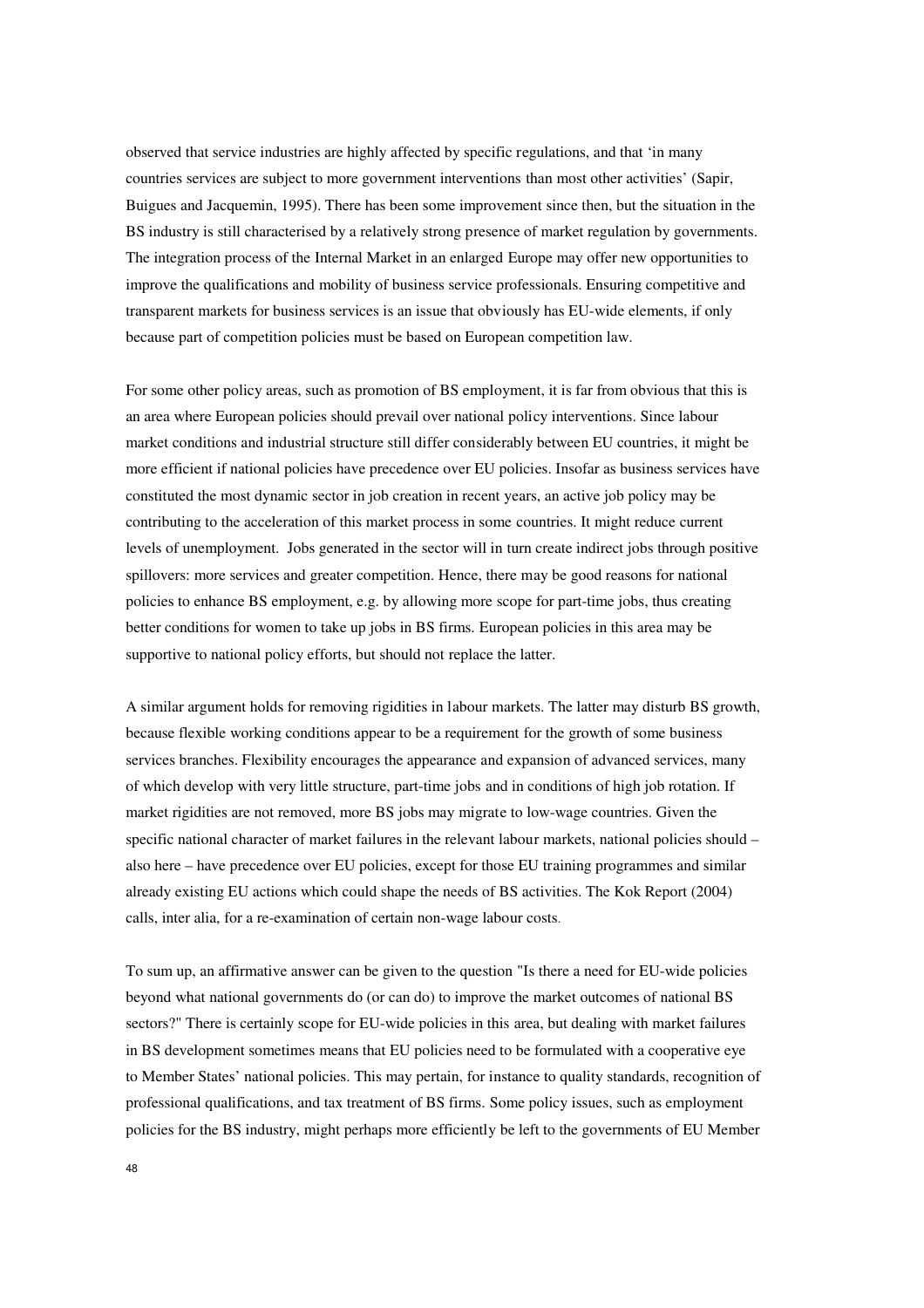observed that service industries are highly affected by specific regulations, and that 'in many countries services are subject to more government interventions than most other activities' (Sapir, Buigues and Jacquemin, 1995). There has been some improvement since then, but the situation in the BS industry is still characterised by a relatively strong presence of market regulation by governments. The integration process of the Internal Market in an enlarged Europe may offer new opportunities to improve the qualifications and mobility of business service professionals. Ensuring competitive and transparent markets for business services is an issue that obviously has EU-wide elements, if only because part of competition policies must be based on European competition law.

For some other policy areas, such as promotion of BS employment, it is far from obvious that this is an area where European policies should prevail over national policy interventions. Since labour market conditions and industrial structure still differ considerably between EU countries, it might be more efficient if national policies have precedence over EU policies. Insofar as business services have constituted the most dynamic sector in job creation in recent years, an active job policy may be contributing to the acceleration of this market process in some countries. It might reduce current levels of unemployment. Jobs generated in the sector will in turn create indirect jobs through positive spillovers: more services and greater competition. Hence, there may be good reasons for national policies to enhance BS employment, e.g. by allowing more scope for part-time jobs, thus creating better conditions for women to take up jobs in BS firms. European policies in this area may be supportive to national policy efforts, but should not replace the latter.

A similar argument holds for removing rigidities in labour markets. The latter may disturb BS growth, because flexible working conditions appear to be a requirement for the growth of some business services branches. Flexibility encourages the appearance and expansion of advanced services, many of which develop with very little structure, part-time jobs and in conditions of high job rotation. If market rigidities are not removed, more BS jobs may migrate to low-wage countries. Given the specific national character of market failures in the relevant labour markets, national policies should – also here – have precedence over EU policies, except for those EU training programmes and similar already existing EU actions which could shape the needs of BS activities. The Kok Report (2004) calls, inter alia, for a re-examination of certain non-wage labour costs.

To sum up, an affirmative answer can be given to the question "Is there a need for EU-wide policies beyond what national governments do (or can do) to improve the market outcomes of national BS sectors?" There is certainly scope for EU-wide policies in this area, but dealing with market failures in BS development sometimes means that EU policies need to be formulated with a cooperative eye to Member States' national policies. This may pertain, for instance to quality standards, recognition of professional qualifications, and tax treatment of BS firms. Some policy issues, such as employment policies for the BS industry, might perhaps more efficiently be left to the governments of EU Member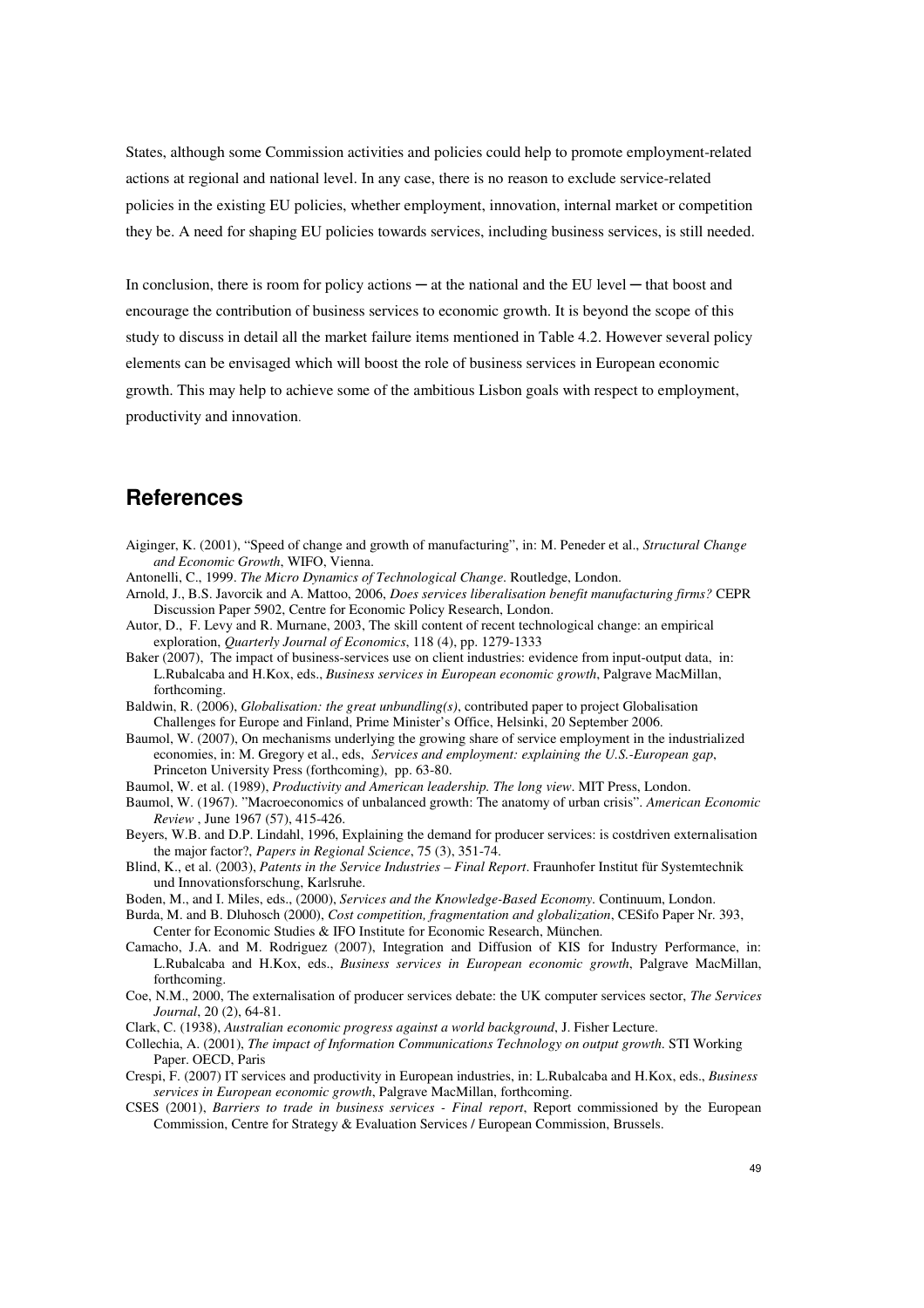States, although some Commission activities and policies could help to promote employment-related actions at regional and national level. In any case, there is no reason to exclude service-related policies in the existing EU policies, whether employment, innovation, internal market or competition they be. A need for shaping EU policies towards services, including business services, is still needed.

In conclusion, there is room for policy actions — at the national and the EU level — that boost and encourage the contribution of business services to economic growth. It is beyond the scope of this study to discuss in detail all the market failure items mentioned in Table 4.2. However several policy elements can be envisaged which will boost the role of business services in European economic growth. This may help to achieve some of the ambitious Lisbon goals with respect to employment, productivity and innovation.

## **References**

- Aiginger, K. (2001), "Speed of change and growth of manufacturing", in: M. Peneder et al., *Structural Change and Economic Growth*, WIFO, Vienna.
- Antonelli, C., 1999. *The Micro Dynamics of Technological Change*. Routledge, London.
- Arnold, J., B.S. Javorcik and A. Mattoo, 2006, *Does services liberalisation benefit manufacturing firms?* CEPR Discussion Paper 5902, Centre for Economic Policy Research, London.
- Autor, D., F. Levy and R. Murnane, 2003, The skill content of recent technological change: an empirical exploration, *Quarterly Journal of Economics*, 118 (4), pp. 1279-1333
- Baker (2007), The impact of business-services use on client industries: evidence from input-output data, in: L.Rubalcaba and H.Kox, eds., *Business services in European economic growth*, Palgrave MacMillan, forthcoming.
- Baldwin, R. (2006), *Globalisation: the great unbundling(s)*, contributed paper to project Globalisation Challenges for Europe and Finland, Prime Minister's Office, Helsinki, 20 September 2006.
- Baumol, W. (2007), On mechanisms underlying the growing share of service employment in the industrialized economies, in: M. Gregory et al., eds, *Services and employment: explaining the U.S.-European gap*, Princeton University Press (forthcoming), pp. 63-80.
- Baumol, W. et al. (1989), *Productivity and American leadership. The long view*. MIT Press, London.
- Baumol, W. (1967). "Macroeconomics of unbalanced growth: The anatomy of urban crisis". *American Economic Review* , June 1967 (57), 415-426.
- Beyers, W.B. and D.P. Lindahl, 1996, Explaining the demand for producer services: is costdriven externalisation the major factor?, *Papers in Regional Science*, 75 (3), 351-74.
- Blind, K., et al. (2003), *Patents in the Service Industries Final Report*. Fraunhofer Institut für Systemtechnik und Innovationsforschung, Karlsruhe.
- Boden, M., and I. Miles, eds., (2000), *Services and the Knowledge-Based Economy*. Continuum, London.
- Burda, M. and B. Dluhosch (2000), *Cost competition, fragmentation and globalization*, CESifo Paper Nr. 393, Center for Economic Studies & IFO Institute for Economic Research, München.
- Camacho, J.A. and M. Rodriguez (2007), Integration and Diffusion of KIS for Industry Performance, in: L.Rubalcaba and H.Kox, eds., *Business services in European economic growth*, Palgrave MacMillan, forthcoming.
- Coe, N.M., 2000, The externalisation of producer services debate: the UK computer services sector, *The Services Journal*, 20 (2), 64-81.
- Clark, C. (1938), *Australian economic progress against a world background*, J. Fisher Lecture.
- Collechia, A. (2001), *The impact of Information Communications Technology on output growth*. STI Working Paper. OECD, Paris
- Crespi, F. (2007) IT services and productivity in European industries, in: L.Rubalcaba and H.Kox, eds., *Business services in European economic growth*, Palgrave MacMillan, forthcoming.
- CSES (2001), *Barriers to trade in business services Final report*, Report commissioned by the European Commission, Centre for Strategy & Evaluation Services / European Commission, Brussels.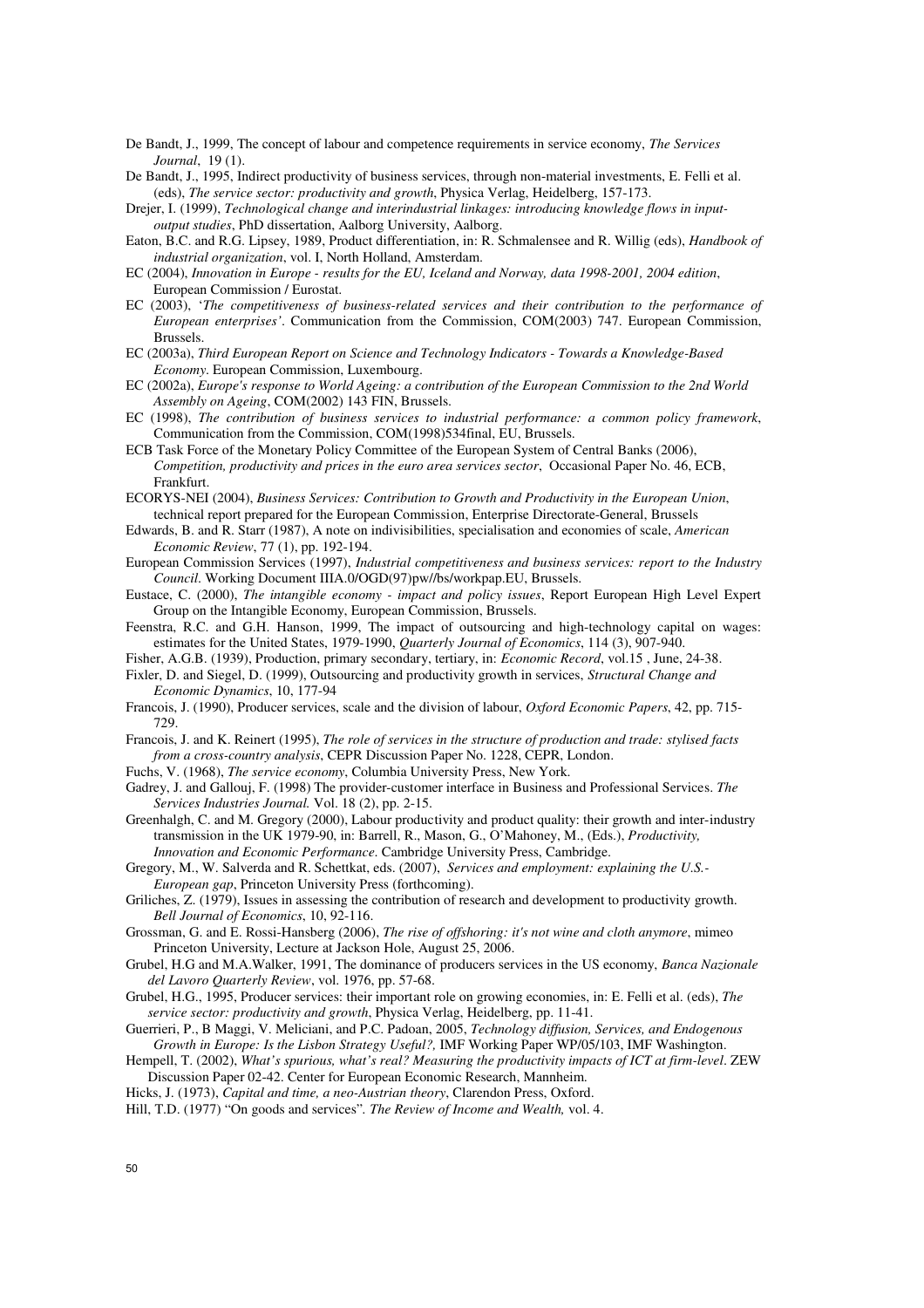- De Bandt, J., 1999, The concept of labour and competence requirements in service economy, *The Services Journal*, 19 (1).
- De Bandt, J., 1995, Indirect productivity of business services, through non-material investments, E. Felli et al. (eds), *The service sector: productivity and growth*, Physica Verlag, Heidelberg, 157-173.
- Drejer, I. (1999), *Technological change and interindustrial linkages: introducing knowledge flows in inputoutput studies*, PhD dissertation, Aalborg University, Aalborg.
- Eaton, B.C. and R.G. Lipsey, 1989, Product differentiation, in: R. Schmalensee and R. Willig (eds), *Handbook of industrial organization*, vol. I, North Holland, Amsterdam.
- EC (2004), *Innovation in Europe results for the EU, Iceland and Norway, data 1998-2001, 2004 edition*, European Commission / Eurostat.
- EC (2003), '*The competitiveness of business-related services and their contribution to the performance of European enterprises'*. Communication from the Commission, COM(2003) 747. European Commission, Brussels.
- EC (2003a), *Third European Report on Science and Technology Indicators Towards a Knowledge-Based Economy*. European Commission, Luxembourg.
- EC (2002a), *Europe's response to World Ageing: a contribution of the European Commission to the 2nd World Assembly on Ageing*, COM(2002) 143 FIN, Brussels.
- EC (1998), *The contribution of business services to industrial performance: a common policy framework*, Communication from the Commission, COM(1998)534final, EU, Brussels.
- ECB Task Force of the Monetary Policy Committee of the European System of Central Banks (2006), *Competition, productivity and prices in the euro area services sector*, Occasional Paper No. 46, ECB, Frankfurt.
- ECORYS-NEI (2004), *Business Services: Contribution to Growth and Productivity in the European Union*, technical report prepared for the European Commission, Enterprise Directorate-General, Brussels
- Edwards, B. and R. Starr (1987), A note on indivisibilities, specialisation and economies of scale, *American Economic Review*, 77 (1), pp. 192-194.
- European Commission Services (1997), *Industrial competitiveness and business services: report to the Industry Council*. Working Document IIIA.0/OGD(97)pw//bs/workpap.EU, Brussels.
- Eustace, C. (2000), *The intangible economy impact and policy issues*, Report European High Level Expert Group on the Intangible Economy, European Commission, Brussels.
- Feenstra, R.C. and G.H. Hanson, 1999, The impact of outsourcing and high-technology capital on wages: estimates for the United States, 1979-1990, *Quarterly Journal of Economics*, 114 (3), 907-940.
- Fisher, A.G.B. (1939), Production, primary secondary, tertiary, in: *Economic Record*, vol.15 , June, 24-38.
- Fixler, D. and Siegel, D. (1999), Outsourcing and productivity growth in services, *Structural Change and Economic Dynamics*, 10, 177-94
- Francois, J. (1990), Producer services, scale and the division of labour, *Oxford Economic Papers*, 42, pp. 715- 729.
- Francois, J. and K. Reinert (1995), *The role of services in the structure of production and trade: stylised facts from a cross-country analysis*, CEPR Discussion Paper No. 1228, CEPR, London.
- Fuchs, V. (1968), *The service economy*, Columbia University Press, New York.
- Gadrey, J. and Gallouj, F. (1998) The provider-customer interface in Business and Professional Services. *The Services Industries Journal.* Vol. 18 (2), pp. 2-15.
- Greenhalgh, C. and M. Gregory (2000), Labour productivity and product quality: their growth and inter-industry transmission in the UK 1979-90, in: Barrell, R., Mason, G., O'Mahoney, M., (Eds.), *Productivity, Innovation and Economic Performance*. Cambridge University Press, Cambridge.
- Gregory, M., W. Salverda and R. Schettkat, eds. (2007), *Services and employment: explaining the U.S.- European gap*, Princeton University Press (forthcoming).
- Griliches, Z. (1979), Issues in assessing the contribution of research and development to productivity growth. *Bell Journal of Economics*, 10, 92-116.
- Grossman, G. and E. Rossi-Hansberg (2006), *The rise of offshoring: it's not wine and cloth anymore*, mimeo Princeton University, Lecture at Jackson Hole, August 25, 2006.
- Grubel, H.G and M.A.Walker, 1991, The dominance of producers services in the US economy, *Banca Nazionale del Lavoro Quarterly Review*, vol. 1976, pp. 57-68.
- Grubel, H.G., 1995, Producer services: their important role on growing economies, in: E. Felli et al. (eds), *The service sector: productivity and growth*, Physica Verlag, Heidelberg, pp. 11-41.
- Guerrieri, P., B Maggi, V. Meliciani, and P.C. Padoan, 2005, *Technology diffusion, Services, and Endogenous Growth in Europe: Is the Lisbon Strategy Useful?,* IMF Working Paper WP/05/103, IMF Washington.
- Hempell, T. (2002), *What's spurious, what's real? Measuring the productivity impacts of ICT at firm-level*. ZEW Discussion Paper 02-42. Center for European Economic Research, Mannheim.
- Hicks, J. (1973), *Capital and time, a neo-Austrian theory*, Clarendon Press, Oxford.
- Hill, T.D. (1977) "On goods and services"*. The Review of Income and Wealth,* vol. 4.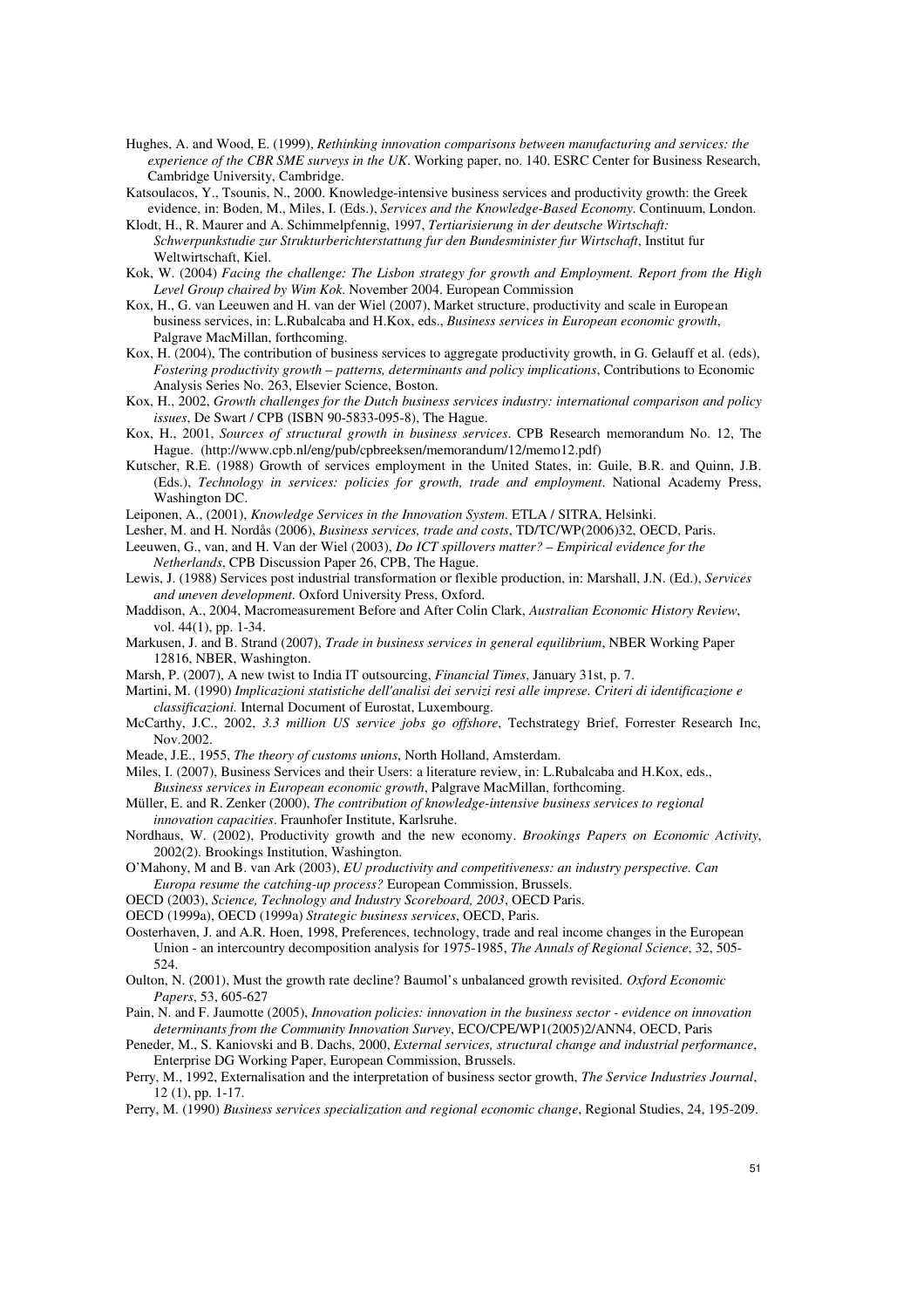- Hughes, A. and Wood, E. (1999), *Rethinking innovation comparisons between manufacturing and services: the experience of the CBR SME surveys in the UK*. Working paper, no. 140. ESRC Center for Business Research, Cambridge University, Cambridge.
- Katsoulacos, Y., Tsounis, N., 2000. Knowledge-intensive business services and productivity growth: the Greek evidence, in: Boden, M., Miles, I. (Eds.), *Services and the Knowledge-Based Economy*. Continuum, London.
- Klodt, H., R. Maurer and A. Schimmelpfennig, 1997, *Tertiarisierung in der deutsche Wirtschaft: Schwerpunkstudie zur Strukturberichterstattung fur den Bundesminister fur Wirtschaft*, Institut fur Weltwirtschaft, Kiel.
- Kok, W. (2004) *Facing the challenge: The Lisbon strategy for growth and Employment. Report from the High Level Group chaired by Wim Kok*. November 2004. European Commission
- Kox, H., G. van Leeuwen and H. van der Wiel (2007), Market structure, productivity and scale in European business services, in: L.Rubalcaba and H.Kox, eds., *Business services in European economic growth*, Palgrave MacMillan, forthcoming.
- Kox, H. (2004), The contribution of business services to aggregate productivity growth, in G. Gelauff et al. (eds), *Fostering productivity growth – patterns, determinants and policy implications*, Contributions to Economic Analysis Series No. 263, Elsevier Science, Boston.
- Kox, H., 2002, *Growth challenges for the Dutch business services industry: international comparison and policy issues*, De Swart / CPB (ISBN 90-5833-095-8), The Hague.
- Kox, H., 2001, *Sources of structural growth in business services*. CPB Research memorandum No. 12, The Hague. (http://www.cpb.nl/eng/pub/cpbreeksen/memorandum/12/memo12.pdf)
- Kutscher, R.E. (1988) Growth of services employment in the United States, in: Guile, B.R. and Quinn, J.B. (Eds.), *Technology in services: policies for growth, trade and employment*. National Academy Press, Washington DC.

Leiponen, A., (2001), *Knowledge Services in the Innovation System*. ETLA / SITRA, Helsinki.

- Lesher, M. and H. Nordås (2006), *Business services, trade and costs*, TD/TC/WP(2006)32, OECD, Paris.
- Leeuwen, G., van, and H. Van der Wiel (2003), *Do ICT spillovers matter? Empirical evidence for the Netherlands*, CPB Discussion Paper 26, CPB, The Hague.
- Lewis, J. (1988) Services post industrial transformation or flexible production, in: Marshall, J.N. (Ed.), *Services and uneven development*. Oxford University Press, Oxford.
- Maddison, A., 2004, Macromeasurement Before and After Colin Clark, *Australian Economic History Review*, vol. 44(1), pp. 1-34.
- Markusen, J. and B. Strand (2007), *Trade in business services in general equilibrium*, NBER Working Paper 12816, NBER, Washington.
- Marsh, P. (2007), A new twist to India IT outsourcing, *Financial Times*, January 31st, p. 7.
- Martini, M. (1990) *Implicazioni statistiche dell'analisi dei servizi resi alle imprese. Criteri di identificazione e classificazioni.* Internal Document of Eurostat, Luxembourg.
- McCarthy, J.C., 2002, *3.3 million US service jobs go offshore*, Techstrategy Brief, Forrester Research Inc, Nov.2002.
- Meade, J.E., 1955, *The theory of customs unions*, North Holland, Amsterdam.
- Miles, I. (2007), Business Services and their Users: a literature review, in: L.Rubalcaba and H.Kox, eds.,
- *Business services in European economic growth*, Palgrave MacMillan, forthcoming.
- Müller, E. and R. Zenker (2000), *The contribution of knowledge-intensive business services to regional innovation capacities*. Fraunhofer Institute, Karlsruhe.
- Nordhaus, W. (2002), Productivity growth and the new economy. *Brookings Papers on Economic Activity*, 2002(2). Brookings Institution, Washington.
- O'Mahony, M and B. van Ark (2003), *EU productivity and competitiveness: an industry perspective. Can*
- *Europa resume the catching-up process?* European Commission, Brussels.
- OECD (2003), *Science, Technology and Industry Scoreboard, 2003*, OECD Paris.
- OECD (1999a), OECD (1999a) *Strategic business services*, OECD, Paris.
- Oosterhaven, J. and A.R. Hoen, 1998, Preferences, technology, trade and real income changes in the European Union - an intercountry decomposition analysis for 1975-1985, *The Annals of Regional Science*, 32, 505- 524.
- Oulton, N. (2001), Must the growth rate decline? Baumol's unbalanced growth revisited. *Oxford Economic Papers*, 53, 605-627
- Pain, N. and F. Jaumotte (2005), *Innovation policies: innovation in the business sector evidence on innovation determinants from the Community Innovation Survey*, ECO/CPE/WP1(2005)2/ANN4, OECD, Paris
- Peneder, M., S. Kaniovski and B. Dachs, 2000, *External services, structural change and industrial performance*, Enterprise DG Working Paper, European Commission, Brussels.
- Perry, M., 1992, Externalisation and the interpretation of business sector growth, *The Service Industries Journal*, 12 (1), pp. 1-17.
- Perry, M. (1990) *Business services specialization and regional economic change*, Regional Studies, 24, 195-209.